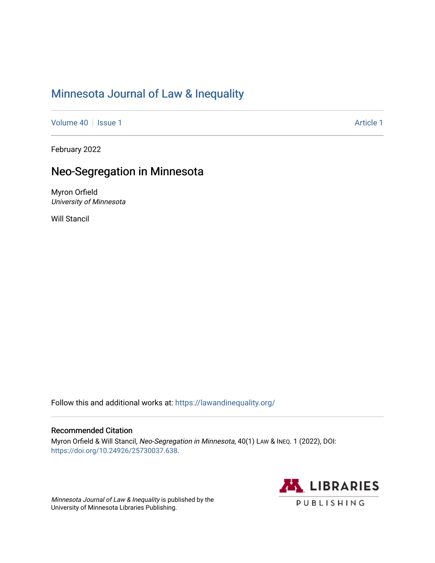# [Minnesota Journal of Law & Inequality](https://scholarship.law.umn.edu/lawineq)

[Volume 40](https://scholarship.law.umn.edu/lawineq/vol40) | [Issue 1](https://scholarship.law.umn.edu/lawineq/vol40/iss1) Article 1

February 2022

# Neo-Segregation in Minnesota

Myron Orfield University of Minnesota

Will Stancil

Follow this and additional works at: <https://lawandinequality.org/>

# Recommended Citation

Myron Orfield & Will Stancil, Neo-Segregation in Minnesota, 40(1) LAW & INEQ. 1 (2022), DOI: [https://doi.org/10.24926/25730037.638.](https://doi.org/10.24926/25730037.638)

Minnesota Journal of Law & Inequality is published by the University of Minnesota Libraries Publishing.

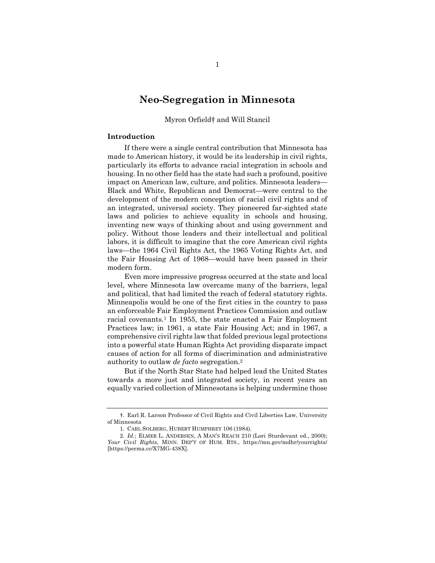# **Neo-Segregation in Minnesota**

Myron Orfield† and Will Stancil

## **Introduction**

If there were a single central contribution that Minnesota has made to American history, it would be its leadership in civil rights, particularly its efforts to advance racial integration in schools and housing. In no other field has the state had such a profound, positive impact on American law, culture, and politics. Minnesota leaders— Black and White, Republican and Democrat—were central to the development of the modern conception of racial civil rights and of an integrated, universal society. They pioneered far-sighted state laws and policies to achieve equality in schools and housing, inventing new ways of thinking about and using government and policy. Without those leaders and their intellectual and political labors, it is difficult to imagine that the core American civil rights laws—the 1964 Civil Rights Act, the 1965 Voting Rights Act, and the Fair Housing Act of 1968—would have been passed in their modern form.

Even more impressive progress occurred at the state and local level, where Minnesota law overcame many of the barriers, legal and political, that had limited the reach of federal statutory rights. Minneapolis would be one of the first cities in the country to pass an enforceable Fair Employment Practices Commission and outlaw racial covenants.1 In 1955, the state enacted a Fair Employment Practices law; in 1961, a state Fair Housing Act; and in 1967, a comprehensive civil rights law that folded previous legal protections into a powerful state Human Rights Act providing disparate impact causes of action for all forms of discrimination and administrative authority to outlaw *de facto* segregation.2

But if the North Star State had helped lead the United States towards a more just and integrated society, in recent years an equally varied collection of Minnesotans is helping undermine those

<sup>†.</sup> Earl R. Larson Professor of Civil Rights and Civil Liberties Law, University of Minnesota

<sup>1.</sup> CARL SOLBERG, HUBERT HUMPHREY 106 (1984).

<sup>2</sup>*. Id.*; ELMER L. ANDERSEN, A MAN'S REACH 210 (Lori Sturdevant ed., 2000); *Your Civil Rights*, MINN. DEP'T OF HUM. RTS., https://mn.gov/mdhr/yourrights/ [https://perma.cc/X7MG-438X].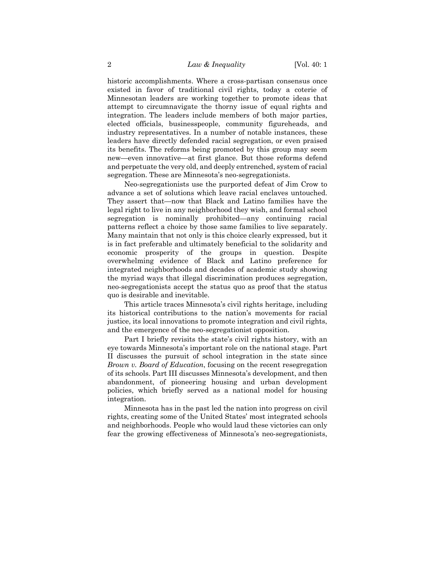historic accomplishments. Where a cross-partisan consensus once existed in favor of traditional civil rights, today a coterie of Minnesotan leaders are working together to promote ideas that attempt to circumnavigate the thorny issue of equal rights and integration. The leaders include members of both major parties, elected officials, businesspeople, community figureheads, and industry representatives. In a number of notable instances, these leaders have directly defended racial segregation, or even praised its benefits. The reforms being promoted by this group may seem new—even innovative—at first glance. But those reforms defend and perpetuate the very old, and deeply entrenched, system of racial segregation. These are Minnesota's neo-segregationists.

Neo-segregationists use the purported defeat of Jim Crow to advance a set of solutions which leave racial enclaves untouched. They assert that—now that Black and Latino families have the legal right to live in any neighborhood they wish, and formal school segregation is nominally prohibited—any continuing racial patterns reflect a choice by those same families to live separately. Many maintain that not only is this choice clearly expressed, but it is in fact preferable and ultimately beneficial to the solidarity and economic prosperity of the groups in question. Despite overwhelming evidence of Black and Latino preference for integrated neighborhoods and decades of academic study showing the myriad ways that illegal discrimination produces segregation, neo-segregationists accept the status quo as proof that the status quo is desirable and inevitable.

This article traces Minnesota's civil rights heritage, including its historical contributions to the nation's movements for racial justice, its local innovations to promote integration and civil rights, and the emergence of the neo-segregationist opposition.

Part I briefly revisits the state's civil rights history, with an eye towards Minnesota's important role on the national stage. Part II discusses the pursuit of school integration in the state since *Brown v. Board of Education*, focusing on the recent resegregation of its schools. Part III discusses Minnesota's development, and then abandonment, of pioneering housing and urban development policies, which briefly served as a national model for housing integration.

Minnesota has in the past led the nation into progress on civil rights, creating some of the United States' most integrated schools and neighborhoods. People who would laud these victories can only fear the growing effectiveness of Minnesota's neo-segregationists,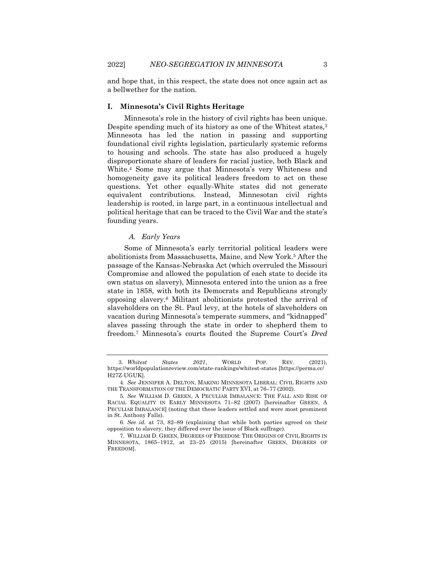and hope that, in this respect, the state does not once again act as a bellwether for the nation.

#### **I. Minnesota's Civil Rights Heritage**

Minnesota's role in the history of civil rights has been unique. Despite spending much of its history as one of the Whitest states,<sup>3</sup> Minnesota has led the nation in passing and supporting foundational civil rights legislation, particularly systemic reforms to housing and schools. The state has also produced a hugely disproportionate share of leaders for racial justice, both Black and White.4 Some may argue that Minnesota's very Whiteness and homogeneity gave its political leaders freedom to act on these questions. Yet other equally-White states did not generate equivalent contributions. Instead, Minnesotan civil rights leadership is rooted, in large part, in a continuous intellectual and political heritage that can be traced to the Civil War and the state's founding years.

### *A. Early Years*

Some of Minnesota's early territorial political leaders were abolitionists from Massachusetts, Maine, and New York.5 After the passage of the Kansas-Nebraska Act (which overruled the Missouri Compromise and allowed the population of each state to decide its own status on slavery), Minnesota entered into the union as a free state in 1858, with both its Democrats and Republicans strongly opposing slavery.6 Militant abolitionists protested the arrival of slaveholders on the St. Paul levy, at the hotels of slaveholders on vacation during Minnesota's temperate summers, and "kidnapped" slaves passing through the state in order to shepherd them to freedom.7 Minnesota's courts flouted the Supreme Court's *Dred* 

 <sup>3.</sup> *Whitest States 2021*, WORLD POP. REV. (2021), https://worldpopulationreview.com/state-rankings/whitest-states [https://perma.cc/ H27Z-UGUK].

<sup>4</sup>*. See* JENNIFER A. DELTON, MAKING MINNESOTA LIBERAL: CIVIL RIGHTS AND THE TRANSFORMATION OF THE DEMOCRATIC PARTY XVI, at 76–77 (2002).

<sup>5</sup>*. See* WILLIAM D. GREEN, A PECULIAR IMBALANCE: THE FALL AND RISE OF RACIAL EQUALITY IN EARLY MINNESOTA 71–82 (2007) [hereinafter GREEN, A PECULIAR IMBALANCE] (noting that these leaders settled and were most prominent in St. Anthony Falls).

<sup>6</sup>*. See id.* at 73, 82–89 (explaining that while both parties agreed on their opposition to slavery, they differed over the issue of Black suffrage).

<sup>7.</sup> WILLIAM D. GREEN, DEGREES OF FREEDOM: THE ORIGINS OF CIVIL RIGHTS IN MINNESOTA, 1865–1912, at 23–25 (2015) [hereinafter GREEN, DEGREES OF FREEDOM].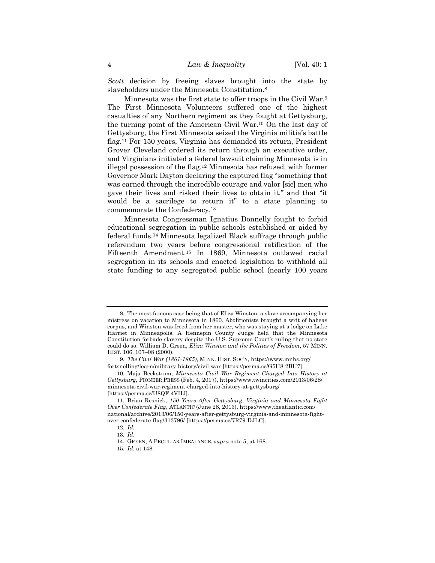*Scott* decision by freeing slaves brought into the state by slaveholders under the Minnesota Constitution.8

Minnesota was the first state to offer troops in the Civil War.9 The First Minnesota Volunteers suffered one of the highest casualties of any Northern regiment as they fought at Gettysburg, the turning point of the American Civil War.10 On the last day of Gettysburg, the First Minnesota seized the Virginia militia's battle flag.11 For 150 years, Virginia has demanded its return, President Grover Cleveland ordered its return through an executive order, and Virginians initiated a federal lawsuit claiming Minnesota is in illegal possession of the flag.12 Minnesota has refused, with former Governor Mark Dayton declaring the captured flag "something that was earned through the incredible courage and valor [sic] men who gave their lives and risked their lives to obtain it," and that "it would be a sacrilege to return it" to a state planning to commemorate the Confederacy.13

Minnesota Congressman Ignatius Donnelly fought to forbid educational segregation in public schools established or aided by federal funds.14 Minnesota legalized Black suffrage through public referendum two years before congressional ratification of the Fifteenth Amendment.15 In 1869, Minnesota outlawed racial segregation in its schools and enacted legislation to withhold all state funding to any segregated public school (nearly 100 years

<sup>8.</sup> The most famous case being that of Eliza Winston, a slave accompanying her mistress on vacation to Minnesota in 1860. Abolitionists brought a writ of habeas corpus, and Winston was freed from her master, who was staying at a lodge on Lake Harriet in Minneapolis. A Hennepin County Judge held that the Minnesota Constitution forbade slavery despite the U.S. Supreme Court's ruling that no state could do so. William D. Green, *Eliza Winston and the Politics of Freedom*, 57 MINN. HIST. 106, 107–08 (2000).

<sup>9</sup>*. The Civil War (1861-1865)*, MINN. HIST. SOC'Y, https://www.mnhs.org/ fortsnelling/learn/military-history/civil-war [https://perma.cc/G5U8-2BU7].

<sup>10.</sup> Maja Beckstrom, *Minnesota Civil War Regiment Charged Into History at Gettysburg*, PIONEER PRESS (Feb. 4, 2017), https://www.twincities.com/2013/06/28/ minnesota-civil-war-regiment-charged-into-history-at-gettysburg/ [https://perma.cc/U8QF-4VHJ].

<sup>11.</sup> Brian Resnick, *150 Years After Gettysburg, Virginia and Minnesota Fight Over Confederate Flag*, ATLANTIC (June 28, 2013), https://www.theatlantic.com/ national/archive/2013/06/150-years-after-gettysburg-virginia-and-minnesota-fightover-confederate-flag/313796/ [https://perma.cc/7R79-DJLC].

<sup>12</sup>*. Id.*

<sup>13</sup>*. Id.*

<sup>14.</sup> GREEN, A PECULIAR IMBALANCE, *supra* note 5, at 168.

<sup>15</sup>*. Id.* at 148.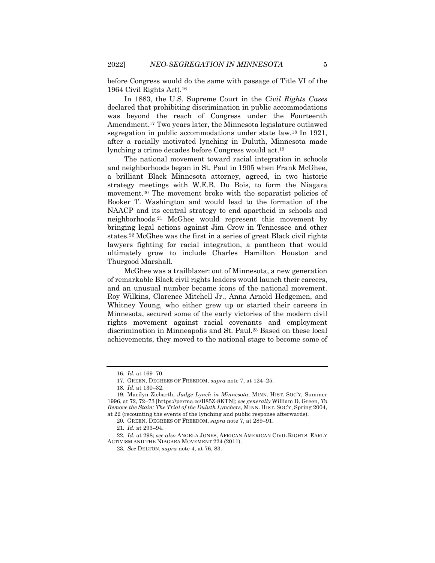before Congress would do the same with passage of Title VI of the 1964 Civil Rights Act).16

In 1883, the U.S. Supreme Court in the *Civil Rights Cases* declared that prohibiting discrimination in public accommodations was beyond the reach of Congress under the Fourteenth Amendment.17 Two years later, the Minnesota legislature outlawed segregation in public accommodations under state law.18 In 1921, after a racially motivated lynching in Duluth, Minnesota made lynching a crime decades before Congress would act.19

The national movement toward racial integration in schools and neighborhoods began in St. Paul in 1905 when Frank McGhee, a brilliant Black Minnesota attorney, agreed, in two historic strategy meetings with W.E.B. Du Bois, to form the Niagara movement.<sup>20</sup> The movement broke with the separatist policies of Booker T. Washington and would lead to the formation of the NAACP and its central strategy to end apartheid in schools and neighborhoods.21 McGhee would represent this movement by bringing legal actions against Jim Crow in Tennessee and other states.22 McGhee was the first in a series of great Black civil rights lawyers fighting for racial integration, a pantheon that would ultimately grow to include Charles Hamilton Houston and Thurgood Marshall.

McGhee was a trailblazer: out of Minnesota, a new generation of remarkable Black civil rights leaders would launch their careers, and an unusual number became icons of the national movement. Roy Wilkins, Clarence Mitchell Jr., Anna Arnold Hedgemen, and Whitney Young, who either grew up or started their careers in Minnesota, secured some of the early victories of the modern civil rights movement against racial covenants and employment discrimination in Minneapolis and St. Paul.23 Based on these local achievements, they moved to the national stage to become some of

<sup>16</sup>*. Id.* at 169–70.

<sup>17.</sup> GREEN, DEGREES OF FREEDOM, *supra* note 7, at 124–25.

<sup>18</sup>*. Id.* at 130–32.

<sup>19.</sup> Marilyn Ziebarth, *Judge Lynch in Minnesota*, MINN. HIST. SOC'Y, Summer 1996, at 72, 72–73 [https://perma.cc/B85Z-8KTN]; *see generally* William D. Green, *To Remove the Stain: The Trial of the Duluth Lynchers*, MINN. HIST. SOC'Y, Spring 2004, at 22 (recounting the events of the lynching and public response afterwards).

<sup>20.</sup> GREEN, DEGREES OF FREEDOM, *supra* note 7, at 289–91.

<sup>21</sup>*. Id.* at 293–94.

<sup>22</sup>*. Id.* at 298; *see also* ANGELA JONES, AFRICAN AMERICAN CIVIL RIGHTS: EARLY ACTIVISM AND THE NIAGARA MOVEMENT 224 (2011).

<sup>23</sup>*. See* DELTON, *supra* note 4, at 76, 83.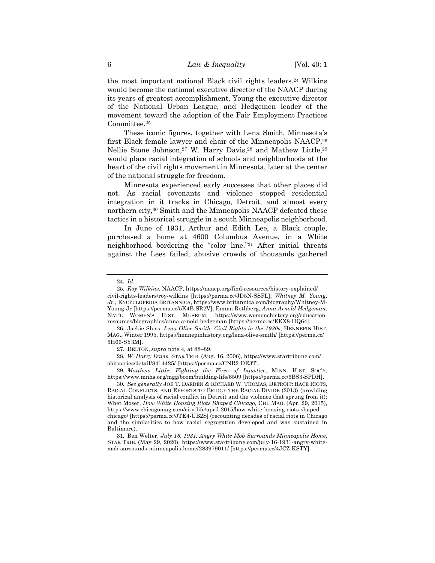the most important national Black civil rights leaders.24 Wilkins would become the national executive director of the NAACP during its years of greatest accomplishment, Young the executive director of the National Urban League, and Hedgemen leader of the movement toward the adoption of the Fair Employment Practices Committee.25

These iconic figures, together with Lena Smith, Minnesota's first Black female lawyer and chair of the Minneapolis NAACP,26 Nellie Stone Johnson,<sup>27</sup> W. Harry Davis,<sup>28</sup> and Mathew Little,<sup>29</sup> would place racial integration of schools and neighborhoods at the heart of the civil rights movement in Minnesota, later at the center of the national struggle for freedom.

Minnesota experienced early successes that other places did not. As racial covenants and violence stopped residential integration in it tracks in Chicago, Detroit, and almost every northern city,30 Smith and the Minneapolis NAACP defeated these tactics in a historical struggle in a south Minneapolis neighborhood.

In June of 1931, Arthur and Edith Lee, a Black couple, purchased a home at 4600 Columbus Avenue, in a White neighborhood bordering the "color line."31 After initial threats against the Lees failed, abusive crowds of thousands gathered

28*. W. Harry Davis*, STAR TRIB. (Aug. 16, 2006), https://www.startribune.com/ obituaries/detail/8414425/ [https://perma.cc/CNR2-DE3T].

<sup>24</sup>*. Id.*

<sup>25</sup>*. Roy Wilkins*, NAACP, https://naacp.org/find-resources/history-explained/ civil-rights-leaders/roy-wilkins [https://perma.cc/JD5N-SSFL]; *Whitney M. Young, Jr.*, ENCYCLOPEDIA BRITANNICA, https://www.britannica.com/biography/Whitney-M-

Young-Jr [https://perma.cc/5K4B-SR2V]; Emma Rothberg, *Anna Arnold Hedgeman*, NAT'L WOMEN'S HIST. MUSEUM, https://www.womenshistory.org/educationresources/biographies/anna-arnold-hedgeman [https://perma.cc/EKX8-HQ64].

<sup>26.</sup> Jackie Sluss, *Lena Olive Smith: Civil Rights in the 1930s*, HENNEPIN HIST. MAG., Winter 1995, https://hennepinhistory.org/lena-olive-smith/ [https://perma.cc/ 5H66-SY3M].

<sup>27.</sup> DELTON, *supra* note 4, at 88–89.

<sup>29</sup>*. Matthew Little: Fighting the Fires of Injustice*, MINN. HIST. SOC'Y, https://www.mnhs.org/mgg/boom/building-life/6509 [https://perma.cc/6BS3-SPDH].

<sup>30</sup>*. See generally* JOE T. DARDEN & RICHARD W. THOMAS, DETROIT: RACE RIOTS, RACIAL CONFLICTS, AND EFFORTS TO BRIDGE THE RACIAL DIVIDE (2013) (providing historical analysis of racial conflict in Detroit and the violence that sprung from it); Whet Moser, *How White Housing Riots Shaped Chicago*, CHI. MAG. (Apr. 29, 2015), https://www.chicagomag.com/city-life/april-2015/how-white-housing-riots-shapedchicago/ [https://perma.cc/JTE4-UB2S] (recounting decades of racial riots in Chicago and the similarities to how racial segregation developed and was sustained in Baltimore).

<sup>31.</sup> Ben Welter, *July 16, 1931: Angry White Mob Surrounds Minneapolis Home*, STAR TRIB. (May 29, 2020), https://www.startribune.com/july-16-1931-angry-whitemob-surrounds-minneapolis-home/283979011/ [https://perma.cc/4JCZ-KSTY].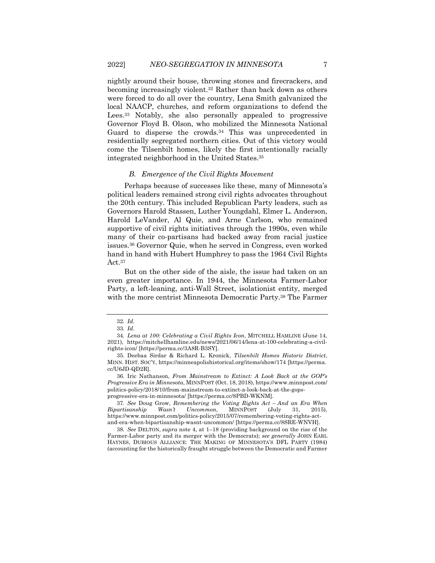nightly around their house, throwing stones and firecrackers, and becoming increasingly violent.32 Rather than back down as others were forced to do all over the country, Lena Smith galvanized the local NAACP, churches, and reform organizations to defend the Lees.33 Notably, she also personally appealed to progressive Governor Floyd B. Olson, who mobilized the Minnesota National Guard to disperse the crowds.34 This was unprecedented in residentially segregated northern cities. Out of this victory would come the Tilsenbilt homes, likely the first intentionally racially integrated neighborhood in the United States.35

#### *B. Emergence of the Civil Rights Movement*

Perhaps because of successes like these, many of Minnesota's political leaders remained strong civil rights advocates throughout the 20th century. This included Republican Party leaders, such as Governors Harold Stassen, Luther Youngdahl, Elmer L. Anderson, Harold LeVander, Al Quie, and Arne Carlson, who remained supportive of civil rights initiatives through the 1990s, even while many of their co-partisans had backed away from racial justice issues.36 Governor Quie, when he served in Congress, even worked hand in hand with Hubert Humphrey to pass the 1964 Civil Rights Act.37

But on the other side of the aisle, the issue had taken on an even greater importance. In 1944, the Minnesota Farmer-Labor Party, a left-leaning, anti-Wall Street, isolationist entity, merged with the more centrist Minnesota Democratic Party.38 The Farmer

<sup>32</sup>*. Id.*

<sup>33</sup>*. Id.*

<sup>34</sup>*. Lena at 100: Celebrating a Civil Rights Icon*, MITCHELL HAMLINE (June 14, 2021), https://mitchellhamline.edu/news/2021/06/14/lena-at-100-celebrating-a-civilrights-icon/ [https://perma.cc/3A8R-B3SY].

<sup>35.</sup> Deebaa Sirdar & Richard L. Kronick, *Tilsenbilt Homes Historic District*, MINN. HIST. SOC'Y, https://minneapolishistorical.org/items/show/174 [https://perma. cc/U6JD-QD2R].

<sup>36.</sup> Iric Nathanson, *From Mainstream to Extinct: A Look Back at the GOP's Progressive Era in Minnesota*, MINNPOST (Oct. 18, 2018), https://www.minnpost.com/ politics-policy/2018/10/from-mainstream-to-extinct-a-look-back-at-the-gopsprogressive-era-in-minnesota/ [https://perma.cc/8PBD-WKNM].

<sup>37</sup>*. See* Doug Grow, *Remembering the Voting Rights Act – And an Era When Bipartisanship Wasn't Uncommon*, MINNPOST (July 31, 2015), https://www.minnpost.com/politics-policy/2015/07/remembering-voting-rights-actand-era-when-bipartisanship-wasnt-uncommon/ [https://perma.cc/8SRE-WNVH].

<sup>38</sup>*. See* DELTON, *supra* note 4, at 1–18 (providing background on the rise of the Farmer-Labor party and its merger with the Democrats); *see generally* JOHN EARL HAYNES, DUBIOUS ALLIANCE: THE MAKING OF MINNESOTA'S DFL PARTY (1984) (accounting for the historically fraught struggle between the Democratic and Farmer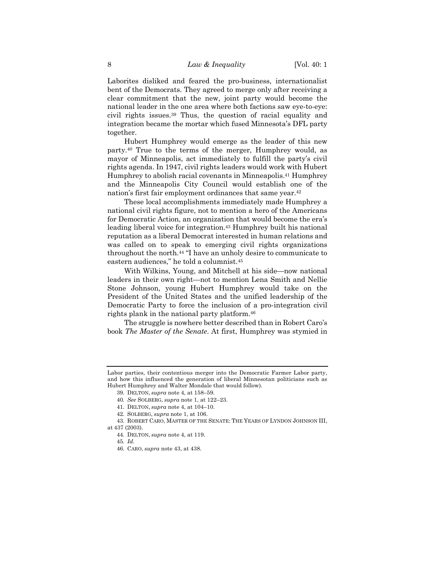Laborites disliked and feared the pro-business, internationalist bent of the Democrats. They agreed to merge only after receiving a clear commitment that the new, joint party would become the national leader in the one area where both factions saw eye-to-eye: civil rights issues.39 Thus, the question of racial equality and integration became the mortar which fused Minnesota's DFL party together.

Hubert Humphrey would emerge as the leader of this new party.40 True to the terms of the merger, Humphrey would, as mayor of Minneapolis, act immediately to fulfill the party's civil rights agenda. In 1947, civil rights leaders would work with Hubert Humphrey to abolish racial covenants in Minneapolis.41 Humphrey and the Minneapolis City Council would establish one of the nation's first fair employment ordinances that same year.<sup>42</sup>

These local accomplishments immediately made Humphrey a national civil rights figure, not to mention a hero of the Americans for Democratic Action, an organization that would become the era's leading liberal voice for integration.43 Humphrey built his national reputation as a liberal Democrat interested in human relations and was called on to speak to emerging civil rights organizations throughout the north.44 "I have an unholy desire to communicate to eastern audiences," he told a columnist.45

With Wilkins, Young, and Mitchell at his side—now national leaders in their own right—not to mention Lena Smith and Nellie Stone Johnson, young Hubert Humphrey would take on the President of the United States and the unified leadership of the Democratic Party to force the inclusion of a pro-integration civil rights plank in the national party platform.46

The struggle is nowhere better described than in Robert Caro's book *The Master of the Senate*. At first, Humphrey was stymied in

Labor parties, their contentious merger into the Democratic Farmer Labor party, and how this influenced the generation of liberal Minnesotan politicians such as Hubert Humphrey and Walter Mondale that would follow).

<sup>39.</sup> DELTON, *supra* note 4, at 158–59.

<sup>40</sup>*. See* SOLBERG, *supra* note 1, at 122–23.

<sup>41.</sup> DELTON, *supra* note 4, at 104–10.

<sup>42.</sup> SOLBERG, *supra* note 1, at 106.

<sup>43.</sup> ROBERT CARO, MASTER OF THE SENATE: THE YEARS OF LYNDON JOHNSON III, at 437 (2003).

<sup>44.</sup> DELTON, *supra* note 4, at 119.

<sup>45</sup>*. Id.*

<sup>46.</sup> CARO, *supra* note 43, at 438.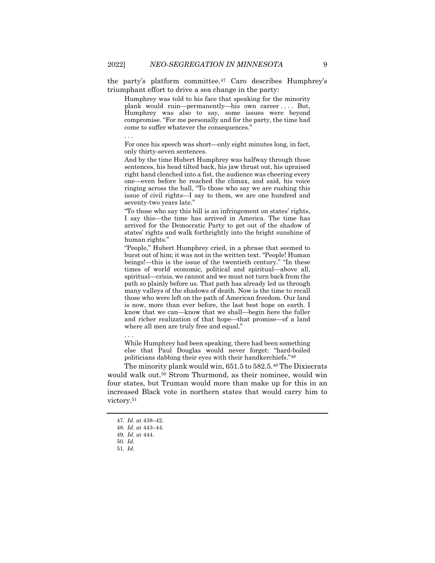the party's platform committee.47 Caro describes Humphrey's triumphant effort to drive a sea change in the party:

Humphrey was told to his face that speaking for the minority plank would ruin—permanently—his own career . . . . But, Humphrey was also to say, some issues were beyond compromise. "For me personally and for the party, the time had come to suffer whatever the consequences."

For once his speech was short—only eight minutes long, in fact, only thirty-seven sentences.

And by the time Hubert Humphrey was halfway through those sentences, his head tilted back, his jaw thrust out, his upraised right hand clenched into a fist, the audience was cheering every one—even before he reached the climax, and said, his voice ringing across the hall, "To those who say we are rushing this issue of civil rights—I say to them, we are one hundred and seventy-two years late."

"To those who say this bill is an infringement on states' rights, I say this—the time has arrived in America. The time has arrived for the Democratic Party to get out of the shadow of states' rights and walk forthrightly into the bright sunshine of human rights."

"People," Hubert Humphrey cried, in a phrase that seemed to burst out of him; it was not in the written text. "People! Human beings!—this is the issue of the twentieth century." "In these times of world economic, political and spiritual—above all, spiritual—crisis, we cannot and we must not turn back from the path so plainly before us. That path has already led us through many valleys of the shadows of death. Now is the time to recall those who were left on the path of American freedom. Our land is now, more than ever before, the last best hope on earth. I know that we can—know that we shall—begin here the fuller and richer realization of that hope—that promise—of a land where all men are truly free and equal."

While Humphrey had been speaking, there had been something else that Paul Douglas would never forget: "hard-boiled politicians dabbing their eyes with their handkerchiefs."48

The minority plank would win, 651.5 to 582.5.49 The Dixiecrats would walk out.50 Strom Thurmond, as their nominee, would win four states, but Truman would more than make up for this in an increased Black vote in northern states that would carry him to victory.<sup>51</sup>

. . .

. . .

<sup>47</sup>*. Id.* at 438–42.

<sup>48</sup>*. Id.* at 443–44.

<sup>49</sup>*. Id.* at 444.

<sup>50</sup>*. Id.*

<sup>51</sup>*. Id.*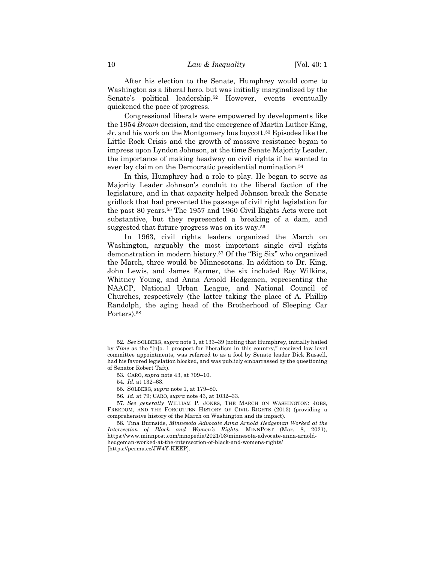After his election to the Senate, Humphrey would come to Washington as a liberal hero, but was initially marginalized by the Senate's political leadership.<sup>52</sup> However, events eventually quickened the pace of progress.

Congressional liberals were empowered by developments like the 1954 *Brown* decision, and the emergence of Martin Luther King, Jr. and his work on the Montgomery bus boycott.53 Episodes like the Little Rock Crisis and the growth of massive resistance began to impress upon Lyndon Johnson, at the time Senate Majority Leader, the importance of making headway on civil rights if he wanted to ever lay claim on the Democratic presidential nomination.54

In this, Humphrey had a role to play. He began to serve as Majority Leader Johnson's conduit to the liberal faction of the legislature, and in that capacity helped Johnson break the Senate gridlock that had prevented the passage of civil right legislation for the past 80 years.55 The 1957 and 1960 Civil Rights Acts were not substantive, but they represented a breaking of a dam, and suggested that future progress was on its way.56

In 1963, civil rights leaders organized the March on Washington, arguably the most important single civil rights demonstration in modern history.57 Of the "Big Six" who organized the March, three would be Minnesotans. In addition to Dr. King, John Lewis, and James Farmer, the six included Roy Wilkins, Whitney Young, and Anna Arnold Hedgemen, representing the NAACP, National Urban League, and National Council of Churches, respectively (the latter taking the place of A. Phillip Randolph, the aging head of the Brotherhood of Sleeping Car Porters).58

<sup>52</sup>*. See* SOLBERG, *supra* note 1, at 133–39 (noting that Humphrey, initially hailed by *Time* as the "[n]o. 1 prospect for liberalism in this country," received low level committee appointments, was referred to as a fool by Senate leader Dick Russell, had his favored legislation blocked, and was publicly embarrassed by the questioning of Senator Robert Taft).

<sup>53.</sup> CARO, *supra* note 43, at 709–10.

<sup>54</sup>*. Id.* at 132–63.

<sup>55.</sup> SOLBERG, *supra* note 1, at 179–80.

<sup>56</sup>*. Id.* at 79; CARO, *supra* note 43, at 1032–33.

<sup>57</sup>*. See generally* WILLIAM P. JONES, THE MARCH ON WASHINGTON: JOBS, FREEDOM, AND THE FORGOTTEN HISTORY OF CIVIL RIGHTS (2013) (providing a comprehensive history of the March on Washington and its impact).

<sup>58.</sup> Tina Burnside, *Minnesota Advocate Anna Arnold Hedgeman Worked at the Intersection of Black and Women's Rights*, MINNPOST (Mar. 8, 2021), https://www.minnpost.com/mnopedia/2021/03/minnesota-advocate-anna-arnoldhedgeman-worked-at-the-intersection-of-black-and-womens-rights/ [https://perma.cc/JW4Y-KEEP].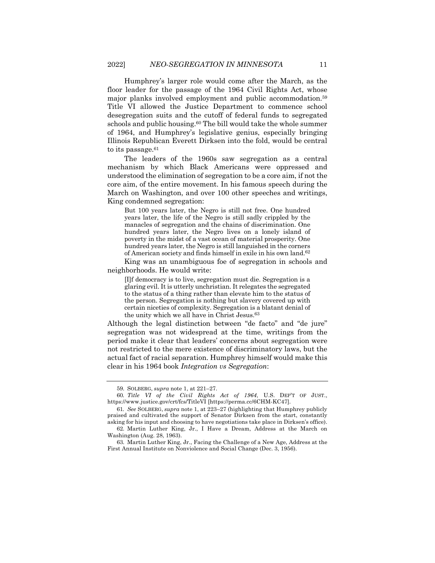Humphrey's larger role would come after the March, as the floor leader for the passage of the 1964 Civil Rights Act, whose major planks involved employment and public accommodation.59 Title VI allowed the Justice Department to commence school desegregation suits and the cutoff of federal funds to segregated schools and public housing.<sup>60</sup> The bill would take the whole summer of 1964, and Humphrey's legislative genius, especially bringing Illinois Republican Everett Dirksen into the fold, would be central to its passage.61

The leaders of the 1960s saw segregation as a central mechanism by which Black Americans were oppressed and understood the elimination of segregation to be a core aim, if not the core aim, of the entire movement. In his famous speech during the March on Washington, and over 100 other speeches and writings, King condemned segregation:

But 100 years later, the Negro is still not free. One hundred years later, the life of the Negro is still sadly crippled by the manacles of segregation and the chains of discrimination. One hundred years later, the Negro lives on a lonely island of poverty in the midst of a vast ocean of material prosperity. One hundred years later, the Negro is still languished in the corners of American society and finds himself in exile in his own land.62

King was an unambiguous foe of segregation in schools and neighborhoods. He would write:

[I]f democracy is to live, segregation must die. Segregation is a glaring evil. It is utterly unchristian. It relegates the segregated to the status of a thing rather than elevate him to the status of the person. Segregation is nothing but slavery covered up with certain niceties of complexity. Segregation is a blatant denial of the unity which we all have in Christ Jesus.63

Although the legal distinction between "de facto" and "de jure" segregation was not widespread at the time, writings from the period make it clear that leaders' concerns about segregation were not restricted to the mere existence of discriminatory laws, but the actual fact of racial separation. Humphrey himself would make this clear in his 1964 book *Integration vs Segregation*:

<sup>59.</sup> SOLBERG, *supra* note 1, at 221–27.

<sup>60</sup>*. Title VI of the Civil Rights Act of 1964*, U.S. DEP'T OF JUST., https://www.justice.gov/crt/fcs/TitleVI [https://perma.cc/6CHM-KC47].

<sup>61</sup>*. See* SOLBERG, *supra* note 1, at 223–27 (highlighting that Humphrey publicly praised and cultivated the support of Senator Dirksen from the start, constantly asking for his input and choosing to have negotiations take place in Dirksen's office).

<sup>62.</sup> Martin Luther King, Jr., I Have a Dream, Address at the March on Washington (Aug. 28, 1963).

<sup>63.</sup> Martin Luther King, Jr., Facing the Challenge of a New Age, Address at the First Annual Institute on Nonviolence and Social Change (Dec. 3, 1956).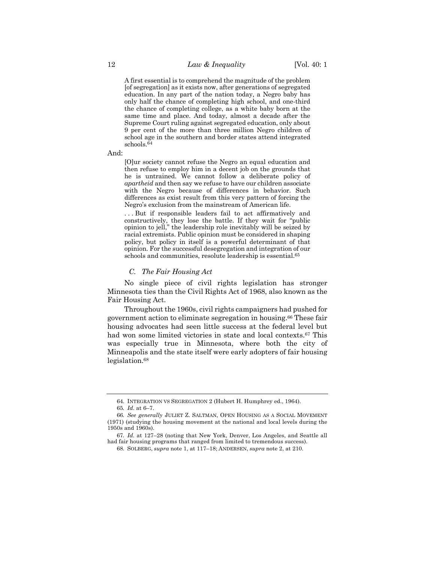A first essential is to comprehend the magnitude of the problem [of segregation] as it exists now, after generations of segregated education. In any part of the nation today, a Negro baby has only half the chance of completing high school, and one-third the chance of completing college, as a white baby born at the same time and place. And today, almost a decade after the Supreme Court ruling against segregated education, only about 9 per cent of the more than three million Negro children of school age in the southern and border states attend integrated schools.64

And:

[O]ur society cannot refuse the Negro an equal education and then refuse to employ him in a decent job on the grounds that he is untrained. We cannot follow a deliberate policy of *apartheid* and then say we refuse to have our children associate with the Negro because of differences in behavior. Such differences as exist result from this very pattern of forcing the Negro's exclusion from the mainstream of American life.

. . . But if responsible leaders fail to act affirmatively and constructively, they lose the battle. If they wait for "public opinion to jell," the leadership role inevitably will be seized by racial extremists. Public opinion must be considered in shaping policy, but policy in itself is a powerful determinant of that opinion. For the successful desegregation and integration of our schools and communities, resolute leadership is essential.65

#### *C. The Fair Housing Act*

No single piece of civil rights legislation has stronger Minnesota ties than the Civil Rights Act of 1968, also known as the Fair Housing Act.

Throughout the 1960s, civil rights campaigners had pushed for government action to eliminate segregation in housing.66 These fair housing advocates had seen little success at the federal level but had won some limited victories in state and local contexts.67 This was especially true in Minnesota, where both the city of Minneapolis and the state itself were early adopters of fair housing legislation.68

<sup>64.</sup> INTEGRATION VS SEGREGATION 2 (Hubert H. Humphrey ed., 1964).

<sup>65</sup>*. Id.* at 6–7.

<sup>66</sup>*. See generally* JULIET Z. SALTMAN, OPEN HOUSING AS A SOCIAL MOVEMENT (1971) (studying the housing movement at the national and local levels during the 1950s and 1960s).

<sup>67</sup>*. Id.* at 127–28 (noting that New York, Denver, Los Angeles, and Seattle all had fair housing programs that ranged from limited to tremendous success).

<sup>68.</sup> SOLBERG, *supra* note 1, at 117–18; ANDERSEN, *supra* note 2, at 210.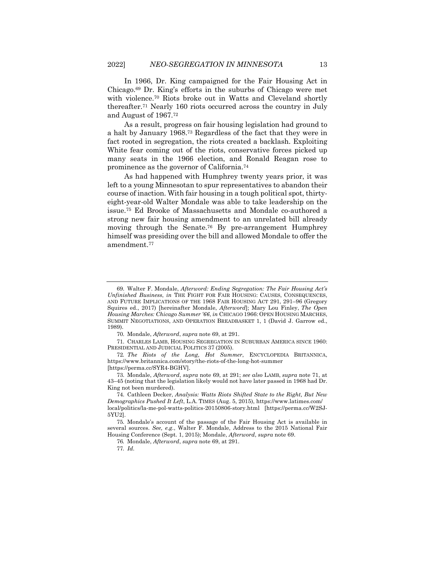In 1966, Dr. King campaigned for the Fair Housing Act in Chicago.69 Dr. King's efforts in the suburbs of Chicago were met with violence.70 Riots broke out in Watts and Cleveland shortly thereafter.71 Nearly 160 riots occurred across the country in July and August of 1967.72

As a result, progress on fair housing legislation had ground to a halt by January 1968.73 Regardless of the fact that they were in fact rooted in segregation, the riots created a backlash. Exploiting White fear coming out of the riots, conservative forces picked up many seats in the 1966 election, and Ronald Reagan rose to prominence as the governor of California.74

As had happened with Humphrey twenty years prior, it was left to a young Minnesotan to spur representatives to abandon their course of inaction. With fair housing in a tough political spot, thirtyeight-year-old Walter Mondale was able to take leadership on the issue.75 Ed Brooke of Massachusetts and Mondale co-authored a strong new fair housing amendment to an unrelated bill already moving through the Senate.76 By pre-arrangement Humphrey himself was presiding over the bill and allowed Mondale to offer the amendment.77

<sup>69.</sup> Walter F. Mondale, *Afterword: Ending Segregation: The Fair Housing Act's Unfinished Business*, *in* THE FIGHT FOR FAIR HOUSING: CAUSES, CONSEQUENCES, AND FUTURE IMPLICATIONS OF THE 1968 FAIR HOUSING ACT 291, 291–96 (Gregory Squires ed., 2017) [hereinafter Mondale, *Afterword*]; Mary Lou Finley, *The Open Housing Marches: Chicago Summer '66*, *in* CHICAGO 1966: OPEN HOUSING MARCHES, SUMMIT NEGOTIATIONS, AND OPERATION BREADBASKET 1, 1 (David J. Garrow ed., 1989).

<sup>70.</sup> Mondale, *Afterword*, *supra* note 69, at 291.

<sup>71.</sup> CHARLES LAMB, HOUSING SEGREGATION IN SUBURBAN AMERICA SINCE 1960: PRESIDENTIAL AND JUDICIAL POLITICS 37 (2005).

<sup>72</sup>*. The Riots of the Long, Hot Summer*, ENCYCLOPEDIA BRITANNICA, https://www.britannica.com/story/the-riots-of-the-long-hot-summer [https://perma.cc/SYR4-BGHV].

<sup>73.</sup> Mondale, *Afterword*, *supra* note 69, at 291; *see also* LAMB, *supra* note 71, at 43–45 (noting that the legislation likely would not have later passed in 1968 had Dr. King not been murdered).

<sup>74.</sup> Cathleen Decker, *Analysis: Watts Riots Shifted State to the Right, But New Demographics Pushed It Left*, L.A. TIMES (Aug. 5, 2015), https://www.latimes.com/ local/politics/la-me-pol-watts-politics-20150806-story.html [https://perma.cc/W2SJ-5YU2].

<sup>75.</sup> Mondale's account of the passage of the Fair Housing Act is available in several sources. *See, e.g.*, Walter F. Mondale, Address to the 2015 National Fair Housing Conference (Sept. 1, 2015); Mondale, *Afterword*, *supra* note 69.

<sup>76</sup>*.* Mondale, *Afterword*, *supra* note 69, at 291.

<sup>77</sup>*. Id.*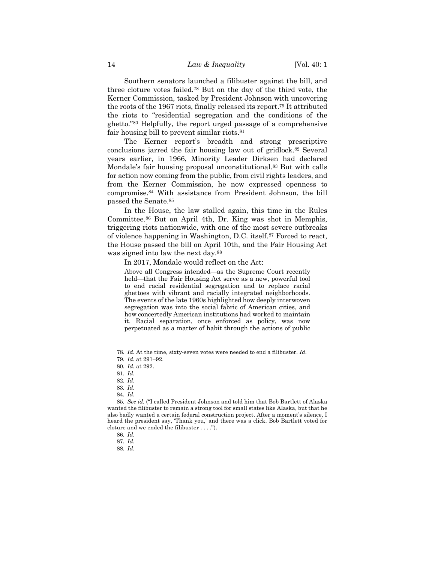Southern senators launched a filibuster against the bill, and three cloture votes failed.78 But on the day of the third vote, the Kerner Commission, tasked by President Johnson with uncovering the roots of the 1967 riots, finally released its report.79 It attributed the riots to "residential segregation and the conditions of the ghetto."80 Helpfully, the report urged passage of a comprehensive fair housing bill to prevent similar riots.<sup>81</sup>

The Kerner report's breadth and strong prescriptive conclusions jarred the fair housing law out of gridlock.82 Several years earlier, in 1966, Minority Leader Dirksen had declared Mondale's fair housing proposal unconstitutional.83 But with calls for action now coming from the public, from civil rights leaders, and from the Kerner Commission, he now expressed openness to compromise.84 With assistance from President Johnson, the bill passed the Senate.85

In the House, the law stalled again, this time in the Rules Committee.86 But on April 4th, Dr. King was shot in Memphis, triggering riots nationwide, with one of the most severe outbreaks of violence happening in Washington, D.C. itself.87 Forced to react, the House passed the bill on April 10th, and the Fair Housing Act was signed into law the next day.88

In 2017, Mondale would reflect on the Act:

Above all Congress intended—as the Supreme Court recently held—that the Fair Housing Act serve as a new, powerful tool to end racial residential segregation and to replace racial ghettoes with vibrant and racially integrated neighborhoods. The events of the late 1960s highlighted how deeply interwoven segregation was into the social fabric of American cities, and how concertedly American institutions had worked to maintain it. Racial separation, once enforced as policy, was now perpetuated as a matter of habit through the actions of public

<sup>78</sup>*. Id.* At the time, sixty-seven votes were needed to end a filibuster. *Id.*

<sup>79</sup>*. Id.* at 291–92.

<sup>80</sup>*. Id.* at 292.

<sup>81</sup>*. Id.* 

<sup>82</sup>*. Id.*

<sup>83</sup>*. Id.*

<sup>84</sup>*. Id.*

<sup>85</sup>*. See id.* ("I called President Johnson and told him that Bob Bartlett of Alaska wanted the filibuster to remain a strong tool for small states like Alaska, but that he also badly wanted a certain federal construction project. After a moment's silence, I heard the president say, 'Thank you,' and there was a click. Bob Bartlett voted for cloture and we ended the filibuster . . . .").

<sup>86</sup>*. Id.*

<sup>87</sup>*. Id.*

<sup>88</sup>*. Id.*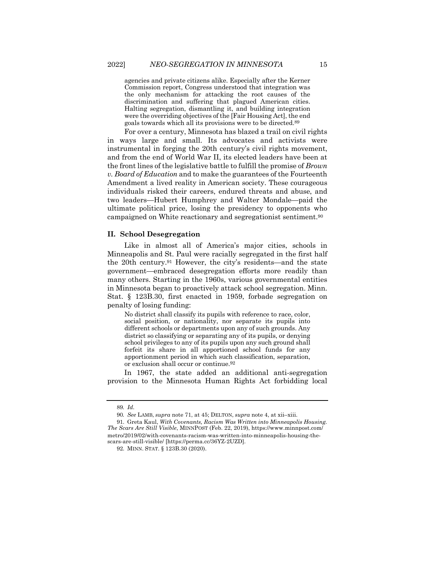agencies and private citizens alike. Especially after the Kerner Commission report, Congress understood that integration was the only mechanism for attacking the root causes of the discrimination and suffering that plagued American cities. Halting segregation, dismantling it, and building integration were the overriding objectives of the [Fair Housing Act], the end goals towards which all its provisions were to be directed.89

For over a century, Minnesota has blazed a trail on civil rights in ways large and small. Its advocates and activists were instrumental in forging the 20th century's civil rights movement, and from the end of World War II, its elected leaders have been at the front lines of the legislative battle to fulfill the promise of *Brown v. Board of Education* and to make the guarantees of the Fourteenth Amendment a lived reality in American society. These courageous individuals risked their careers, endured threats and abuse, and two leaders—Hubert Humphrey and Walter Mondale—paid the ultimate political price, losing the presidency to opponents who campaigned on White reactionary and segregationist sentiment.90

#### **II. School Desegregation**

Like in almost all of America's major cities, schools in Minneapolis and St. Paul were racially segregated in the first half the 20th century.91 However, the city's residents—and the state government—embraced desegregation efforts more readily than many others. Starting in the 1960s, various governmental entities in Minnesota began to proactively attack school segregation. Minn. Stat. § 123B.30, first enacted in 1959, forbade segregation on penalty of losing funding:

No district shall classify its pupils with reference to race, color, social position, or nationality, nor separate its pupils into different schools or departments upon any of such grounds. Any district so classifying or separating any of its pupils, or denying school privileges to any of its pupils upon any such ground shall forfeit its share in all apportioned school funds for any apportionment period in which such classification, separation, or exclusion shall occur or continue.92

In 1967, the state added an additional anti-segregation provision to the Minnesota Human Rights Act forbidding local

<sup>89</sup>*. Id.*

<sup>90</sup>*. See* LAMB, *supra* note 71, at 45; DELTON, *supra* note 4, at xii–xiii.

<sup>91.</sup> Greta Kaul, *With Covenants, Racism Was Written into Minneapolis Housing. The Scars Are Still Visible*, MINNPOST (Feb. 22, 2019), https://www.minnpost.com/ metro/2019/02/with-covenants-racism-was-written-into-minneapolis-housing-thescars-are-still-visible/ [https://perma.cc/36YZ-2UZD].

<sup>92.</sup> MINN. STAT. § 123B.30 (2020).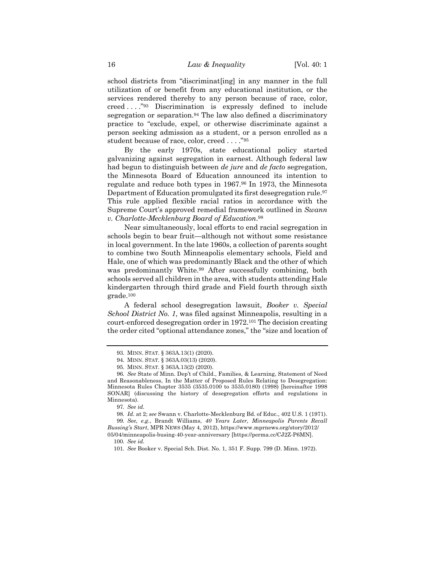school districts from "discriminat[ing] in any manner in the full utilization of or benefit from any educational institution, or the services rendered thereby to any person because of race, color, creed . . . ."93 Discrimination is expressly defined to include segregation or separation.94 The law also defined a discriminatory practice to "exclude, expel, or otherwise discriminate against a person seeking admission as a student, or a person enrolled as a student because of race, color, creed . . . ."95

By the early 1970s, state educational policy started galvanizing against segregation in earnest. Although federal law had begun to distinguish between *de jure* and *de facto* segregation, the Minnesota Board of Education announced its intention to regulate and reduce both types in 1967.96 In 1973, the Minnesota Department of Education promulgated its first desegregation rule.<sup>97</sup> This rule applied flexible racial ratios in accordance with the Supreme Court's approved remedial framework outlined in *Swann v. Charlotte-Mecklenburg Board of Education*.98

Near simultaneously, local efforts to end racial segregation in schools begin to bear fruit—although not without some resistance in local government. In the late 1960s, a collection of parents sought to combine two South Minneapolis elementary schools, Field and Hale, one of which was predominantly Black and the other of which was predominantly White.<sup>99</sup> After successfully combining, both schools served all children in the area, with students attending Hale kindergarten through third grade and Field fourth through sixth grade.100

A federal school desegregation lawsuit, *Booker v. Special School District No. 1*, was filed against Minneapolis, resulting in a court-enforced desegregation order in 1972.101 The decision creating the order cited "optional attendance zones," the "size and location of

<sup>93.</sup> MINN. STAT. § 363A.13(1) (2020).

<sup>94.</sup> MINN. STAT. § 363A.03(13) (2020).

<sup>95.</sup> MINN. STAT. § 363A.13(2) (2020).

<sup>96</sup>*. See* State of Minn. Dep't of Child., Families, & Learning, Statement of Need and Reasonableness, In the Matter of Proposed Rules Relating to Desegregation: Minnesota Rules Chapter 3535 (3535.0100 to 3535.0180) (1998) [hereinafter 1998 SONAR] (discussing the history of desegregation efforts and regulations in Minnesota).

<sup>97</sup>*. See id.*

<sup>98</sup>*. Id.* at 2; *see* Swann v. Charlotte-Mecklenburg Bd. of Educ., 402 U.S. 1 (1971). 99*. See, e.g.*, Brandt Williams, *40 Years Later, Minneapolis Parents Recall Bussing's Start*, MPR NEWS (May 4, 2012), https://www.mprnews.org/story/2012/ 05/04/minneapolis-busing-40-year-anniversary [https://perma.cc/CJ2Z-P6MN].

<sup>100</sup>*. See id.*

<sup>101</sup>*. See* Booker v. Special Sch. Dist. No. 1, 351 F. Supp. 799 (D. Minn. 1972).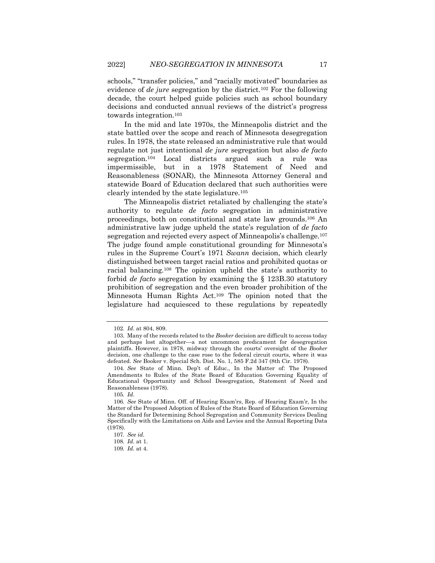schools," "transfer policies," and "racially motivated" boundaries as evidence of *de jure* segregation by the district.102 For the following decade, the court helped guide policies such as school boundary decisions and conducted annual reviews of the district's progress towards integration.103

In the mid and late 1970s, the Minneapolis district and the state battled over the scope and reach of Minnesota desegregation rules. In 1978, the state released an administrative rule that would regulate not just intentional *de jure* segregation but also *de facto*  segregation.104 Local districts argued such a rule was impermissible, but in a 1978 Statement of Need and Reasonableness (SONAR), the Minnesota Attorney General and statewide Board of Education declared that such authorities were clearly intended by the state legislature.105

The Minneapolis district retaliated by challenging the state's authority to regulate *de facto* segregation in administrative proceedings, both on constitutional and state law grounds.106 An administrative law judge upheld the state's regulation of *de facto*  segregation and rejected every aspect of Minneapolis's challenge.<sup>107</sup> The judge found ample constitutional grounding for Minnesota's rules in the Supreme Court's 1971 *Swann* decision, which clearly distinguished between target racial ratios and prohibited quotas or racial balancing.108 The opinion upheld the state's authority to forbid *de facto* segregation by examining the § 123B.30 statutory prohibition of segregation and the even broader prohibition of the Minnesota Human Rights Act.109 The opinion noted that the legislature had acquiesced to these regulations by repeatedly

<sup>102</sup>*. Id.* at 804, 809.

<sup>103.</sup> Many of the records related to the *Booker* decision are difficult to access today and perhaps lost altogether—a not uncommon predicament for desegregation plaintiffs. However, in 1978, midway through the courts' oversight of the *Booker*  decision, one challenge to the case rose to the federal circuit courts, where it was defeated. *See* Booker v. Special Sch. Dist. No. 1, 585 F.2d 347 (8th Cir. 1978).

<sup>104</sup>*. See* State of Minn. Dep't of Educ., In the Matter of: The Proposed Amendments to Rules of the State Board of Education Governing Equality of Educational Opportunity and School Desegregation, Statement of Need and Reasonableness (1978).

<sup>105</sup>*. Id.*

<sup>106</sup>*. See* State of Minn. Off. of Hearing Exam'rs, Rep. of Hearing Exam'r, In the Matter of the Proposed Adoption of Rules of the State Board of Education Governing the Standard for Determining School Segregation and Community Services Dealing Specifically with the Limitations on Aids and Levies and the Annual Reporting Data (1978).

<sup>107</sup>*. See id.*

<sup>108</sup>*. Id.* at 1.

<sup>109</sup>*. Id.* at 4.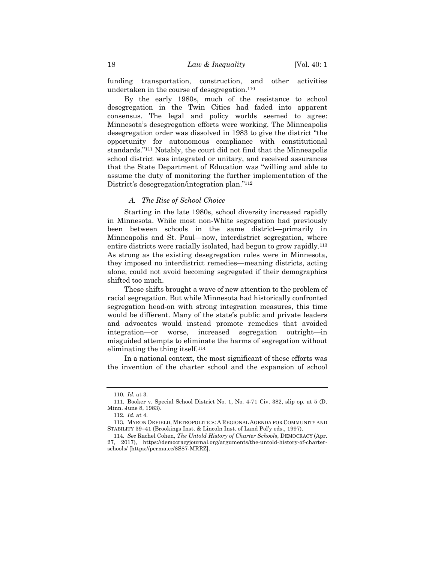funding transportation, construction, and other activities undertaken in the course of desegregation.110

By the early 1980s, much of the resistance to school desegregation in the Twin Cities had faded into apparent consensus. The legal and policy worlds seemed to agree: Minnesota's desegregation efforts were working. The Minneapolis desegregation order was dissolved in 1983 to give the district "the opportunity for autonomous compliance with constitutional standards."111 Notably, the court did not find that the Minneapolis school district was integrated or unitary, and received assurances that the State Department of Education was "willing and able to assume the duty of monitoring the further implementation of the District's desegregation/integration plan."112

#### *A. The Rise of School Choice*

Starting in the late 1980s, school diversity increased rapidly in Minnesota. While most non-White segregation had previously been between schools in the same district—primarily in Minneapolis and St. Paul—now, interdistrict segregation, where entire districts were racially isolated, had begun to grow rapidly.113 As strong as the existing desegregation rules were in Minnesota, they imposed no interdistrict remedies—meaning districts, acting alone, could not avoid becoming segregated if their demographics shifted too much.

These shifts brought a wave of new attention to the problem of racial segregation. But while Minnesota had historically confronted segregation head-on with strong integration measures, this time would be different. Many of the state's public and private leaders and advocates would instead promote remedies that avoided integration—or worse, increased segregation outright—in misguided attempts to eliminate the harms of segregation without eliminating the thing itself.114

In a national context, the most significant of these efforts was the invention of the charter school and the expansion of school

<sup>110</sup>*. Id.* at 3.

<sup>111.</sup> Booker v. Special School District No. 1, No. 4-71 Civ. 382, slip op. at 5 (D. Minn. June 8, 1983).

<sup>112</sup>*. Id.* at 4.

<sup>113.</sup> MYRON ORFIELD, METROPOLITICS: A REGIONAL AGENDA FOR COMMUNITY AND STABILITY 39-41 (Brookings Inst. & Lincoln Inst. of Land Pol'y eds., 1997).

<sup>114</sup>*. See* Rachel Cohen, *The Untold History of Charter Schools*, DEMOCRACY (Apr. 27, 2017), https://democracyjournal.org/arguments/the-untold-history-of-charterschools/ [https://perma.cc/8S87-MRRZ].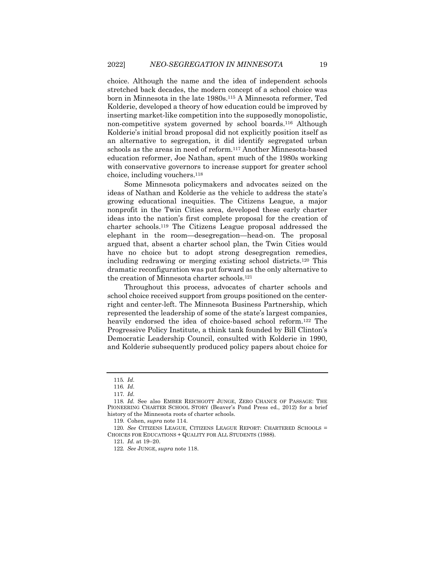choice. Although the name and the idea of independent schools stretched back decades, the modern concept of a school choice was born in Minnesota in the late 1980s.115 A Minnesota reformer, Ted Kolderie, developed a theory of how education could be improved by inserting market-like competition into the supposedly monopolistic, non-competitive system governed by school boards.116 Although Kolderie's initial broad proposal did not explicitly position itself as an alternative to segregation, it did identify segregated urban schools as the areas in need of reform.117 Another Minnesota-based education reformer, Joe Nathan, spent much of the 1980s working with conservative governors to increase support for greater school choice, including vouchers.118

Some Minnesota policymakers and advocates seized on the ideas of Nathan and Kolderie as the vehicle to address the state's growing educational inequities. The Citizens League, a major nonprofit in the Twin Cities area, developed these early charter ideas into the nation's first complete proposal for the creation of charter schools.119 The Citizens League proposal addressed the elephant in the room—desegregation—head-on. The proposal argued that, absent a charter school plan, the Twin Cities would have no choice but to adopt strong desegregation remedies, including redrawing or merging existing school districts.120 This dramatic reconfiguration was put forward as the only alternative to the creation of Minnesota charter schools.121

Throughout this process, advocates of charter schools and school choice received support from groups positioned on the centerright and center-left. The Minnesota Business Partnership, which represented the leadership of some of the state's largest companies, heavily endorsed the idea of choice-based school reform.<sup>122</sup> The Progressive Policy Institute, a think tank founded by Bill Clinton's Democratic Leadership Council, consulted with Kolderie in 1990, and Kolderie subsequently produced policy papers about choice for

<sup>115</sup>*. Id.*

<sup>116</sup>*. Id.*

<sup>117</sup>*. Id.*

<sup>118</sup>*. Id.* See also EMBER REICHGOTT JUNGE, ZERO CHANCE OF PASSAGE: THE PIONEERING CHARTER SCHOOL STORY (Beaver's Pond Press ed., 2012) for a brief history of the Minnesota roots of charter schools.

<sup>119.</sup> Cohen, *supra* note 114.

<sup>120</sup>*. See* CITIZENS LEAGUE, CITIZENS LEAGUE REPORT: CHARTERED SCHOOLS = CHOICES FOR EDUCATIONS + QUALITY FOR ALL STUDENTS (1988).

<sup>121</sup>*. Id.* at 19-20.

<sup>122</sup>*. See* JUNGE, *supra* note 118.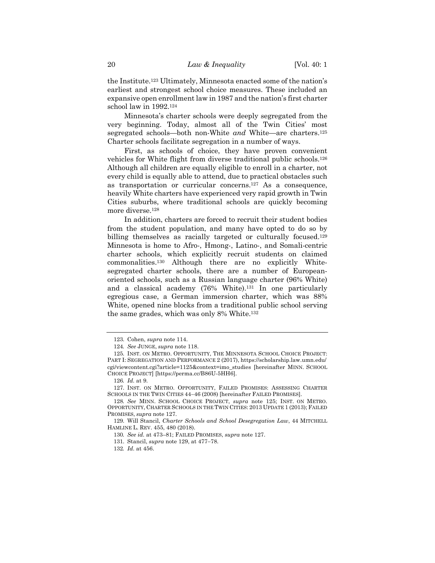the Institute.123 Ultimately, Minnesota enacted some of the nation's earliest and strongest school choice measures. These included an expansive open enrollment law in 1987 and the nation's first charter school law in 1992.124

Minnesota's charter schools were deeply segregated from the very beginning. Today, almost all of the Twin Cities' most segregated schools—both non-White *and* White—are charters.125 Charter schools facilitate segregation in a number of ways.

First, as schools of choice, they have proven convenient vehicles for White flight from diverse traditional public schools.126 Although all children are equally eligible to enroll in a charter, not every child is equally able to attend, due to practical obstacles such as transportation or curricular concerns.127 As a consequence, heavily White charters have experienced very rapid growth in Twin Cities suburbs, where traditional schools are quickly becoming more diverse.<sup>128</sup>

In addition, charters are forced to recruit their student bodies from the student population, and many have opted to do so by billing themselves as racially targeted or culturally focused.<sup>129</sup> Minnesota is home to Afro-, Hmong-, Latino-, and Somali-centric charter schools, which explicitly recruit students on claimed commonalities.130 Although there are no explicitly Whitesegregated charter schools, there are a number of Europeanoriented schools, such as a Russian language charter (96% White) and a classical academy (76% White).131 In one particularly egregious case, a German immersion charter, which was 88% White, opened nine blocks from a traditional public school serving the same grades, which was only 8% White.132

<sup>123.</sup> Cohen, *supra* note 114.

<sup>124</sup>*. See* JUNGE, *supra* note 118.

<sup>125.</sup> INST. ON METRO. OPPORTUNITY, THE MINNESOTA SCHOOL CHOICE PROJECT: PART I: SEGREGATION AND PERFORMANCE 2 (2017), https://scholarship.law.umn.edu/ cgi/viewcontent.cgi?article=1125&context=imo\_studies [hereinafter MINN. SCHOOL CHOICE PROJECT] [https://perma.cc/B86U-5HH6].

<sup>126</sup>*. Id.* at 9.

<sup>127.</sup> INST. ON METRO. OPPORTUNITY, FAILED PROMISES: ASSESSING CHARTER SCHOOLS IN THE TWIN CITIES 44-46 (2008) [hereinafter FAILED PROMISES].

<sup>128</sup>*. See* MINN. SCHOOL CHOICE PROJECT, *supra* note 125; INST. ON METRO. OPPORTUNITY, CHARTER SCHOOLS IN THE TWIN CITIES: 2013 UPDATE 1 (2013); FAILED PROMISES, *supra* note 127.

<sup>129.</sup> Will Stancil, *Charter Schools and School Desegregation Law*, 44 MITCHELL HAMLINE L. REV. 455, 480 (2018).

<sup>130</sup>*. See id.* at 473–81; FAILED PROMISES, *supra* note 127.

<sup>131.</sup> Stancil, *supra* note 129, at 477-78.

<sup>132</sup>*. Id.* at 456.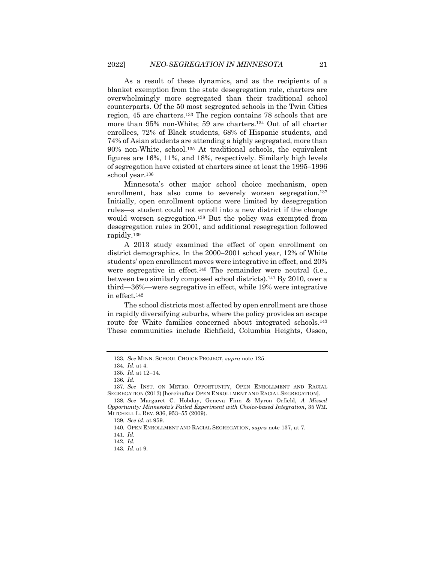As a result of these dynamics, and as the recipients of a blanket exemption from the state desegregation rule, charters are overwhelmingly more segregated than their traditional school counterparts. Of the 50 most segregated schools in the Twin Cities region, 45 are charters.133 The region contains 78 schools that are more than 95% non-White; 59 are charters.134 Out of all charter enrollees, 72% of Black students, 68% of Hispanic students, and 74% of Asian students are attending a highly segregated, more than 90% non-White, school.135 At traditional schools, the equivalent figures are 16%, 11%, and 18%, respectively. Similarly high levels of segregation have existed at charters since at least the 1995-1996 school year.136

Minnesota's other major school choice mechanism, open enrollment, has also come to severely worsen segregation.137 Initially, open enrollment options were limited by desegregation rules—a student could not enroll into a new district if the change would worsen segregation.138 But the policy was exempted from desegregation rules in 2001, and additional resegregation followed rapidly.139

A 2013 study examined the effect of open enrollment on district demographics. In the 2000-2001 school year, 12% of White students' open enrollment moves were integrative in effect, and 20% were segregative in effect.<sup>140</sup> The remainder were neutral (i.e., between two similarly composed school districts).141 By 2010, over a third—36%—were segregative in effect, while 19% were integrative in effect.142

The school districts most affected by open enrollment are those in rapidly diversifying suburbs, where the policy provides an escape route for White families concerned about integrated schools.<sup>143</sup> These communities include Richfield, Columbia Heights, Osseo,

<sup>133</sup>*. See* MINN. SCHOOL CHOICE PROJECT, *supra* note 125.

<sup>134</sup>*. Id.* at 4.

<sup>135</sup>*. Id.* at 12-14.

<sup>136</sup>*. Id.*

<sup>137</sup>*. See* INST. ON METRO. OPPORTUNITY, OPEN ENROLLMENT AND RACIAL SEGREGATION (2013) [hereinafter OPEN ENROLLMENT AND RACIAL SEGREGATION].

<sup>138</sup>*. See* Margaret C. Hobday, Geneva Finn & Myron Orfield, *A Missed Opportunity: Minnesota's Failed Experiment with Choice-based Integration*, 35 WM. MITCHELL L. REV. 936, 953–55 (2009).

<sup>139</sup>*. See id.* at 959.

<sup>140.</sup> OPEN ENROLLMENT AND RACIAL SEGREGATION, *supra* note 137, at 7.

<sup>141</sup>*. Id.*

<sup>142</sup>*. Id.*

<sup>143</sup>*. Id.* at 9.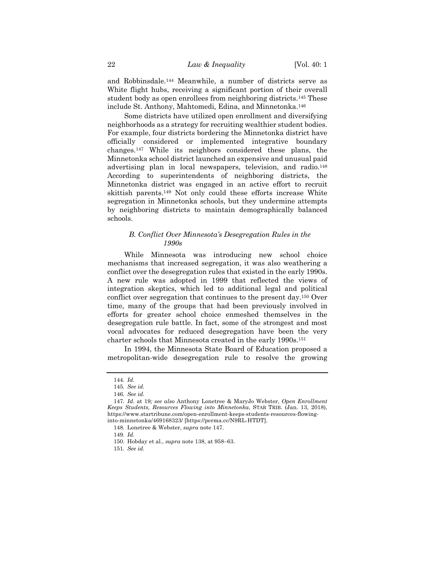and Robbinsdale.144 Meanwhile, a number of districts serve as White flight hubs, receiving a significant portion of their overall student body as open enrollees from neighboring districts.145 These include St. Anthony, Mahtomedi, Edina, and Minnetonka.146

Some districts have utilized open enrollment and diversifying neighborhoods as a strategy for recruiting wealthier student bodies. For example, four districts bordering the Minnetonka district have officially considered or implemented integrative boundary changes.147 While its neighbors considered these plans, the Minnetonka school district launched an expensive and unusual paid advertising plan in local newspapers, television, and radio.148 According to superintendents of neighboring districts, the Minnetonka district was engaged in an active effort to recruit skittish parents.149 Not only could these efforts increase White segregation in Minnetonka schools, but they undermine attempts by neighboring districts to maintain demographically balanced schools.

# *B. Conflict Over Minnesota's Desegregation Rules in the 1990s*

While Minnesota was introducing new school choice mechanisms that increased segregation, it was also weathering a conflict over the desegregation rules that existed in the early 1990s. A new rule was adopted in 1999 that reflected the views of integration skeptics, which led to additional legal and political conflict over segregation that continues to the present day.150 Over time, many of the groups that had been previously involved in efforts for greater school choice enmeshed themselves in the desegregation rule battle. In fact, some of the strongest and most vocal advocates for reduced desegregation have been the very charter schools that Minnesota created in the early 1990s.151

In 1994, the Minnesota State Board of Education proposed a metropolitan-wide desegregation rule to resolve the growing

<sup>144</sup>*. Id.*

<sup>145</sup>*. See id.*

<sup>146</sup>*. See id.*

<sup>147</sup>*. Id.* at 19*; see also* Anthony Lonetree & MaryJo Webster, *Open Enrollment Keeps Students, Resources Flowing into Minnetonka*, STAR TRIB. (Jan. 13, 2018), https://www.startribune.com/open-enrollment-keeps-students-resources-flowinginto-minnetonka/469168323/ [https://perma.cc/N9RL-HTDT].

<sup>148.</sup> Lonetree & Webster, *supra* note 147.

<sup>149</sup>*. Id.*

<sup>150.</sup> Hobday et al., *supra* note 138, at 958-63.

<sup>151</sup>*. See id.*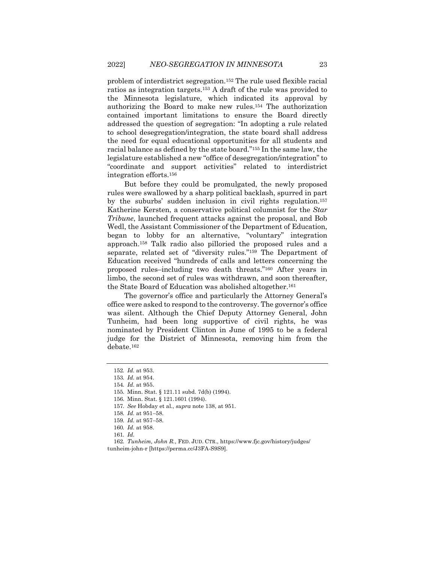problem of interdistrict segregation.152 The rule used flexible racial ratios as integration targets.153 A draft of the rule was provided to the Minnesota legislature, which indicated its approval by authorizing the Board to make new rules.154 The authorization contained important limitations to ensure the Board directly addressed the question of segregation: "In adopting a rule related to school desegregation/integration, the state board shall address the need for equal educational opportunities for all students and racial balance as defined by the state board."155 In the same law, the legislature established a new "office of desegregation/integration" to "coordinate and support activities" related to interdistrict integration efforts.156

But before they could be promulgated, the newly proposed rules were swallowed by a sharp political backlash, spurred in part by the suburbs' sudden inclusion in civil rights regulation.157 Katherine Kersten, a conservative political columnist for the *Star Tribune*, launched frequent attacks against the proposal, and Bob Wedl, the Assistant Commissioner of the Department of Education, began to lobby for an alternative, "voluntary" integration approach.158 Talk radio also pilloried the proposed rules and a separate, related set of "diversity rules."159 The Department of Education received "hundreds of calls and letters concerning the proposed rules–including two death threats."160 After years in limbo, the second set of rules was withdrawn, and soon thereafter, the State Board of Education was abolished altogether.161

The governor's office and particularly the Attorney General's office were asked to respond to the controversy. The governor's office was silent. Although the Chief Deputy Attorney General, John Tunheim, had been long supportive of civil rights, he was nominated by President Clinton in June of 1995 to be a federal judge for the District of Minnesota, removing him from the debate.162

<sup>152</sup>*. Id.* at 953.

<sup>153</sup>*. Id.* at 954.

<sup>154</sup>*. Id.* at 955.

<sup>155.</sup> Minn. Stat. § 121.11 subd. 7d(b) (1994).

<sup>156.</sup> Minn. Stat. § 121.1601 (1994).

<sup>157</sup>*. See* Hobday et al., *supra* note 138, at 951.

<sup>158</sup>*. Id.* at 951-58.

<sup>159</sup>*. Id.* at 957-58.

<sup>160</sup>*. Id.* at 958.

<sup>161</sup>*. Id.*

<sup>162</sup>*. Tunheim, John R.*, FED. JUD. CTR., https://www.fjc.gov/history/judges/ tunheim-john-r [https://perma.cc/J3FA-S9S9].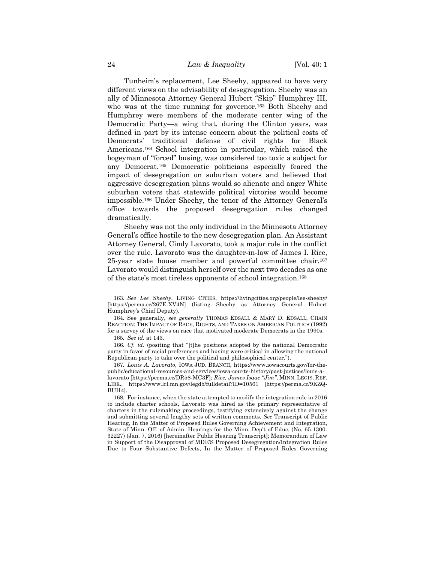Tunheim's replacement, Lee Sheehy, appeared to have very different views on the advisability of desegregation. Sheehy was an ally of Minnesota Attorney General Hubert "Skip" Humphrey III, who was at the time running for governor.<sup>163</sup> Both Sheehy and Humphrey were members of the moderate center wing of the Democratic Party—a wing that, during the Clinton years, was defined in part by its intense concern about the political costs of Democrats' traditional defense of civil rights for Black Americans.164 School integration in particular, which raised the bogeyman of "forced" busing, was considered too toxic a subject for any Democrat.165 Democratic politicians especially feared the impact of desegregation on suburban voters and believed that aggressive desegregation plans would so alienate and anger White suburban voters that statewide political victories would become impossible.166 Under Sheehy, the tenor of the Attorney General's office towards the proposed desegregation rules changed dramatically.

Sheehy was not the only individual in the Minnesota Attorney General's office hostile to the new desegregation plan. An Assistant Attorney General, Cindy Lavorato, took a major role in the conflict over the rule. Lavorato was the daughter-in-law of James I. Rice, 25-year state house member and powerful committee chair.167 Lavorato would distinguish herself over the next two decades as one of the state's most tireless opponents of school integration.168

165*. See id.* at 143.

166*. Cf. id.* (positing that "[t]he positions adopted by the national Democratic party in favor of racial preferences and busing were critical in allowing the national Republican party to take over the political and philosophical center.").

167*. Louis A. Lavorato*, IOWA JUD. BRANCH, https://www.iowacourts.gov/for-thepublic/educational-resources-and-services/iowa-courts-history/past-justices/louis-alavorato [https://perma.cc/DR58-MC3F]; *Rice, James Isaac "Jim"*, MINN. LEGIS. REF. LIBR., https://www.lrl.mn.gov/legdb/fulldetail?ID=10561 [https://perma.cc/9KZQ-BUH4].

168. For instance, when the state attempted to modify the integration rule in 2016 to include charter schools, Lavorato was hired as the primary representative of charters in the rulemaking proceedings, testifying extensively against the change and submitting several lengthy sets of written comments. *See* Transcript of Public Hearing, In the Matter of Proposed Rules Governing Achievement and Integration, State of Minn. Off. of Admin. Hearings for the Minn. Dep't of Educ. (No. 65-1300- 32227) (Jan. 7, 2016) [hereinafter Public Hearing Transcript]; Memorandum of Law in Support of the Disapproval of MDE'S Proposed Desegregation/Integration Rules Due to Four Substantive Defects, In the Matter of Proposed Rules Governing

<sup>163</sup>*. See Lee Sheehy*, LIVING CITIES, https://livingcities.org/people/lee-sheehy/ [https://perma.cc/267E-XV4N] (listing Sheehy as Attorney General Hubert Humphrey's Chief Deputy).

<sup>164.</sup> See generally, *see generally* THOMAS EDSALL & MARY D. EDSALL, CHAIN REACTION: THE IMPACT OF RACE, RIGHTS, AND TAXES ON AMERICAN POLITICS (1992) for a survey of the views on race that motivated moderate Democrats in the 1990s.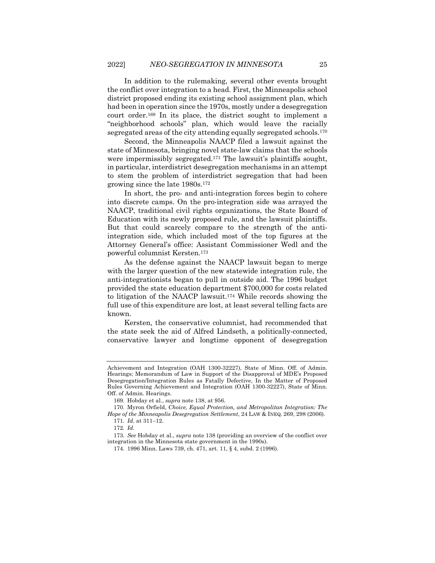In addition to the rulemaking, several other events brought the conflict over integration to a head. First, the Minneapolis school district proposed ending its existing school assignment plan, which had been in operation since the 1970s, mostly under a desegregation court order.169 In its place, the district sought to implement a "neighborhood schools" plan, which would leave the racially segregated areas of the city attending equally segregated schools.<sup>170</sup>

Second, the Minneapolis NAACP filed a lawsuit against the state of Minnesota, bringing novel state-law claims that the schools were impermissibly segregated.171 The lawsuit's plaintiffs sought, in particular, interdistrict desegregation mechanisms in an attempt to stem the problem of interdistrict segregation that had been growing since the late 1980s.172

In short, the pro- and anti-integration forces begin to cohere into discrete camps. On the pro-integration side was arrayed the NAACP, traditional civil rights organizations, the State Board of Education with its newly proposed rule, and the lawsuit plaintiffs. But that could scarcely compare to the strength of the antiintegration side, which included most of the top figures at the Attorney General's office: Assistant Commissioner Wedl and the powerful columnist Kersten.173

As the defense against the NAACP lawsuit began to merge with the larger question of the new statewide integration rule, the anti-integrationists began to pull in outside aid. The 1996 budget provided the state education department \$700,000 for costs related to litigation of the NAACP lawsuit.174 While records showing the full use of this expenditure are lost, at least several telling facts are known.

Kersten, the conservative columnist, had recommended that the state seek the aid of Alfred Lindseth, a politically-connected, conservative lawyer and longtime opponent of desegregation

Achievement and Integration (OAH 1300-32227), State of Minn. Off. of Admin. Hearings; Memorandum of Law in Support of the Disapproval of MDE's Proposed Desegregation/Integration Rules as Fatally Defective, In the Matter of Proposed Rules Governing Achievement and Integration (OAH 1300-32227), State of Minn. Off. of Admin. Hearings.

<sup>169.</sup> Hobday et al., *supra* note 138, at 956.

<sup>170.</sup> Myron Orfield, *Choice, Equal Protection, and Metropolitan Integration: The Hope of the Minneapolis Desegregation Settlement*, 24 LAW & INEQ. 269, 298 (2006).

<sup>171</sup>*. Id.* at 311-12.

<sup>172</sup>*. Id.*

<sup>173.</sup> *See* Hobday et al., *supra* note 138 (providing an overview of the conflict over integration in the Minnesota state government in the 1990s).

<sup>174.</sup> 1996 Minn. Laws 739, ch. 471, art. 11, § 4, subd. 2 (1996).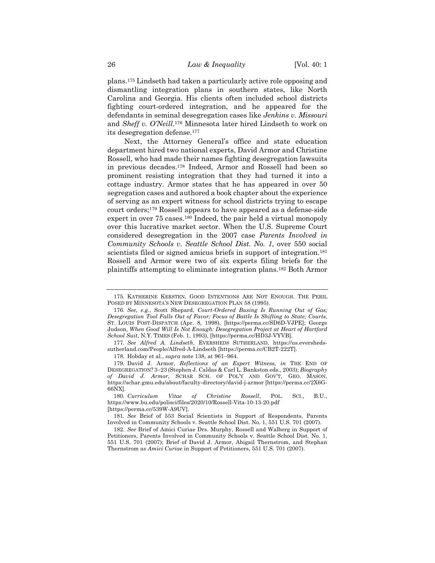plans.175 Lindseth had taken a particularly active role opposing and dismantling integration plans in southern states, like North Carolina and Georgia. His clients often included school districts fighting court-ordered integration, and he appeared for the defendants in seminal desegregation cases like *Jenkins v. Missouri*  and *Sheff v. O'Neill*.176 Minnesota later hired Lindseth to work on its desegregation defense.177

Next, the Attorney General's office and state education department hired two national experts, David Armor and Christine Rossell, who had made their names fighting desegregation lawsuits in previous decades.178 Indeed, Armor and Rossell had been so prominent resisting integration that they had turned it into a cottage industry. Armor states that he has appeared in over 50 segregation cases and authored a book chapter about the experience of serving as an expert witness for school districts trying to escape court orders;179 Rossell appears to have appeared as a defense-side expert in over 75 cases.180 Indeed, the pair held a virtual monopoly over this lucrative market sector. When the U.S. Supreme Court considered desegregation in the 2007 case *Parents Involved in Community Schools v. Seattle School Dist. No. 1*, over 550 social scientists filed or signed amicus briefs in support of integration.<sup>181</sup> Rossell and Armor were two of six experts filing briefs for the plaintiffs attempting to eliminate integration plans.182 Both Armor

<sup>175.</sup> KATHERINE KERSTEN, GOOD INTENTIONS ARE NOT ENOUGH. THE PERIL POSED BY MINNESOTA'S NEW DESEGREGATION PLAN 58 (1995).

<sup>176</sup>*. See, e.g.*, Scott Shepard, *Court-Ordered Busing Is Running Out of Gas; Desegregation Tool Falls Out of Favor; Focus of Battle Is Shifting to State; Courts*, ST. LOUIS POST-DISPATCH (Apr. 8, 1998), [https://perma.cc/SD6D-VJPE]; George Judson, *When Good Will Is Not Enough: Desegregation Project at Heart of Hartford School Suit*, N.Y. TIMES (Feb. 1, 1993), [https://perma.cc/HD3J-VYVB].

<sup>177</sup>*. See Alfred A. Lindseth*, EVERSHEDS SUTHERLAND, https://us.evershedssutherland.com/People/Alfred-A-Lindseth [https://perma.cc/CB2T-222T].

<sup>178.</sup> Hobday et al., *supra* note 138, at 961-964.

<sup>179.</sup> David J. Armor, *Reflections of an Expert Witness, in* THE END OF DESEGREGATION? 3-23 (Stephen J. Caldas & Carl L. Bankston eds., 2003); *Biography of David J. Armor*, SCHAR SCH. OF POL'Y AND GOV'T, GEO. MASON, https://schar.gmu.edu/about/faculty-directory/david-j-armor [https://perma.cc/2X6G-66NX].

<sup>180.</sup> *Curriculum Vitae of Christine Rossell*, POL. SCI., B.U., https://www.bu.edu/polisci/files/2020/10/Rossell-Vita-10-13-20.pdf [https://perma.cc/539W-A9UV].

<sup>181</sup>*. See* Brief of 553 Social Scientists in Support of Respondents, Parents Involved in Community Schools v. Seattle School Dist. No. 1, 551 U.S. 701 (2007).

<sup>182</sup>*. See* Brief of Amici Curiae Drs. Murphy, Rossell and Walberg in Support of Petitioners, Parents Involved in Community Schools v. Seattle School Dist. No. 1, 551 U.S. 701 (2007); Brief of David J. Armor, Abigail Thernstrom, and Stephan Thernstrom as *Amici Curiae* in Support of Petitioners, 551 U.S. 701 (2007).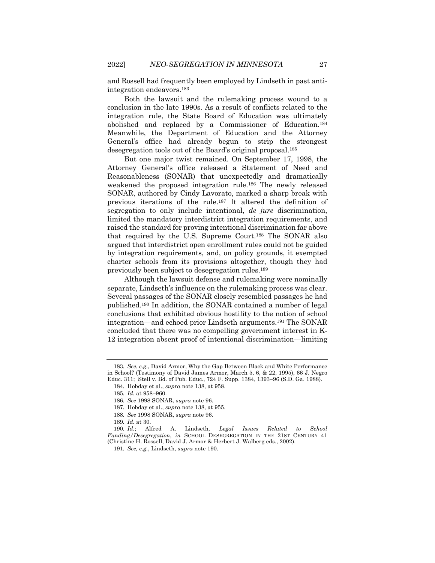and Rossell had frequently been employed by Lindseth in past antiintegration endeavors.183

Both the lawsuit and the rulemaking process wound to a conclusion in the late 1990s. As a result of conflicts related to the integration rule, the State Board of Education was ultimately abolished and replaced by a Commissioner of Education.184 Meanwhile, the Department of Education and the Attorney General's office had already begun to strip the strongest desegregation tools out of the Board's original proposal.185

But one major twist remained. On September 17, 1998, the Attorney General's office released a Statement of Need and Reasonableness (SONAR) that unexpectedly and dramatically weakened the proposed integration rule.186 The newly released SONAR, authored by Cindy Lavorato, marked a sharp break with previous iterations of the rule.187 It altered the definition of segregation to only include intentional, *de jure* discrimination, limited the mandatory interdistrict integration requirements, and raised the standard for proving intentional discrimination far above that required by the U.S. Supreme Court.188 The SONAR also argued that interdistrict open enrollment rules could not be guided by integration requirements, and, on policy grounds, it exempted charter schools from its provisions altogether, though they had previously been subject to desegregation rules.189

Although the lawsuit defense and rulemaking were nominally separate, Lindseth's influence on the rulemaking process was clear. Several passages of the SONAR closely resembled passages he had published.190 In addition, the SONAR contained a number of legal conclusions that exhibited obvious hostility to the notion of school integration—and echoed prior Lindseth arguments.191 The SONAR concluded that there was no compelling government interest in K-12 integration absent proof of intentional discrimination—limiting

<sup>183.</sup> *See*, *e.g.*, David Armor, Why the Gap Between Black and White Performance in School? (Testimony of David James Armor, March 5, 6, & 22, 1995), 66 J. Negro Educ. 311; Stell v. Bd. of Pub. Educ., 724 F. Supp. 1384, 1393–96 (S.D. Ga. 1988).

<sup>184.</sup> Hobday et al., *supra* note 138, at 958.

<sup>185</sup>*. Id.* at 958-960.

<sup>186</sup>*. See* 1998 SONAR, *supra* note 96.

<sup>187.</sup> Hobday et al., *supra* note 138, at 955.

<sup>188</sup>*. See* 1998 SONAR, *supra* note 96.

<sup>189</sup>*. Id.* at 30.

<sup>190</sup>*. Id.*; Alfred A. Lindseth*, Legal Issues Related to School Funding/Desegregation*, *in* SCHOOL DESEGREGATION IN THE 21ST CENTURY 41 (Christine H. Rossell, David J. Armor & Herbert J. Walberg eds., 2002).

<sup>191</sup>*. See, e.g.*, Lindseth, *supra* note 190.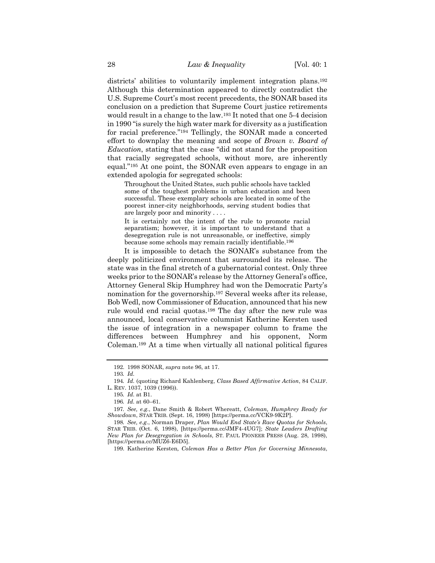districts' abilities to voluntarily implement integration plans.<sup>192</sup> Although this determination appeared to directly contradict the U.S. Supreme Court's most recent precedents, the SONAR based its conclusion on a prediction that Supreme Court justice retirements would result in a change to the law.193 It noted that one 5-4 decision in 1990 "is surely the high water mark for diversity as a justification for racial preference."194 Tellingly, the SONAR made a concerted effort to downplay the meaning and scope of *Brown v. Board of Education*, stating that the case "did not stand for the proposition that racially segregated schools, without more, are inherently equal."195 At one point, the SONAR even appears to engage in an extended apologia for segregated schools:

Throughout the United States, such public schools have tackled some of the toughest problems in urban education and been successful. These exemplary schools are located in some of the poorest inner-city neighborhoods, serving student bodies that are largely poor and minority . . . .

It is certainly not the intent of the rule to promote racial separatism; however, it is important to understand that a desegregation rule is not unreasonable, or ineffective, simply because some schools may remain racially identifiable.196

It is impossible to detach the SONAR's substance from the deeply politicized environment that surrounded its release. The state was in the final stretch of a gubernatorial contest. Only three weeks prior to the SONAR's release by the Attorney General's office, Attorney General Skip Humphrey had won the Democratic Party's nomination for the governorship.197 Several weeks after its release, Bob Wedl, now Commissioner of Education, announced that his new rule would end racial quotas.198 The day after the new rule was announced, local conservative columnist Katherine Kersten used the issue of integration in a newspaper column to frame the differences between Humphrey and his opponent, Norm Coleman.199 At a time when virtually all national political figures

199. Katherine Kersten*, Coleman Has a Better Plan for Governing Minnesota*,

<sup>192.</sup> 1998 SONAR, *supra* note 96, at 17.

<sup>193</sup>*. Id.*

<sup>194</sup>*. Id.* (quoting Richard Kahlenberg, *Class Based Affirmative Action*, 84 CALIF. L. REV. 1037, 1039 (1996)).

<sup>195</sup>*. Id.* at B1.

<sup>196</sup>*. Id.* at 60–61.

<sup>197</sup>*. See, e.g.*, Dane Smith & Robert Whereatt, *Coleman, Humphrey Ready for Showdown*, STAR TRIB. (Sept. 16, 1998) [https://perma.cc/VCK9-9K2P].

<sup>198</sup>*. See, e.g.*, Norman Draper, *Plan Would End State's Race Quotas for Schools*, STAR TRIB. (Oct. 6, 1998), [https://perma.cc/JMF4-4UG7]; *State Leaders Drafting New Plan for Desegregation in Schools*, ST. PAUL PIONEER PRESS (Aug. 28, 1998), [https://perma.cc/MUZ6-E6D5].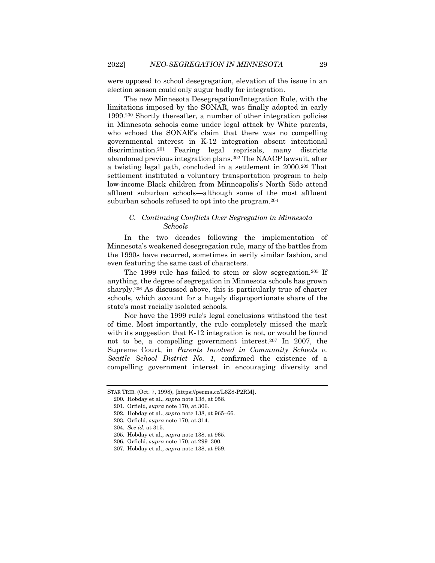were opposed to school desegregation, elevation of the issue in an election season could only augur badly for integration.

The new Minnesota Desegregation/Integration Rule, with the limitations imposed by the SONAR, was finally adopted in early 1999.200 Shortly thereafter, a number of other integration policies in Minnesota schools came under legal attack by White parents, who echoed the SONAR's claim that there was no compelling governmental interest in K-12 integration absent intentional discrimination.201 Fearing legal reprisals, many districts abandoned previous integration plans.202 The NAACP lawsuit, after a twisting legal path, concluded in a settlement in 2000.203 That settlement instituted a voluntary transportation program to help low-income Black children from Minneapolis's North Side attend affluent suburban schools—although some of the most affluent suburban schools refused to opt into the program.204

# *C. Continuing Conflicts Over Segregation in Minnesota Schools*

In the two decades following the implementation of Minnesota's weakened desegregation rule, many of the battles from the 1990s have recurred, sometimes in eerily similar fashion, and even featuring the same cast of characters.

The 1999 rule has failed to stem or slow segregation.205 If anything, the degree of segregation in Minnesota schools has grown sharply.206 As discussed above, this is particularly true of charter schools, which account for a hugely disproportionate share of the state's most racially isolated schools.

Nor have the 1999 rule's legal conclusions withstood the test of time. Most importantly, the rule completely missed the mark with its suggestion that K-12 integration is not, or would be found not to be, a compelling government interest.<sup>207</sup> In 2007, the Supreme Court, in *Parents Involved in Community Schools v. Seattle School District No. 1*, confirmed the existence of a compelling government interest in encouraging diversity and

STAR TRIB. (Oct. 7, 1998), [https://perma.cc/L6Z8-P2RM].

<sup>200.</sup> Hobday et al., *supra* note 138, at 958.

<sup>201.</sup> Orfield, *supra* note 170, at 306.

<sup>202.</sup> Hobday et al., *supra* note 138, at 965–66.

<sup>203.</sup> Orfield, *supra* note 170, at 314.

<sup>204</sup>*. See id.* at 315.

<sup>205.</sup> Hobday et al., *supra* note 138, at 965.

<sup>206.</sup> Orfield, *supra* note 170, at 299–300.

<sup>207.</sup> Hobday et al., *supra* note 138, at 959.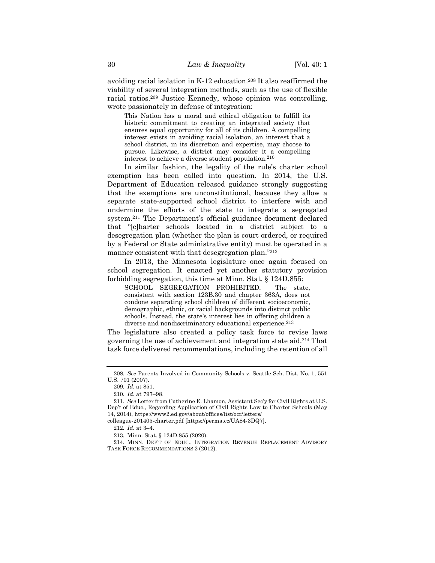avoiding racial isolation in K-12 education.208 It also reaffirmed the viability of several integration methods, such as the use of flexible racial ratios.209 Justice Kennedy, whose opinion was controlling, wrote passionately in defense of integration:

This Nation has a moral and ethical obligation to fulfill its historic commitment to creating an integrated society that ensures equal opportunity for all of its children. A compelling interest exists in avoiding racial isolation, an interest that a school district, in its discretion and expertise, may choose to pursue. Likewise, a district may consider it a compelling interest to achieve a diverse student population.210

In similar fashion, the legality of the rule's charter school exemption has been called into question. In 2014, the U.S. Department of Education released guidance strongly suggesting that the exemptions are unconstitutional, because they allow a separate state-supported school district to interfere with and undermine the efforts of the state to integrate a segregated system.211 The Department's official guidance document declared that "[c]harter schools located in a district subject to a desegregation plan (whether the plan is court ordered, or required by a Federal or State administrative entity) must be operated in a manner consistent with that desegregation plan."212

In 2013, the Minnesota legislature once again focused on school segregation. It enacted yet another statutory provision forbidding segregation, this time at Minn. Stat. § 124D.855:

SCHOOL SEGREGATION PROHIBITED. The state, consistent with section 123B.30 and chapter 363A, does not condone separating school children of different socioeconomic, demographic, ethnic, or racial backgrounds into distinct public schools. Instead, the state's interest lies in offering children a diverse and nondiscriminatory educational experience.<sup>213</sup>

The legislature also created a policy task force to revise laws governing the use of achievement and integration state aid.214 That task force delivered recommendations, including the retention of all

<sup>208</sup>*. See* Parents Involved in Community Schools v. Seattle Sch. Dist. No. 1, 551 U.S. 701 (2007).

<sup>209</sup>*. Id.* at 851.

<sup>210</sup>*. Id.* at 797–98.

<sup>211</sup>*. See* Letter from Catherine E. Lhamon, Assistant Sec'y for Civil Rights at U.S. Dep't of Educ., Regarding Application of Civil Rights Law to Charter Schools (May 14, 2014), https://www2.ed.gov/about/offices/list/ocr/letters/ colleague-201405-charter.pdf [https://perma.cc/UA84-3DQ7].

<sup>212</sup>*. Id.* at 3–4.

<sup>213.</sup> Minn. Stat. § 124D.855 (2020).

<sup>214.</sup> MINN. DEP'T OF EDUC., INTEGRATION REVENUE REPLACEMENT ADVISORY TASK FORCE RECOMMENDATIONS 2 (2012).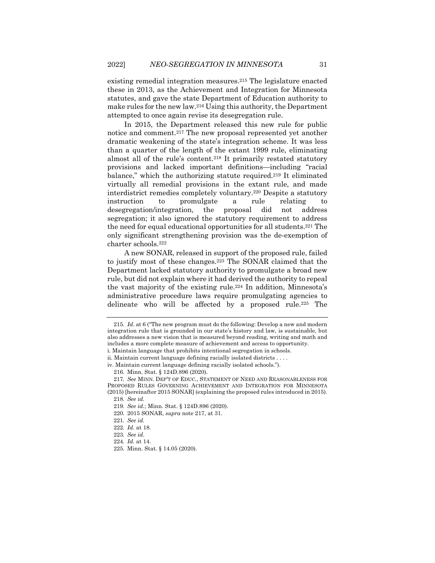existing remedial integration measures.215 The legislature enacted these in 2013, as the Achievement and Integration for Minnesota statutes, and gave the state Department of Education authority to make rules for the new law.216 Using this authority, the Department attempted to once again revise its desegregation rule.

In 2015, the Department released this new rule for public notice and comment.217 The new proposal represented yet another dramatic weakening of the state's integration scheme. It was less than a quarter of the length of the extant 1999 rule, eliminating almost all of the rule's content.218 It primarily restated statutory provisions and lacked important definitions—including "racial balance," which the authorizing statute required.219 It eliminated virtually all remedial provisions in the extant rule, and made interdistrict remedies completely voluntary.220 Despite a statutory instruction to promulgate a rule relating to desegregation/integration, the proposal did not address segregation; it also ignored the statutory requirement to address the need for equal educational opportunities for all students.221 The only significant strengthening provision was the de-exemption of charter schools.222

A new SONAR, released in support of the proposed rule, failed to justify most of these changes.223 The SONAR claimed that the Department lacked statutory authority to promulgate a broad new rule, but did not explain where it had derived the authority to repeal the vast majority of the existing rule.224 In addition, Minnesota's administrative procedure laws require promulgating agencies to delineate who will be affected by a proposed rule.225 The

<sup>215</sup>*. Id.* at 6 ("The new program must do the following: Develop a new and modern integration rule that is grounded in our state's history and law, is sustainable, but also addresses a new vision that is measured beyond reading, writing and math and includes a more complete measure of achievement and access to opportunity. i. Maintain language that prohibits intentional segregation in schools.

ii. Maintain current language defining racially isolated districts . . . . iv. Maintain current language defining racially isolated schools.").

<sup>216.</sup> Minn. Stat. § 124D.896 (2020).

<sup>217</sup>*. See* MINN. DEP'T OF EDUC., STATEMENT OF NEED AND REASONABLENESS FOR PROPOSED RULES GOVERNING ACHIEVEMENT AND INTEGRATION FOR MINNESOTA (2015) [hereinafter 2015 SONAR] (explaining the proposed rules introduced in 2015).

<sup>218</sup>*. See id.*

<sup>219</sup>*. See id.*; Minn. Stat. § 124D.896 (2020).

<sup>220.</sup> 2015 SONAR, *supra* note 217, at 31.

<sup>221</sup>*. See id.*

<sup>222</sup>*. Id.* at 18.

<sup>223</sup>*. See id.*

<sup>224</sup>*. Id.* at 14.

<sup>225.</sup> Minn. Stat. § 14.05 (2020).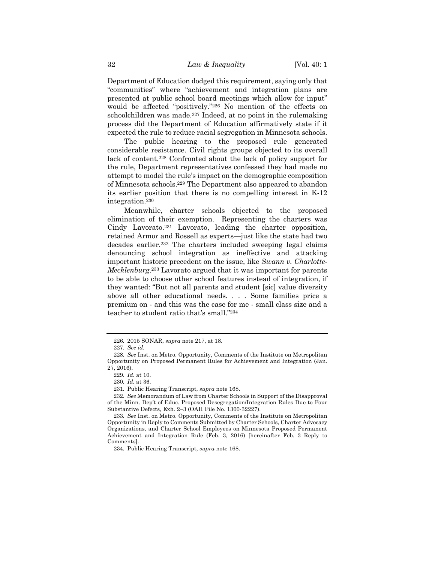Department of Education dodged this requirement, saying only that "communities" where "achievement and integration plans are presented at public school board meetings which allow for input" would be affected "positively."226 No mention of the effects on schoolchildren was made.<sup>227</sup> Indeed, at no point in the rulemaking process did the Department of Education affirmatively state if it expected the rule to reduce racial segregation in Minnesota schools.

The public hearing to the proposed rule generated considerable resistance. Civil rights groups objected to its overall lack of content.228 Confronted about the lack of policy support for the rule, Department representatives confessed they had made no attempt to model the rule's impact on the demographic composition of Minnesota schools.229 The Department also appeared to abandon its earlier position that there is no compelling interest in K-12 integration.230

Meanwhile, charter schools objected to the proposed elimination of their exemption. Representing the charters was Cindy Lavorato.231 Lavorato, leading the charter opposition, retained Armor and Rossell as experts—just like the state had two decades earlier.232 The charters included sweeping legal claims denouncing school integration as ineffective and attacking important historic precedent on the issue, like *Swann v. Charlotte-Mecklenburg*.233 Lavorato argued that it was important for parents to be able to choose other school features instead of integration, if they wanted: "But not all parents and student [sic] value diversity above all other educational needs. . . . Some families price a premium on - and this was the case for me - small class size and a teacher to student ratio that's small."234

<sup>226</sup>*.* 2015 SONAR, *supra* note 217, at 18.

<sup>227</sup>*. See id.*

<sup>228</sup>*. See* Inst. on Metro. Opportunity, Comments of the Institute on Metropolitan Opportunity on Proposed Permanent Rules for Achievement and Integration (Jan. 27, 2016).

<sup>229</sup>*. Id.* at 10.

<sup>230</sup>*. Id.* at 36.

<sup>231.</sup> Public Hearing Transcript, *supra* note 168.

<sup>232</sup>*. See* Memorandum of Law from Charter Schools in Support of the Disapproval of the Minn. Dep't of Educ. Proposed Desegregation/Integration Rules Due to Four Substantive Defects, Exh. 2–3 (OAH File No. 1300-32227).

<sup>233</sup>*. See* Inst. on Metro. Opportunity, Comments of the Institute on Metropolitan Opportunity in Reply to Comments Submitted by Charter Schools, Charter Advocacy Organizations, and Charter School Employees on Minnesota Proposed Permanent Achievement and Integration Rule (Feb. 3, 2016) [hereinafter Feb. 3 Reply to Comments].

<sup>234.</sup> Public Hearing Transcript, *supra* note 168.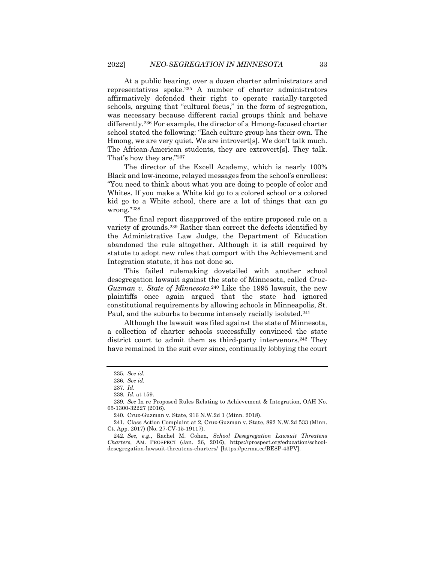At a public hearing, over a dozen charter administrators and representatives spoke.235 A number of charter administrators affirmatively defended their right to operate racially-targeted schools, arguing that "cultural focus," in the form of segregation, was necessary because different racial groups think and behave differently.236 For example, the director of a Hmong-focused charter school stated the following: "Each culture group has their own. The Hmong, we are very quiet. We are introvert[s]. We don't talk much. The African-American students, they are extrovert[s]. They talk. That's how they are."237

The director of the Excell Academy, which is nearly 100% Black and low-income, relayed messages from the school's enrollees: "You need to think about what you are doing to people of color and Whites. If you make a White kid go to a colored school or a colored kid go to a White school, there are a lot of things that can go wrong."238

The final report disapproved of the entire proposed rule on a variety of grounds.239 Rather than correct the defects identified by the Administrative Law Judge, the Department of Education abandoned the rule altogether. Although it is still required by statute to adopt new rules that comport with the Achievement and Integration statute, it has not done so.

This failed rulemaking dovetailed with another school desegregation lawsuit against the state of Minnesota, called *Cruz-Guzman v. State of Minnesota*.240 Like the 1995 lawsuit, the new plaintiffs once again argued that the state had ignored constitutional requirements by allowing schools in Minneapolis, St. Paul, and the suburbs to become intensely racially isolated.<sup>241</sup>

Although the lawsuit was filed against the state of Minnesota, a collection of charter schools successfully convinced the state district court to admit them as third-party intervenors.242 They have remained in the suit ever since, continually lobbying the court

<sup>235</sup>*. See id.*

<sup>236</sup>*. See id.*

<sup>237</sup>*. Id.*

<sup>238</sup>*. Id.* at 159.

<sup>239</sup>*. See* In re Proposed Rules Relating to Achievement & Integration, OAH No. 65-1300-32227 (2016).

<sup>240.</sup> Cruz-Guzman v. State, 916 N.W.2d 1 (Minn. 2018).

<sup>241.</sup> Class Action Complaint at 2, Cruz-Guzman v. State, 892 N.W.2d 533 (Minn. Ct. App. 2017) (No. 27-CV-15-19117).

<sup>242</sup>*. See, e.g.*, Rachel M. Cohen, *School Desegregation Lawsuit Threatens Charters*, AM. PROSPECT (Jan. 26, 2016), https://prospect.org/education/schooldesegregation-lawsuit-threatens-charters/ [https://perma.cc/BE8P-43PV].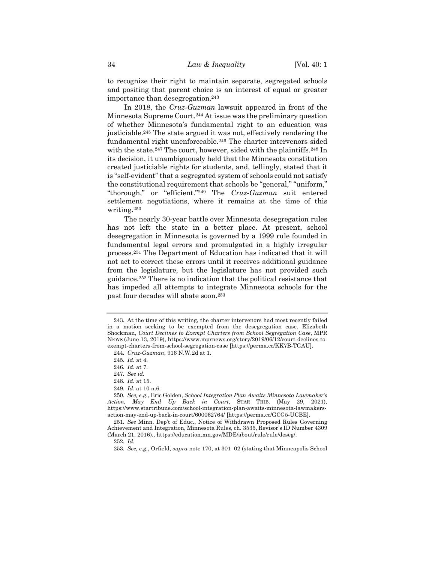to recognize their right to maintain separate, segregated schools and positing that parent choice is an interest of equal or greater importance than desegregation.243

In 2018, the *Cruz-Guzman* lawsuit appeared in front of the Minnesota Supreme Court.244 At issue was the preliminary question of whether Minnesota's fundamental right to an education was justiciable.245 The state argued it was not, effectively rendering the fundamental right unenforceable.246 The charter intervenors sided with the state.<sup>247</sup> The court, however, sided with the plaintiffs.<sup>248</sup> In its decision, it unambiguously held that the Minnesota constitution created justiciable rights for students, and, tellingly, stated that it is "self-evident" that a segregated system of schools could not satisfy the constitutional requirement that schools be "general," "uniform," "thorough," or "efficient."249 The *Cruz-Guzman* suit entered settlement negotiations, where it remains at the time of this writing.250

The nearly 30-year battle over Minnesota desegregation rules has not left the state in a better place. At present, school desegregation in Minnesota is governed by a 1999 rule founded in fundamental legal errors and promulgated in a highly irregular process.251 The Department of Education has indicated that it will not act to correct these errors until it receives additional guidance from the legislature, but the legislature has not provided such guidance.252 There is no indication that the political resistance that has impeded all attempts to integrate Minnesota schools for the past four decades will abate soon.253

<sup>243.</sup> At the time of this writing, the charter intervenors had most recently failed in a motion seeking to be exempted from the desegregation case. Elizabeth Shockman, *Court Declines to Exempt Charters from School Segregation Case*, MPR NEWS (June 13, 2019), https://www.mprnews.org/story/2019/06/12/court-declines-toexempt-charters-from-school-segregation-case [https://perma.cc/KK7B-TGAU].

<sup>244</sup>*. Cruz-Guzman*, 916 N.W.2d at 1.

<sup>245</sup>*. Id.* at 4.

<sup>246</sup>*. Id.* at 7.

<sup>247</sup>*. See id.*

<sup>248</sup>*. Id.* at 15.

<sup>249</sup>*. Id.* at 10 n.6.

<sup>250</sup>*. See, e.g.*, Eric Golden, *School Integration Plan Awaits Minnesota Lawmaker's Action, May End Up Back in Court*, STAR TRIB. (May 29, 2021), https://www.startribune.com/school-integration-plan-awaits-minnesota-lawmakersaction-may-end-up-back-in-court/600062764/ [https://perma.cc/GCG5-UCBE].

<sup>251</sup>*. See* Minn. Dep't of Educ., Notice of Withdrawn Proposed Rules Governing Achievement and Integration, Minnesota Rules, ch. 3535, Revisor's ID Number 4309 (March 21, 2016)., https://education.mn.gov/MDE/about/rule/rule/deseg/.

<sup>252</sup>*. Id.*

<sup>253</sup>*. See, e.g.*, Orfield, *supra* note 170, at 301–02 (stating that Minneapolis School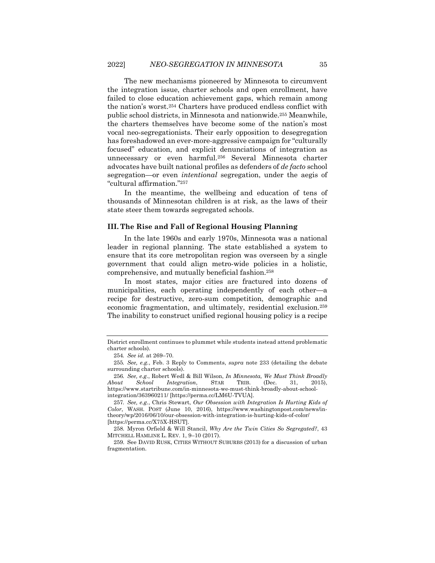The new mechanisms pioneered by Minnesota to circumvent the integration issue, charter schools and open enrollment, have failed to close education achievement gaps, which remain among the nation's worst.254 Charters have produced endless conflict with public school districts, in Minnesota and nationwide.255 Meanwhile, the charters themselves have become some of the nation's most vocal neo-segregationists. Their early opposition to desegregation has foreshadowed an ever-more-aggressive campaign for "culturally focused" education, and explicit denunciations of integration as unnecessary or even harmful.256 Several Minnesota charter advocates have built national profiles as defenders of *de facto* school segregation—or even *intentional* segregation, under the aegis of "cultural affirmation."257

In the meantime, the wellbeing and education of tens of thousands of Minnesotan children is at risk, as the laws of their state steer them towards segregated schools.

### **III. The Rise and Fall of Regional Housing Planning**

In the late 1960s and early 1970s, Minnesota was a national leader in regional planning. The state established a system to ensure that its core metropolitan region was overseen by a single government that could align metro-wide policies in a holistic, comprehensive, and mutually beneficial fashion.258

In most states, major cities are fractured into dozens of municipalities, each operating independently of each other—a recipe for destructive, zero-sum competition, demographic and economic fragmentation, and ultimately, residential exclusion.259 The inability to construct unified regional housing policy is a recipe

District enrollment continues to plummet while students instead attend problematic charter schools).

<sup>254</sup>*. See id.* at 269–70.

<sup>255</sup>*. See, e.g.*, Feb. 3 Reply to Comments, *supra* note 233 (detailing the debate surrounding charter schools).

<sup>256</sup>*. See, e.g.*, Robert Wedl & Bill Wilson, *In Minnesota, We Must Think Broadly About School Integration*, STAR TRIB. (Dec. 31, 2015), https://www.startribune.com/in-minnesota-we-must-think-broadly-about-schoolintegration/363960211/ [https://perma.cc/LM6U-TVUA].

<sup>257</sup>*. See, e.g.*, Chris Stewart, *Our Obsession with Integration Is Hurting Kids of Color*, WASH. POST (June 10, 2016), https://www.washingtonpost.com/news/intheory/wp/2016/06/10/our-obsession-with-integration-is-hurting-kids-of-color/ [https://perma.cc/X75X-HSUT].

<sup>258.</sup> Myron Orfield & Will Stancil, *Why Are the Twin Cities So Segregated?*, 43 MITCHELL HAMLINE L. REV. 1, 9–10 (2017).

<sup>259.</sup> See DAVID RUSK, CITIES WITHOUT SUBURBS (2013) for a discussion of urban fragmentation.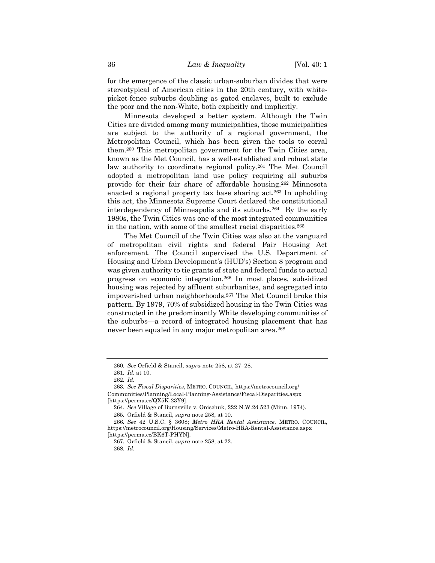for the emergence of the classic urban-suburban divides that were stereotypical of American cities in the 20th century, with whitepicket-fence suburbs doubling as gated enclaves, built to exclude the poor and the non-White, both explicitly and implicitly.

Minnesota developed a better system. Although the Twin Cities are divided among many municipalities, those municipalities are subject to the authority of a regional government, the Metropolitan Council, which has been given the tools to corral them.260 This metropolitan government for the Twin Cities area, known as the Met Council, has a well-established and robust state law authority to coordinate regional policy.<sup>261</sup> The Met Council adopted a metropolitan land use policy requiring all suburbs provide for their fair share of affordable housing.262 Minnesota enacted a regional property tax base sharing act.263 In upholding this act, the Minnesota Supreme Court declared the constitutional interdependency of Minneapolis and its suburbs.264 By the early 1980s, the Twin Cities was one of the most integrated communities in the nation, with some of the smallest racial disparities.265

The Met Council of the Twin Cities was also at the vanguard of metropolitan civil rights and federal Fair Housing Act enforcement. The Council supervised the U.S. Department of Housing and Urban Development's (HUD's) Section 8 program and was given authority to tie grants of state and federal funds to actual progress on economic integration.266 In most places, subsidized housing was rejected by affluent suburbanites, and segregated into impoverished urban neighborhoods.267 The Met Council broke this pattern. By 1979, 70% of subsidized housing in the Twin Cities was constructed in the predominantly White developing communities of the suburbs—a record of integrated housing placement that has never been equaled in any major metropolitan area.<sup>268</sup>

265. Orfield & Stancil, *supra* note 258, at 10.

268*. Id.*

<sup>260</sup>*. See* Orfield & Stancil, *supra* note 258, at 27–28.

<sup>261</sup>*. Id.* at 10.

<sup>262</sup>*. Id.*

<sup>263</sup>*. See Fiscal Disparities*, METRO. COUNCIL, https://metrocouncil.org/ Communities/Planning/Local-Planning-Assistance/Fiscal-Disparities.aspx [https://perma.cc/QX5K-23Y9].

<sup>264</sup>*. See* Village of Burnsville v. Onischuk, 222 N.W.2d 523 (Minn. 1974).

<sup>266</sup>*. See* 42 U.S.C. § 3608; *Metro HRA Rental Assistance*, METRO. COUNCIL, https://metrocouncil.org/Housing/Services/Metro-HRA-Rental-Assistance.aspx [https://perma.cc/BK6T-PHYN].

<sup>267.</sup> Orfield & Stancil, *supra* note 258, at 22.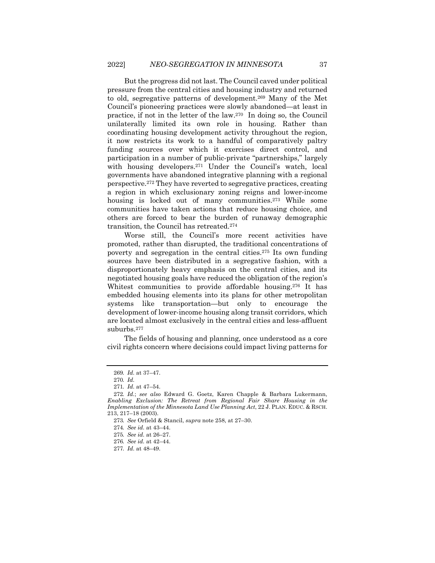But the progress did not last. The Council caved under political pressure from the central cities and housing industry and returned to old, segregative patterns of development.269 Many of the Met Council's pioneering practices were slowly abandoned—at least in practice, if not in the letter of the law.270 In doing so, the Council unilaterally limited its own role in housing. Rather than coordinating housing development activity throughout the region, it now restricts its work to a handful of comparatively paltry funding sources over which it exercises direct control, and participation in a number of public-private "partnerships," largely with housing developers.<sup>271</sup> Under the Council's watch, local governments have abandoned integrative planning with a regional perspective.272 They have reverted to segregative practices, creating a region in which exclusionary zoning reigns and lower-income housing is locked out of many communities.<sup>273</sup> While some communities have taken actions that reduce housing choice, and others are forced to bear the burden of runaway demographic transition, the Council has retreated.274

Worse still, the Council's more recent activities have promoted, rather than disrupted, the traditional concentrations of poverty and segregation in the central cities.275 Its own funding sources have been distributed in a segregative fashion, with a disproportionately heavy emphasis on the central cities, and its negotiated housing goals have reduced the obligation of the region's Whitest communities to provide affordable housing.276 It has embedded housing elements into its plans for other metropolitan systems like transportation—but only to encourage the development of lower-income housing along transit corridors, which are located almost exclusively in the central cities and less-affluent suburbs.277

The fields of housing and planning, once understood as a core civil rights concern where decisions could impact living patterns for

<sup>269</sup>*. Id.* at 37–47.

<sup>270</sup>*. Id.*

<sup>271</sup>*. Id.* at 47–54.

<sup>272</sup>*. Id.*; *see also* Edward G. Goetz, Karen Chapple & Barbara Lukermann, *Enabling Exclusion: The Retreat from Regional Fair Share Housing in the Implementation of the Minnesota Land Use Planning Act*, 22 J. PLAN. EDUC. & RSCH. 213, 217–18 (2003).

<sup>273</sup>*. See* Orfield & Stancil, *supra* note 258, at 27–30.

<sup>274</sup>*. See id.* at 43–44.

<sup>275</sup>*. See id.* at 26–27.

<sup>276</sup>*. See id.* at 42–44.

<sup>277</sup>*. Id.* at 48–49.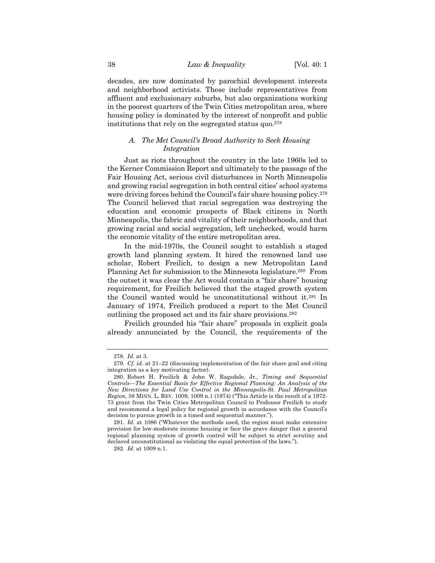decades, are now dominated by parochial development interests and neighborhood activists. These include representatives from affluent and exclusionary suburbs, but also organizations working in the poorest quarters of the Twin Cities metropolitan area, where housing policy is dominated by the interest of nonprofit and public institutions that rely on the segregated status quo.278

# *A. The Met Council's Broad Authority to Seek Housing Integration*

Just as riots throughout the country in the late 1960s led to the Kerner Commission Report and ultimately to the passage of the Fair Housing Act, serious civil disturbances in North Minneapolis and growing racial segregation in both central cities' school systems were driving forces behind the Council's fair share housing policy.<sup>279</sup> The Council believed that racial segregation was destroying the education and economic prospects of Black citizens in North Minneapolis, the fabric and vitality of their neighborhoods, and that growing racial and social segregation, left unchecked, would harm the economic vitality of the entire metropolitan area.

In the mid-1970s, the Council sought to establish a staged growth land planning system. It hired the renowned land use scholar, Robert Freilich, to design a new Metropolitan Land Planning Act for submission to the Minnesota legislature.280 From the outset it was clear the Act would contain a "fair share" housing requirement, for Freilich believed that the staged growth system the Council wanted would be unconstitutional without it.281 In January of 1974, Freilich produced a report to the Met Council outlining the proposed act and its fair share provisions.282

Freilich grounded his "fair share" proposals in explicit goals already annunciated by the Council, the requirements of the

<sup>278</sup>*. Id.* at 3.

<sup>279</sup>*. Cf. id.* at 21–22 (discussing implementation of the fair share goal and citing integration as a key motivating factor).

<sup>280.</sup> Robert H. Freilich & John W. Ragsdale, Jr., *Timing and Sequential Controls—The Essential Basis for Effective Regional Planning: An Analysis of the New Directions for Land Use Control in the Minneapolis-St. Paul Metropolitan Region*, 58 MINN. L. REV. 1009, 1009 n.1 (1974) ("This Article is the result of a 1972- 73 grant from the Twin Cities Metropolitan Council to Professor Freilich to study and recommend a legal policy for regional growth in accordance with the Council's decision to pursue growth in a timed and sequential manner.").

<sup>281</sup>*. Id.* at 1086 ("Whatever the methods used, the region must make extensive provision for low-moderate income housing or face the grave danger that a general regional planning system of growth control will be subject to strict scrutiny and declared unconstitutional as violating the equal protection of the laws.").

<sup>282</sup>*. Id.* at 1009 n.1.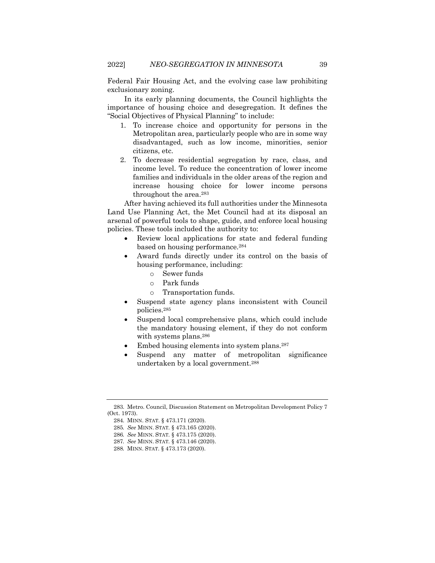Federal Fair Housing Act, and the evolving case law prohibiting exclusionary zoning.

In its early planning documents, the Council highlights the importance of housing choice and desegregation. It defines the "Social Objectives of Physical Planning" to include:

- 1. To increase choice and opportunity for persons in the Metropolitan area, particularly people who are in some way disadvantaged, such as low income, minorities, senior citizens, etc.
- 2. To decrease residential segregation by race, class, and income level. To reduce the concentration of lower income families and individuals in the older areas of the region and increase housing choice for lower income persons throughout the area.283

After having achieved its full authorities under the Minnesota Land Use Planning Act, the Met Council had at its disposal an arsenal of powerful tools to shape, guide, and enforce local housing policies. These tools included the authority to:

- Review local applications for state and federal funding based on housing performance.284
- Award funds directly under its control on the basis of housing performance, including:
	- o Sewer funds
	- o Park funds
	- o Transportation funds.
- Suspend state agency plans inconsistent with Council policies.285
- Suspend local comprehensive plans, which could include the mandatory housing element, if they do not conform with systems plans.286
- Embed housing elements into system plans.<sup>287</sup>
- Suspend any matter of metropolitan significance undertaken by a local government.288

<sup>283.</sup> Metro. Council, Discussion Statement on Metropolitan Development Policy 7 (Oct. 1973).

<sup>284.</sup> MINN. STAT. § 473.171 (2020).

<sup>285</sup>*. See* MINN. STAT*.* § 473.165 (2020).

<sup>286</sup>*. See* MINN. STAT*.* § 473.175 (2020).

<sup>287</sup>*. See* MINN. STAT*.* § 473.146 (2020).

<sup>288</sup>*.* MINN. STAT. § 473.173 (2020).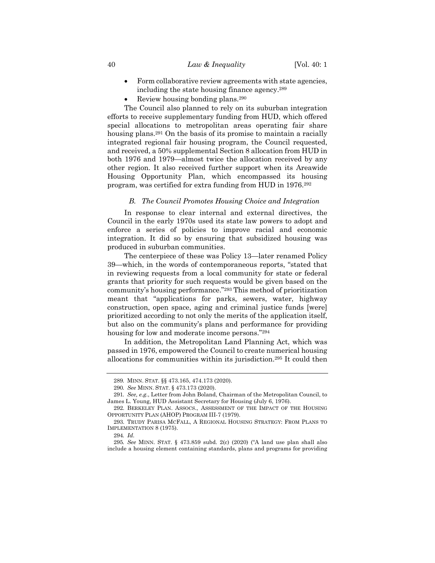- Form collaborative review agreements with state agencies, including the state housing finance agency.289
- Review housing bonding plans.290

The Council also planned to rely on its suburban integration efforts to receive supplementary funding from HUD, which offered special allocations to metropolitan areas operating fair share housing plans.<sup>291</sup> On the basis of its promise to maintain a racially integrated regional fair housing program, the Council requested, and received, a 50% supplemental Section 8 allocation from HUD in both 1976 and 1979—almost twice the allocation received by any other region. It also received further support when its Areawide Housing Opportunity Plan, which encompassed its housing program, was certified for extra funding from HUD in 1976.292

#### *B. The Council Promotes Housing Choice and Integration*

In response to clear internal and external directives, the Council in the early 1970s used its state law powers to adopt and enforce a series of policies to improve racial and economic integration. It did so by ensuring that subsidized housing was produced in suburban communities.

The centerpiece of these was Policy 13—later renamed Policy 39—which, in the words of contemporaneous reports, "stated that in reviewing requests from a local community for state or federal grants that priority for such requests would be given based on the community's housing performance."293 This method of prioritization meant that "applications for parks, sewers, water, highway construction, open space, aging and criminal justice funds [were] prioritized according to not only the merits of the application itself, but also on the community's plans and performance for providing housing for low and moderate income persons."294

In addition, the Metropolitan Land Planning Act, which was passed in 1976, empowered the Council to create numerical housing allocations for communities within its jurisdiction.295 It could then

295*. See* MINN. STAT. § 473.859 subd. 2(c) (2020) ("A land use plan shall also include a housing element containing standards, plans and programs for providing

<sup>289</sup>*.* MINN. STAT. §§ 473.165, 474.173 (2020).

<sup>290</sup>*. See* MINN. STAT. § 473.173 (2020).

<sup>291</sup>*. See, e.g.*, Letter from John Boland, Chairman of the Metropolitan Council, to James L. Young, HUD Assistant Secretary for Housing (July 6, 1976).

<sup>292.</sup> BERKELEY PLAN. ASSOCS., ASSESSMENT OF THE IMPACT OF THE HOUSING OPPORTUNITY PLAN (AHOP) PROGRAM III-7 (1979).

<sup>293.</sup> TRUDY PARISA MCFALL, A REGIONAL HOUSING STRATEGY: FROM PLANS TO IMPLEMENTATION 8 (1975).

<sup>294</sup>*. Id.*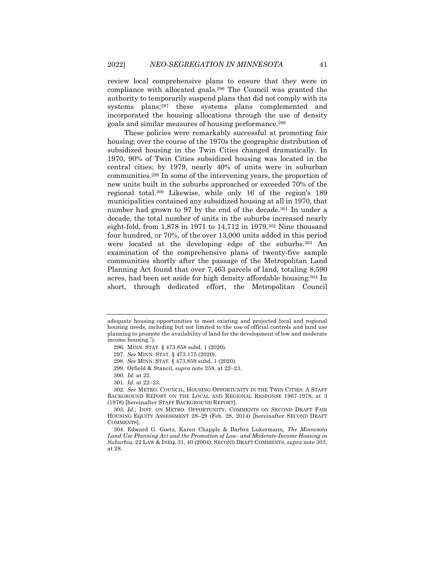review local comprehensive plans to ensure that they were in compliance with allocated goals.296 The Council was granted the authority to temporarily suspend plans that did not comply with its systems plans;<sup>297</sup> these systems plans complemented and incorporated the housing allocations through the use of density goals and similar measures of housing performance.298

These policies were remarkably successful at promoting fair housing; over the course of the 1970s the geographic distribution of subsidized housing in the Twin Cities changed dramatically. In 1970, 90% of Twin Cities subsidized housing was located in the central cities; by 1979, nearly 40% of units were in suburban communities.299 In some of the intervening years, the proportion of new units built in the suburbs approached or exceeded 70% of the regional total.300 Likewise, while only 16 of the region's 189 municipalities contained any subsidized housing at all in 1970, that number had grown to 97 by the end of the decade.<sup>301</sup> In under a decade, the total number of units in the suburbs increased nearly eight-fold, from 1,878 in 1971 to 14,712 in 1979.302 Nine thousand four hundred, or 70%, of the over 13,000 units added in this period were located at the developing edge of the suburbs.303 An examination of the comprehensive plans of twenty-five sample communities shortly after the passage of the Metropolitan Land Planning Act found that over 7,463 parcels of land, totaling 8,590 acres, had been set aside for high density affordable housing.304 In short, through dedicated effort, the Metropolitan Council

302*. See* METRO. COUNCIL, HOUSING OPPORTUNITY IN THE TWIN CITIES: A STAFF BACKGROUND REPORT ON THE LOCAL AND REGIONAL RESPONSE 1967-1978, at 3 (1978) [hereinafter STAFF BACKGROUND REPORT].

adequate housing opportunities to meet existing and projected local and regional housing needs, including but not limited to the use of official controls and land use planning to promote the availability of land for the development of low and moderate income housing.").

<sup>296</sup>*.* MINN. STAT*.* § 473.858 subd. 1 (2020).

<sup>297</sup>*. See* MINN. STAT. § 473.175 (2020).

<sup>298</sup>*. See* MINN. STAT*.* § 473.859 subd. 1 (2020).

<sup>299.</sup> Orfield & Stancil, *supra* note 258, at 22–23.

<sup>300</sup>*. Id.* at 22.

<sup>301</sup>*. Id.* at 22–23.

<sup>303</sup>*. Id.*; INST. ON METRO. OPPORTUNITY, COMMENTS ON SECOND DRAFT FAIR HOUSING EQUITY ASSESSMENT 28–29 (Feb. 28, 2014) [hereinafter SECOND DRAFT COMMENTS].

<sup>304.</sup> Edward G. Goetz, Karen Chapple & Barbra Lukermann, *The Minnesota Land Use Planning Act and the Promotion of Low- and Moderate-Income Housing in Suburbia*, 22 LAW & INEQ. 31, 40 (2004); SECOND DRAFT COMMENTS, *supra* note 303, at 28.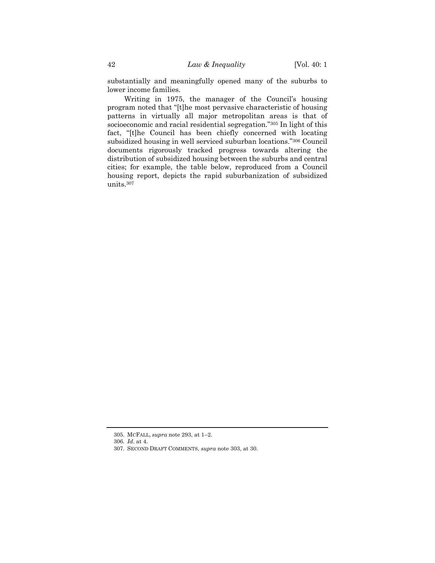substantially and meaningfully opened many of the suburbs to lower income families.

Writing in 1975, the manager of the Council's housing program noted that "[t]he most pervasive characteristic of housing patterns in virtually all major metropolitan areas is that of socioeconomic and racial residential segregation."305 In light of this fact, "[t]he Council has been chiefly concerned with locating subsidized housing in well serviced suburban locations."306 Council documents rigorously tracked progress towards altering the distribution of subsidized housing between the suburbs and central cities; for example, the table below, reproduced from a Council housing report, depicts the rapid suburbanization of subsidized units.307

<sup>305.</sup> MCFALL, *supra* note 293, at 1–2.

<sup>306</sup>*. Id.* at 4.

<sup>307.</sup> SECOND DRAFT COMMENTS, *supra* note 303, at 30.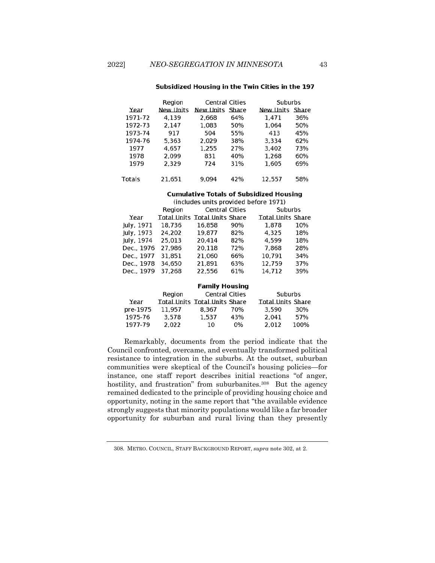### Subsidized Housing in the Twin Cities in the 197

|         | Region           | <b>Central Cities</b> |     | <b>Suburbs</b>  |     |
|---------|------------------|-----------------------|-----|-----------------|-----|
| Year    | <b>New Units</b> | New Units Share       |     | New Units Share |     |
| 1971-72 | 4.139            | 2,668                 | 64% | 1.471           | 36% |
| 1972-73 | 2.147            | 1,083                 | 50% | 1.064           | 50% |
| 1973-74 | 917              | 504                   | 55% | 413             | 45% |
| 1974-76 | 5.363            | 2.029                 | 38% | 3,334           | 62% |
| 1977    | 4.657            | 1,255                 | 27% | 3.402           | 73% |
| 1978    | 2.099            | 831                   | 40% | 1.268           | 60% |
| 1979    | 2.329            | 724                   | 31% | 1.605           | 69% |
|         |                  |                       |     |                 |     |
| Totals  | 21,651           | 9.094                 | 42% | 12.557          | 58% |

# **Cumulative Totals of Subsidized Housing**

|            | (includes units provided before 1971) |                       |     |                          |         |  |
|------------|---------------------------------------|-----------------------|-----|--------------------------|---------|--|
|            | Region                                | <b>Central Cities</b> |     |                          | Suburbs |  |
| Year       | <b>Total Units Total Units Share</b>  |                       |     | <b>Total Units Share</b> |         |  |
| July, 1971 | 18.736                                | 16.858                | 90% | 1.878                    | 10%     |  |
| July, 1973 | 24,202                                | 19.877                | 82% | 4,325                    | 18%     |  |
| July, 1974 | 25,013                                | 20.414                | 82% | 4.599                    | 18%     |  |
| Dec., 1976 | 27.986                                | 20.118                | 72% | 7.868                    | 28%     |  |
| Dec., 1977 | 31,851                                | 21,060                | 66% | 10,791                   | 34%     |  |
| Dec., 1978 | 34,650                                | 21.891                | 63% | 12.759                   | 37%     |  |
| Dec., 1979 | 37.268                                | 22,556                | 61% | 14,712                   | 39%     |  |

| <b>Family Housing</b> |                                      |                       |       |                          |                |  |  |  |
|-----------------------|--------------------------------------|-----------------------|-------|--------------------------|----------------|--|--|--|
|                       | Region                               | <b>Central Cities</b> |       |                          | <b>Suburbs</b> |  |  |  |
| Year                  | <b>Total Units Total Units Share</b> |                       |       | <b>Total Units Share</b> |                |  |  |  |
| pre-1975              | 11.957                               | 8.367                 | 70%   | 3.590                    | 30%            |  |  |  |
| 1975-76               | 3.578                                | 1.537                 | 43%   | 2.041                    | 57%            |  |  |  |
| 1977-79               | 2,022                                | 10                    | $0\%$ | 2.012                    | 100%           |  |  |  |

Remarkably, documents from the period indicate that the Council confronted, overcame, and eventually transformed political resistance to integration in the suburbs. At the outset, suburban communities were skeptical of the Council's housing policies—for instance, one staff report describes initial reactions "of anger, hostility, and frustration" from suburbanites.<sup>308</sup> But the agency remained dedicated to the principle of providing housing choice and opportunity, noting in the same report that "the available evidence strongly suggests that minority populations would like a far broader opportunity for suburban and rural living than they presently

<sup>308.</sup> METRO. COUNCIL, STAFF BACKGROUND REPORT, *supra* note 302, at 2.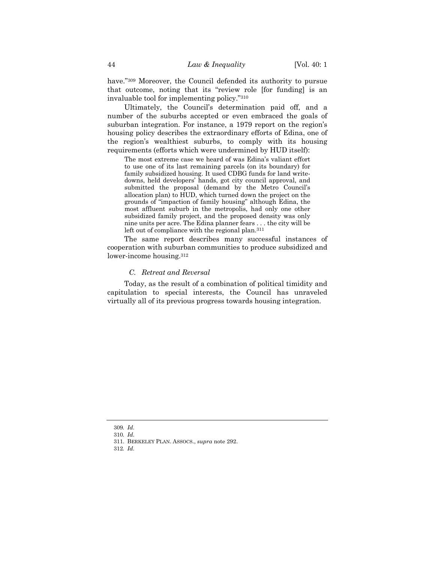have."309 Moreover, the Council defended its authority to pursue that outcome, noting that its "review role [for funding] is an invaluable tool for implementing policy."310

Ultimately, the Council's determination paid off, and a number of the suburbs accepted or even embraced the goals of suburban integration. For instance, a 1979 report on the region's housing policy describes the extraordinary efforts of Edina, one of the region's wealthiest suburbs, to comply with its housing requirements (efforts which were undermined by HUD itself):

The most extreme case we heard of was Edina's valiant effort to use one of its last remaining parcels (on its boundary) for family subsidized housing. It used CDBG funds for land writedowns, held developers' hands, got city council approval, and submitted the proposal (demand by the Metro Council's allocation plan) to HUD, which turned down the project on the grounds of "impaction of family housing" although Edina, the most affluent suburb in the metropolis, had only one other subsidized family project, and the proposed density was only nine units per acre. The Edina planner fears . . . the city will be left out of compliance with the regional plan.311

The same report describes many successful instances of cooperation with suburban communities to produce subsidized and lower-income housing.312

#### *C. Retreat and Reversal*

Today, as the result of a combination of political timidity and capitulation to special interests, the Council has unraveled virtually all of its previous progress towards housing integration.

<sup>309</sup>*. Id.*

<sup>310</sup>*. Id.*

<sup>311.</sup> BERKELEY PLAN. ASSOCS., *supra* note 292.

<sup>312</sup>*. Id.*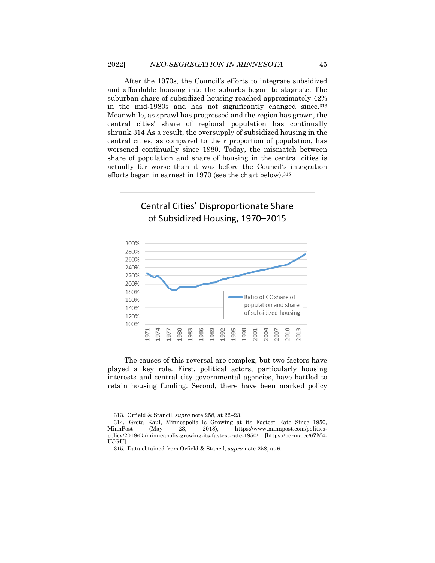After the 1970s, the Council's efforts to integrate subsidized and affordable housing into the suburbs began to stagnate. The suburban share of subsidized housing reached approximately 42% in the mid-1980s and has not significantly changed since.313 Meanwhile, as sprawl has progressed and the region has grown, the central cities' share of regional population has continually shrunk.314 As a result, the oversupply of subsidized housing in the central cities, as compared to their proportion of population, has worsened continually since 1980. Today, the mismatch between share of population and share of housing in the central cities is actually far worse than it was before the Council's integration efforts began in earnest in 1970 (see the chart below).315



The causes of this reversal are complex, but two factors have played a key role. First, political actors, particularly housing interests and central city governmental agencies, have battled to retain housing funding. Second, there have been marked policy

<sup>313.</sup> Orfield & Stancil, *supra* note 258, at 22–23.

<sup>314.</sup> Greta Kaul, Minneapolis Is Growing at its Fastest Rate Since 1950,<br>MinnPost  $(May = 232018)$  https://www.minnpost.com/politics-(May 23, 2018), https://www.minnpost.com/politicspolicy/2018/05/minneapolis-growing-its-fastest-rate-1950/ [https://perma.cc/6ZM4- UJGU].

<sup>315.</sup> Data obtained from Orfield & Stancil, *supra* note 258, at 6.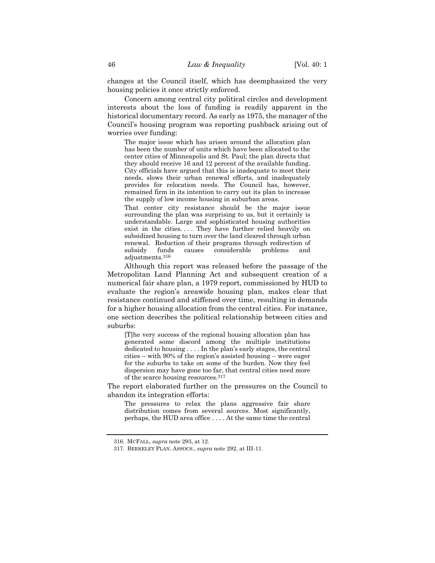changes at the Council itself, which has deemphasized the very housing policies it once strictly enforced.

Concern among central city political circles and development interests about the loss of funding is readily apparent in the historical documentary record. As early as 1975, the manager of the Council's housing program was reporting pushback arising out of worries over funding:

The major issue which has arisen around the allocation plan has been the number of units which have been allocated to the center cities of Minneapolis and St. Paul; the plan directs that they should receive 16 and 12 percent of the available funding. City officials have argued that this is inadequate to meet their needs, slows their urban renewal efforts, and inadequately provides for relocation needs. The Council has, however, remained firm in its intention to carry out its plan to increase the supply of low income housing in suburban areas.

That center city resistance should be the major issue surrounding the plan was surprising to us, but it certainly is understandable. Large and sophisticated housing authorities exist in the cities. ... They have further relied heavily on subsidized housing to turn over the land cleared through urban renewal. Reduction of their programs through redirection of subsidy funds causes considerable problems and adjustments.316

Although this report was released before the passage of the Metropolitan Land Planning Act and subsequent creation of a numerical fair share plan, a 1979 report, commissioned by HUD to evaluate the region's areawide housing plan, makes clear that resistance continued and stiffened over time, resulting in demands for a higher housing allocation from the central cities. For instance, one section describes the political relationship between cities and suburbs:

[T]he very success of the regional housing allocation plan has generated some discord among the multiple institutions dedicated to housing . . . . In the plan's early stages, the central cities – with 90% of the region's assisted housing – were eager for the suburbs to take on some of the burden. Now they feel dispersion may have gone too far, that central cities need more of the scarce housing resources.317

The report elaborated further on the pressures on the Council to abandon its integration efforts:

The pressures to relax the plans aggressive fair share distribution comes from several sources. Most significantly, perhaps, the HUD area office . . . . At the same time the central

<sup>316.</sup> MCFALL, *supra* note 293, at 12.

<sup>317.</sup> BERKELEY PLAN. ASSOCS., *supra* note 292, at III-11.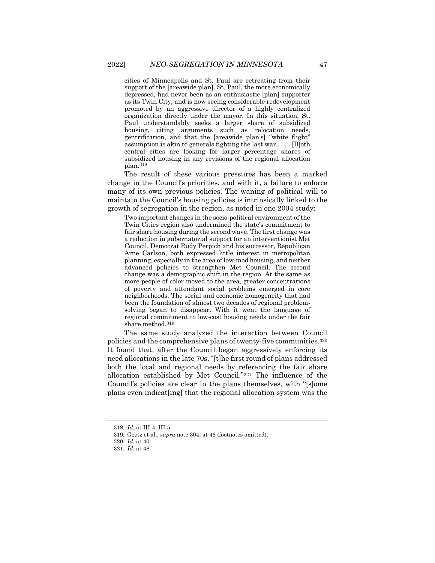cities of Minneapolis and St. Paul are retreating from their support of the [areawide plan]. St. Paul, the more economically depressed, had never been as an enthusiastic [plan] supporter as its Twin City, and is now seeing considerable redevelopment promoted by an aggressive director of a highly centralized organization directly under the mayor. In this situation, St. Paul understandably seeks a larger share of subsidized housing, citing arguments such as relocation needs, gentrification, and that the [areawide plan's] "white flight" assumption is akin to generals fighting the last war . . . . [B]oth central cities are looking for larger percentage shares of subsidized housing in any revisions of the regional allocation plan.318

The result of these various pressures has been a marked change in the Council's priorities, and with it, a failure to enforce many of its own previous policies. The waning of political will to maintain the Council's housing policies is intrinsically linked to the growth of segregation in the region, as noted in one 2004 study:

Two important changes in the socio-political environment of the Twin Cities region also undermined the state's commitment to fair share housing during the second wave. The first change was a reduction in gubernatorial support for an interventionist Met Council. Democrat Rudy Perpich and his successor, Republican Arne Carlson, both expressed little interest in metropolitan planning, especially in the area of low-mod housing, and neither advanced policies to strengthen Met Council. The second change was a demographic shift in the region. At the same as more people of color moved to the area, greater concentrations of poverty and attendant social problems emerged in core neighborhoods. The social and economic homogeneity that had been the foundation of almost two decades of regional problemsolving began to disappear. With it went the language of regional commitment to low-cost housing needs under the fair share method.319

The same study analyzed the interaction between Council policies and the comprehensive plans of twenty-five communities.320 It found that, after the Council began aggressively enforcing its need allocations in the late 70s, "[t]he first round of plans addressed both the local and regional needs by referencing the fair share allocation established by Met Council."321 The influence of the Council's policies are clear in the plans themselves, with "[s]ome plans even indicat[ing] that the regional allocation system was the

<sup>318</sup>*. Id.* at III-4, III-5.

<sup>319.</sup> Goetz et al., *supra* note 304, at 46 (footnotes omitted).

<sup>320</sup>*. Id.* at 40.

<sup>321</sup>*. Id.* at 48.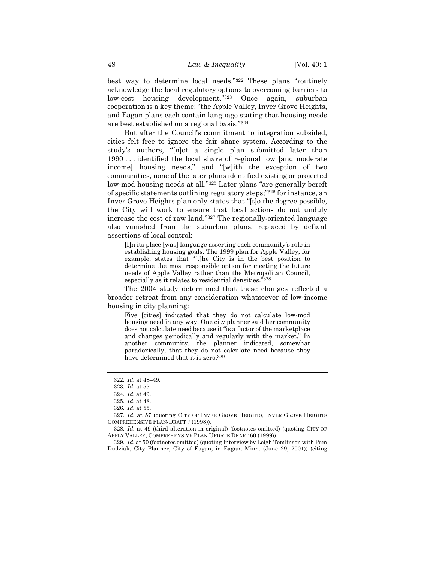best way to determine local needs."322 These plans "routinely acknowledge the local regulatory options to overcoming barriers to low-cost housing development."323 Once again, suburban cooperation is a key theme: "the Apple Valley, Inver Grove Heights, and Eagan plans each contain language stating that housing needs are best established on a regional basis."324

But after the Council's commitment to integration subsided, cities felt free to ignore the fair share system. According to the study's authors, "[n]ot a single plan submitted later than 1990 . . . identified the local share of regional low [and moderate income] housing needs," and "[w]ith the exception of two communities, none of the later plans identified existing or projected low-mod housing needs at all."325 Later plans "are generally bereft of specific statements outlining regulatory steps;"326 for instance, an Inver Grove Heights plan only states that "[t]o the degree possible, the City will work to ensure that local actions do not unduly increase the cost of raw land."327 The regionally-oriented language also vanished from the suburban plans, replaced by defiant assertions of local control:

[I]n its place [was] language asserting each community's role in establishing housing goals. The 1999 plan for Apple Valley, for example, states that "[t]he City is in the best position to determine the most responsible option for meeting the future needs of Apple Valley rather than the Metropolitan Council, especially as it relates to residential densities."328

The 2004 study determined that these changes reflected a broader retreat from any consideration whatsoever of low-income housing in city planning:

Five [cities] indicated that they do not calculate low-mod housing need in any way. One city planner said her community does not calculate need because it "is a factor of the marketplace and changes periodically and regularly with the market." In another community, the planner indicated, somewhat paradoxically, that they do not calculate need because they have determined that it is zero.<sup>329</sup>

329*. Id.* at 50 (footnotes omitted) (quoting Interview by Leigh Tomlinson with Pam Dudziak, City Planner, City of Eagan, in Eagan, Minn. (June 29, 2001)) (citing

<sup>322</sup>*. Id.* at 48–49.

<sup>323</sup>*. Id.* at 55.

<sup>324</sup>*. Id.* at 49.

<sup>325</sup>*. Id.* at 48.

<sup>326</sup>*. Id.* at 55.

<sup>327</sup>*. Id.* at 57 (quoting CITY OF INVER GROVE HEIGHTS, INVER GROVE HEIGHTS COMPREHENSIVE PLAN-DRAFT 7 (1998)).

<sup>328</sup>*. Id.* at 49 (third alteration in original) (footnotes omitted) (quoting CITY OF APPLY VALLEY, COMPREHENSIVE PLAN UPDATE DRAFT 60 (1999)).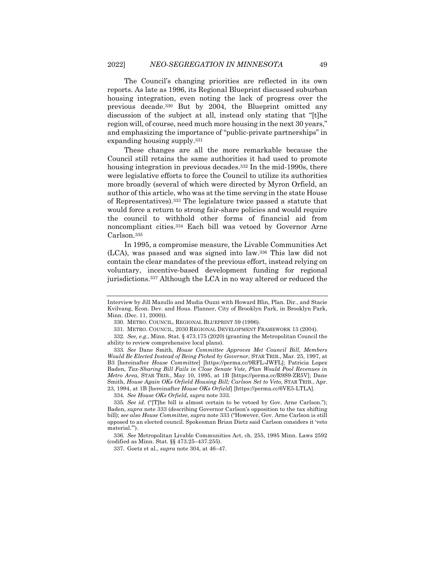The Council's changing priorities are reflected in its own reports. As late as 1996, its Regional Blueprint discussed suburban housing integration, even noting the lack of progress over the previous decade.330 But by 2004, the Blueprint omitted any discussion of the subject at all, instead only stating that "[t]he region will, of course, need much more housing in the next 30 years," and emphasizing the importance of "public-private partnerships" in expanding housing supply.331

These changes are all the more remarkable because the Council still retains the same authorities it had used to promote housing integration in previous decades.<sup>332</sup> In the mid-1990s, there were legislative efforts to force the Council to utilize its authorities more broadly (several of which were directed by Myron Orfield, an author of this article, who was at the time serving in the state House of Representatives).333 The legislature twice passed a statute that would force a return to strong fair-share policies and would require the council to withhold other forms of financial aid from noncompliant cities.334 Each bill was vetoed by Governor Arne Carlson.335

In 1995, a compromise measure, the Livable Communities Act (LCA), was passed and was signed into law.336 This law did not contain the clear mandates of the previous effort, instead relying on voluntary, incentive-based development funding for regional jurisdictions.337 Although the LCA in no way altered or reduced the

Interview by Jill Mazullo and Mudia Ouzzi with Howard Blin, Plan. Dir., and Stacie Kvilvang, Econ. Dev. and Hous. Planner, City of Brooklyn Park, in Brooklyn Park, Minn. (Dec. 11, 2000)).

<sup>330.</sup> METRO. COUNCIL, REGIONAL BLUEPRINT 59 (1996).

<sup>331.</sup> METRO. COUNCIL, 2030 REGIONAL DEVELOPMENT FRAMEWORK 13 (2004).

<sup>332</sup>*. See, e.g.*, Minn. Stat. § 473.175 (2020) (granting the Metropolitan Council the ability to review comprehensive local plans).

<sup>333</sup>*. See* Dane Smith, *House Committee Approves Met Council Bill, Members Would Be Elected Instead of Being Picked by Governor*, STAR TRIB., Mar. 25, 1997, at B3 [hereinafter *House Committee*] [https://perma.cc/9RFL-JWFL]; Patricia Lopez Baden, *Tax-Sharing Bill Fails in Close Senate Vote, Plan Would Pool Revenues in Metro Area*, STAR TRIB., May 10, 1995, at 1B [https://perma.cc/R9S9-ZR5V]; Dane Smith, *House Again OKs Orfield Housing Bill; Carlson Set to Veto*, STAR TRIB., Apr. 23, 1994, at 1B [hereinafter *House OKs Orfield*] [https://perma.cc/6VE5-LTLA].

<sup>334</sup>*. See House OKs Orfield, supra* note 333.

<sup>335</sup>*. See id.* ("[T]he bill is almost certain to be vetoed by Gov. Arne Carlson."); Baden, *supra* note 333 (describing Governor Carlson's opposition to the tax shifting bill); *see also House Committee, supra* note 333 ("However, Gov. Arne Carlson is still opposed to an elected council. Spokesman Brian Dietz said Carlson considers it 'veto material.'").

<sup>336</sup>*. See* Metropolitan Livable Communities Act, ch. 255, 1995 Minn. Laws 2592 (codified as Minn. Stat. §§ 473.25–437.255).

<sup>337.</sup> Goetz et al., *supra* note 304, at 46–47.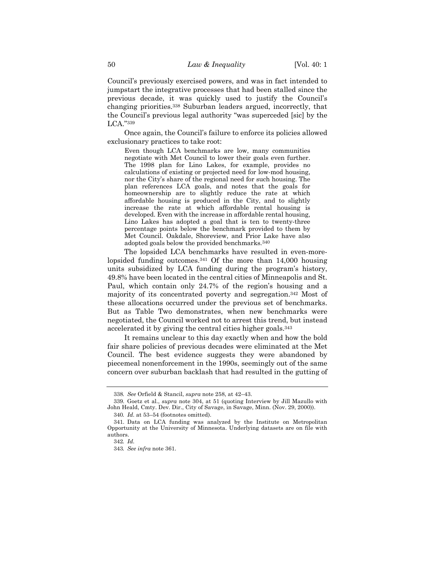Council's previously exercised powers, and was in fact intended to jumpstart the integrative processes that had been stalled since the previous decade, it was quickly used to justify the Council's changing priorities.338 Suburban leaders argued, incorrectly, that the Council's previous legal authority "was superceded [sic] by the LCA."339

Once again, the Council's failure to enforce its policies allowed exclusionary practices to take root:

Even though LCA benchmarks are low, many communities negotiate with Met Council to lower their goals even further. The 1998 plan for Lino Lakes, for example, provides no calculations of existing or projected need for low-mod housing, nor the City's share of the regional need for such housing. The plan references LCA goals, and notes that the goals for homeownership are to slightly reduce the rate at which affordable housing is produced in the City, and to slightly increase the rate at which affordable rental housing is developed. Even with the increase in affordable rental housing, Lino Lakes has adopted a goal that is ten to twenty-three percentage points below the benchmark provided to them by Met Council. Oakdale, Shoreview, and Prior Lake have also adopted goals below the provided benchmarks.340

The lopsided LCA benchmarks have resulted in even-morelopsided funding outcomes.341 Of the more than 14,000 housing units subsidized by LCA funding during the program's history, 49.8% have been located in the central cities of Minneapolis and St. Paul, which contain only 24.7% of the region's housing and a majority of its concentrated poverty and segregation.342 Most of these allocations occurred under the previous set of benchmarks. But as Table Two demonstrates, when new benchmarks were negotiated, the Council worked not to arrest this trend, but instead accelerated it by giving the central cities higher goals.343

It remains unclear to this day exactly when and how the bold fair share policies of previous decades were eliminated at the Met Council. The best evidence suggests they were abandoned by piecemeal nonenforcement in the 1990s, seemingly out of the same concern over suburban backlash that had resulted in the gutting of

<sup>338</sup>*. See* Orfield & Stancil, *supra* note 258, at 42–43.

<sup>339.</sup> Goetz et al., *supra* note 304, at 51 (quoting Interview by Jill Mazullo with John Heald, Cmty. Dev. Dir., City of Savage, in Savage, Minn. (Nov. 29, 2000)).

<sup>340</sup>*. Id.* at 53–54 (footnotes omitted).

<sup>341.</sup> Data on LCA funding was analyzed by the Institute on Metropolitan Opportunity at the University of Minnesota. Underlying datasets are on file with authors.

<sup>342</sup>*. Id.*

<sup>343</sup>*. See infra* note 361.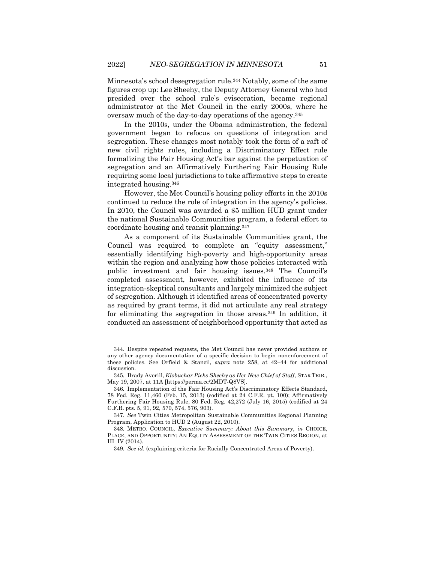Minnesota's school desegregation rule.344 Notably, some of the same figures crop up: Lee Sheehy, the Deputy Attorney General who had presided over the school rule's evisceration, became regional administrator at the Met Council in the early 2000s, where he oversaw much of the day-to-day operations of the agency.345

In the 2010s, under the Obama administration, the federal government began to refocus on questions of integration and segregation. These changes most notably took the form of a raft of new civil rights rules, including a Discriminatory Effect rule formalizing the Fair Housing Act's bar against the perpetuation of segregation and an Affirmatively Furthering Fair Housing Rule requiring some local jurisdictions to take affirmative steps to create integrated housing.346

However, the Met Council's housing policy efforts in the 2010s continued to reduce the role of integration in the agency's policies. In 2010, the Council was awarded a \$5 million HUD grant under the national Sustainable Communities program, a federal effort to coordinate housing and transit planning.347

As a component of its Sustainable Communities grant, the Council was required to complete an "equity assessment," essentially identifying high-poverty and high-opportunity areas within the region and analyzing how those policies interacted with public investment and fair housing issues.348 The Council's completed assessment, however, exhibited the influence of its integration-skeptical consultants and largely minimized the subject of segregation. Although it identified areas of concentrated poverty as required by grant terms, it did not articulate any real strategy for eliminating the segregation in those areas.349 In addition, it conducted an assessment of neighborhood opportunity that acted as

<sup>344.</sup> Despite repeated requests, the Met Council has never provided authors or any other agency documentation of a specific decision to begin nonenforcement of these policies. See Orfield & Stancil, *supra* note 258, at 42–44 for additional discussion.

<sup>345.</sup> Brady Averill, *Klobuchar Picks Sheehy as Her New Chief of Staff*, STAR TRIB., May 19, 2007, at 11A [https://perma.cc/2MDT-Q8VS].

<sup>346.</sup> Implementation of the Fair Housing Act's Discriminatory Effects Standard, 78 Fed. Reg. 11,460 (Feb. 15, 2013) (codified at 24 C.F.R. pt. 100); Affirmatively Furthering Fair Housing Rule, 80 Fed. Reg. 42,272 (July 16, 2015) (codified at 24 C.F.R. pts. 5, 91, 92, 570, 574, 576, 903).

<sup>347</sup>*. See* Twin Cities Metropolitan Sustainable Communities Regional Planning Program, Application to HUD 2 (August 22, 2010).

<sup>348.</sup> METRO. COUNCIL, *Executive Summary: About this Summary*, *in* CHOICE, PLACE, AND OPPORTUNITY: AN EQUITY ASSESSMENT OF THE TWIN CITIES REGION, at III–IV (2014).

<sup>349</sup>*. See id.* (explaining criteria for Racially Concentrated Areas of Poverty).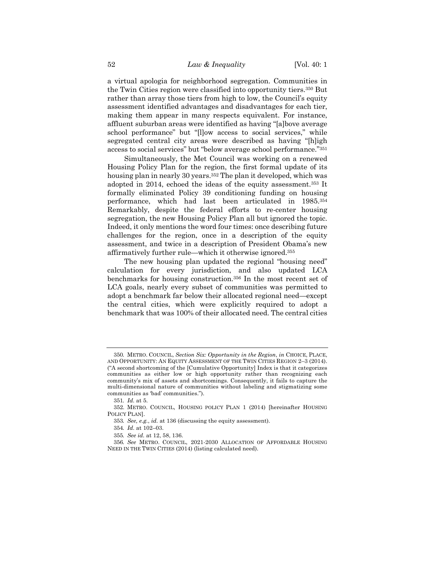a virtual apologia for neighborhood segregation. Communities in the Twin Cities region were classified into opportunity tiers.350 But rather than array those tiers from high to low, the Council's equity assessment identified advantages and disadvantages for each tier, making them appear in many respects equivalent. For instance, affluent suburban areas were identified as having "[a]bove average school performance" but "[l]ow access to social services," while segregated central city areas were described as having "[h]igh access to social services" but "below average school performance."351

Simultaneously, the Met Council was working on a renewed Housing Policy Plan for the region, the first formal update of its housing plan in nearly 30 years.352 The plan it developed, which was adopted in 2014, echoed the ideas of the equity assessment.353 It formally eliminated Policy 39 conditioning funding on housing performance, which had last been articulated in 1985.354 Remarkably, despite the federal efforts to re-center housing segregation, the new Housing Policy Plan all but ignored the topic. Indeed, it only mentions the word four times: once describing future challenges for the region, once in a description of the equity assessment, and twice in a description of President Obama's new affirmatively further rule—which it otherwise ignored.355

The new housing plan updated the regional "housing need" calculation for every jurisdiction, and also updated LCA benchmarks for housing construction.356 In the most recent set of LCA goals, nearly every subset of communities was permitted to adopt a benchmark far below their allocated regional need—except the central cities, which were explicitly required to adopt a benchmark that was 100% of their allocated need. The central cities

<sup>350</sup>*.* METRO. COUNCIL, *Section Six: Opportunity in the Region*, *in* CHOICE, PLACE, AND OPPORTUNITY: AN EQUITY ASSESSMENT OF THE TWIN CITIES REGION 2–3 (2014). ("A second shortcoming of the [Cumulative Opportunity] Index is that it categorizes communities as either low or high opportunity rather than recognizing each community's mix of assets and shortcomings. Consequently, it fails to capture the multi-dimensional nature of communities without labeling and stigmatizing some communities as 'bad' communities.").

<sup>351</sup>*. Id.* at 5.

<sup>352.</sup> METRO. COUNCIL, HOUSING POLICY PLAN 1 (2014) [hereinafter HOUSING POLICY PLAN].

<sup>353</sup>*. See, e.g.*, *id.* at 136 (discussing the equity assessment).

<sup>354</sup>*. Id.* at 102–03.

<sup>355</sup>*. See id.* at 12, 58, 136.

<sup>356</sup>*. See* METRO. COUNCIL, 2021-2030 ALLOCATION OF AFFORDABLE HOUSING NEED IN THE TWIN CITIES (2014) (listing calculated need).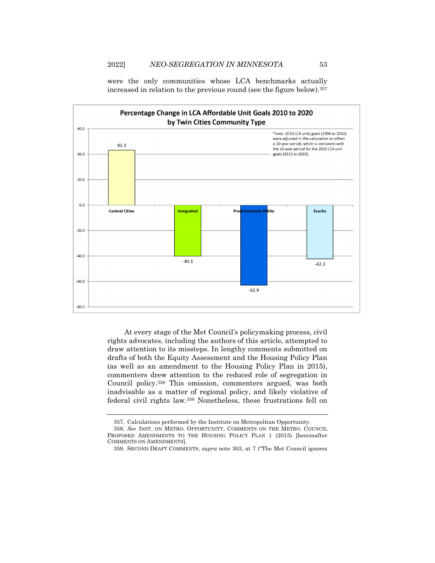were the only communities whose LCA benchmarks actually increased in relation to the previous round (see the figure below).357



At every stage of the Met Council's policymaking process, civil rights advocates, including the authors of this article, attempted to draw attention to its missteps. In lengthy comments submitted on drafts of both the Equity Assessment and the Housing Policy Plan (as well as an amendment to the Housing Policy Plan in 2015), commenters drew attention to the reduced role of segregation in Council policy.358 This omission, commenters argued, was both inadvisable as a matter of regional policy, and likely violative of federal civil rights law.359 Nonetheless, these frustrations fell on

<sup>357.</sup> Calculations performed by the Institute on Metropolitan Opportunity.

<sup>358</sup>*. See* INST. ON METRO. OPPORTUNITY, COMMENTS ON THE METRO. COUNCIL PROPOSED AMENDMENTS TO THE HOUSING POLICY PLAN 1 (2015) [hereinafter COMMENTS ON AMENDMENTS].

<sup>359.</sup> SECOND DRAFT COMMENTS, *supra* note 303, at 7 ("The Met Council ignores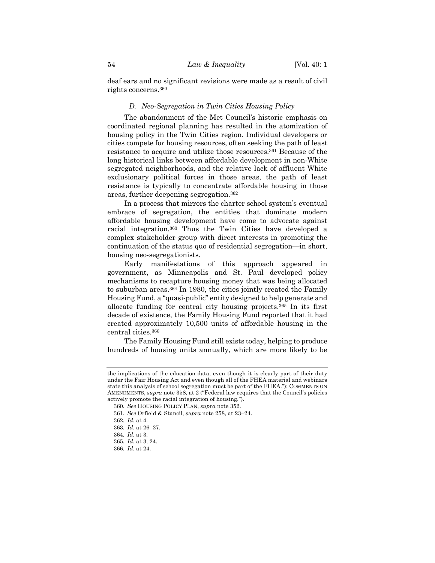deaf ears and no significant revisions were made as a result of civil rights concerns.360

# *D. Neo-Segregation in Twin Cities Housing Policy*

The abandonment of the Met Council's historic emphasis on coordinated regional planning has resulted in the atomization of housing policy in the Twin Cities region. Individual developers or cities compete for housing resources, often seeking the path of least resistance to acquire and utilize those resources.361 Because of the long historical links between affordable development in non-White segregated neighborhoods, and the relative lack of affluent White exclusionary political forces in those areas, the path of least resistance is typically to concentrate affordable housing in those areas, further deepening segregation.362

In a process that mirrors the charter school system's eventual embrace of segregation, the entities that dominate modern affordable housing development have come to advocate against racial integration.363 Thus the Twin Cities have developed a complex stakeholder group with direct interests in promoting the continuation of the status quo of residential segregation—in short, housing neo-segregationists.

Early manifestations of this approach appeared in government, as Minneapolis and St. Paul developed policy mechanisms to recapture housing money that was being allocated to suburban areas.364 In 1980, the cities jointly created the Family Housing Fund, a "quasi-public" entity designed to help generate and allocate funding for central city housing projects.365 In its first decade of existence, the Family Housing Fund reported that it had created approximately 10,500 units of affordable housing in the central cities.366

The Family Housing Fund still exists today, helping to produce hundreds of housing units annually, which are more likely to be

361*. See* Orfield & Stancil, *supra* note 258, at 23–24.

the implications of the education data, even though it is clearly part of their duty under the Fair Housing Act and even though all of the FHEA material and webinars state this analysis of school segregation must be part of the FHEA."); COMMENTS ON AMENDMENTS, *supra* note 358, at 2 ("Federal law requires that the Council's policies actively promote the racial integration of housing.").

<sup>360</sup>*. See* HOUSING POLICY PLAN, *supra* note 352.

<sup>362</sup>*. Id.* at 4.

<sup>363</sup>*. Id.* at 26–27.

<sup>364</sup>*. Id.* at 3.

<sup>365</sup>*. Id.* at 3, 24.

<sup>366</sup>*. Id.* at 24.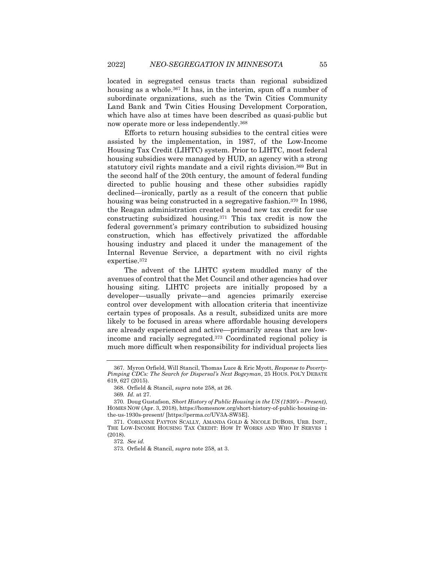located in segregated census tracts than regional subsidized housing as a whole.<sup>367</sup> It has, in the interim, spun off a number of subordinate organizations, such as the Twin Cities Community Land Bank and Twin Cities Housing Development Corporation, which have also at times have been described as quasi-public but now operate more or less independently.368

Efforts to return housing subsidies to the central cities were assisted by the implementation, in 1987, of the Low-Income Housing Tax Credit (LIHTC) system. Prior to LIHTC, most federal housing subsidies were managed by HUD, an agency with a strong statutory civil rights mandate and a civil rights division.369 But in the second half of the 20th century, the amount of federal funding directed to public housing and these other subsidies rapidly declined—ironically, partly as a result of the concern that public housing was being constructed in a segregative fashion.<sup>370</sup> In 1986, the Reagan administration created a broad new tax credit for use constructing subsidized housing.371 This tax credit is now the federal government's primary contribution to subsidized housing construction, which has effectively privatized the affordable housing industry and placed it under the management of the Internal Revenue Service, a department with no civil rights expertise.372

The advent of the LIHTC system muddled many of the avenues of control that the Met Council and other agencies had over housing siting. LIHTC projects are initially proposed by a developer—usually private—and agencies primarily exercise control over development with allocation criteria that incentivize certain types of proposals. As a result, subsidized units are more likely to be focused in areas where affordable housing developers are already experienced and active—primarily areas that are lowincome and racially segregated.373 Coordinated regional policy is much more difficult when responsibility for individual projects lies

<sup>367.</sup> Myron Orfield, Will Stancil, Thomas Luce & Eric Myott, *Response to Poverty-Pimping CDCs: The Search for Dispersal's Next Bogeyman*, 25 HOUS. POL'Y DEBATE 619, 627 (2015).

<sup>368.</sup> Orfield & Stancil, *supra* note 258, at 26.

<sup>369</sup>*. Id.* at 27.

<sup>370.</sup> Doug Gustafson, *Short History of Public Housing in the US (1930's – Present)*, HOMES NOW (Apr. 3, 2018), https://homesnow.org/short-history-of-public-housing-inthe-us-1930s-present/ [https://perma.cc/UV3A-SW5E].

<sup>371.</sup> CORIANNE PAYTON SCALLY, AMANDA GOLD & NICOLE DUBOIS, URB. INST., THE LOW-INCOME HOUSING TAX CREDIT: HOW IT WORKS AND WHO IT SERVES 1 (2018).

<sup>372</sup>*. See id.*

<sup>373.</sup> Orfield & Stancil, *supra* note 258, at 3.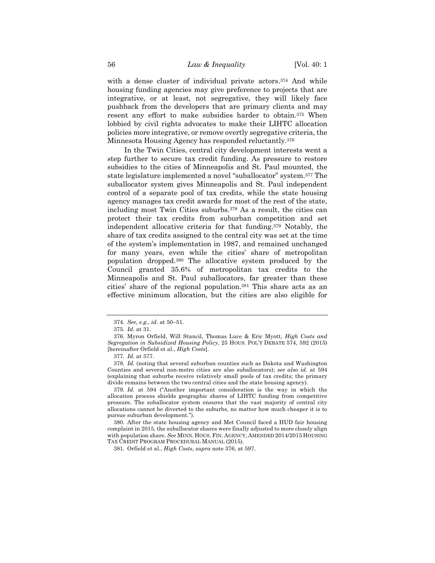with a dense cluster of individual private actors.<sup>374</sup> And while housing funding agencies may give preference to projects that are integrative, or at least, not segregative, they will likely face pushback from the developers that are primary clients and may resent any effort to make subsidies harder to obtain.375 When lobbied by civil rights advocates to make their LIHTC allocation policies more integrative, or remove overtly segregative criteria, the Minnesota Housing Agency has responded reluctantly.376

In the Twin Cities, central city development interests went a step further to secure tax credit funding. As pressure to restore subsidies to the cities of Minneapolis and St. Paul mounted, the state legislature implemented a novel "suballocator" system.377 The suballocator system gives Minneapolis and St. Paul independent control of a separate pool of tax credits, while the state housing agency manages tax credit awards for most of the rest of the state, including most Twin Cities suburbs.378 As a result, the cities can protect their tax credits from suburban competition and set independent allocative criteria for that funding.379 Notably, the share of tax credits assigned to the central city was set at the time of the system's implementation in 1987, and remained unchanged for many years, even while the cities' share of metropolitan population dropped.380 The allocative system produced by the Council granted 35.6% of metropolitan tax credits to the Minneapolis and St. Paul suballocators, far greater than these cities' share of the regional population.381 This share acts as an effective minimum allocation, but the cities are also eligible for

379*. Id.* at 594 ("Another important consideration is the way in which the allocation process shields geographic shares of LIHTC funding from competitive pressure. The suballocator system ensures that the vast majority of central city allocations cannot be diverted to the suburbs, no matter how much cheaper it is to pursue suburban development.").

380. After the state housing agency and Met Council faced a HUD fair housing complaint in 2015, the suballocator shares were finally adjusted to more closely align with population share. *See* MINN. HOUS. FIN. AGENCY, AMENDED 2014/2015 HOUSING TAX CREDIT PROGRAM PROCEDURAL MANUAL (2015).

381*.* Orfield et al., *High Costs*, *supra* note 376, at 597.

<sup>374</sup>*. See, e.g.*, *id.* at 50–51.

<sup>375</sup>*. Id.* at 31.

<sup>376.</sup> Myron Orfield, Will Stancil, Thomas Luce & Eric Myott, *High Costs and Segregation in Subsidized Housing Policy*, 25 HOUS. POL'Y DEBATE 574, 592 (2015) [hereinafter Orfield et al., *High Costs*].

<sup>377</sup>*. Id.* at 577.

<sup>378</sup>*. Id.* (noting that several suburban counties such as Dakota and Washington Counties and several non-metro cities are also suballocators); *see also id.* at 594 (explaining that suburbs receive relatively small pools of tax credits; the primary divide remains between the two central cities and the state housing agency).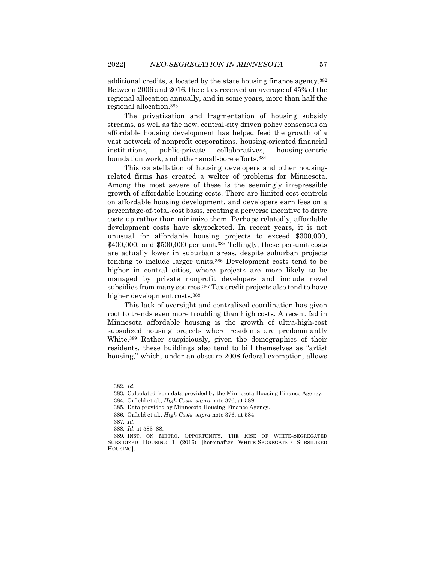additional credits, allocated by the state housing finance agency.382 Between 2006 and 2016, the cities received an average of 45% of the regional allocation annually, and in some years, more than half the regional allocation.383

The privatization and fragmentation of housing subsidy streams, as well as the new, central-city driven policy consensus on affordable housing development has helped feed the growth of a vast network of nonprofit corporations, housing-oriented financial institutions, public-private collaboratives, housing-centric foundation work, and other small-bore efforts.384

This constellation of housing developers and other housingrelated firms has created a welter of problems for Minnesota. Among the most severe of these is the seemingly irrepressible growth of affordable housing costs. There are limited cost controls on affordable housing development, and developers earn fees on a percentage-of-total-cost basis, creating a perverse incentive to drive costs up rather than minimize them. Perhaps relatedly, affordable development costs have skyrocketed. In recent years, it is not unusual for affordable housing projects to exceed \$300,000, \$400,000, and \$500,000 per unit.385 Tellingly, these per-unit costs are actually lower in suburban areas, despite suburban projects tending to include larger units.386 Development costs tend to be higher in central cities, where projects are more likely to be managed by private nonprofit developers and include novel subsidies from many sources.<sup>387</sup> Tax credit projects also tend to have higher development costs.388

This lack of oversight and centralized coordination has given root to trends even more troubling than high costs. A recent fad in Minnesota affordable housing is the growth of ultra-high-cost subsidized housing projects where residents are predominantly White.389 Rather suspiciously, given the demographics of their residents, these buildings also tend to bill themselves as "artist housing," which, under an obscure 2008 federal exemption, allows

<sup>382</sup>*. Id.*

<sup>383.</sup> Calculated from data provided by the Minnesota Housing Finance Agency.

<sup>384.</sup> Orfield et al., *High Costs*, *supra* note 376, at 589.

<sup>385.</sup> Data provided by Minnesota Housing Finance Agency.

<sup>386.</sup> Orfield et al., *High Costs*, *supra* note 376, at 584.

<sup>387</sup>*. Id.*

<sup>388</sup>*. Id.* at 583–88.

<sup>389.</sup> INST. ON METRO. OPPORTUNITY, THE RISE OF WHITE-SEGREGATED SUBSIDIZED HOUSING 1 (2016) [hereinafter WHITE-SEGREGATED SUBSIDIZED HOUSING].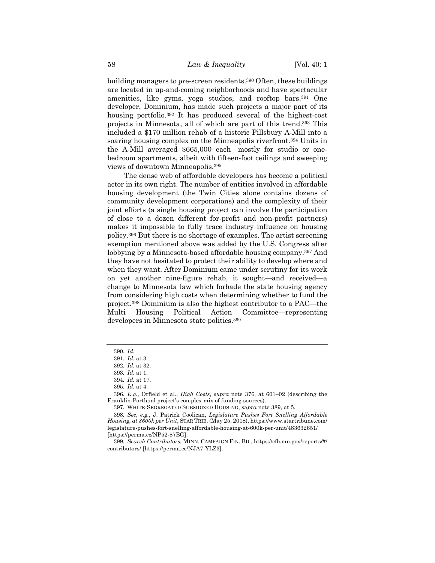building managers to pre-screen residents.390 Often, these buildings are located in up-and-coming neighborhoods and have spectacular amenities, like gyms, yoga studios, and rooftop bars.391 One developer, Dominium, has made such projects a major part of its housing portfolio.392 It has produced several of the highest-cost projects in Minnesota, all of which are part of this trend.393 This included a \$170 million rehab of a historic Pillsbury A-Mill into a soaring housing complex on the Minneapolis riverfront.394 Units in the A-Mill averaged \$665,000 each—mostly for studio or onebedroom apartments, albeit with fifteen-foot ceilings and sweeping views of downtown Minneapolis.395

The dense web of affordable developers has become a political actor in its own right. The number of entities involved in affordable housing development (the Twin Cities alone contains dozens of community development corporations) and the complexity of their joint efforts (a single housing project can involve the participation of close to a dozen different for-profit and non-profit partners) makes it impossible to fully trace industry influence on housing policy.396 But there is no shortage of examples. The artist screening exemption mentioned above was added by the U.S. Congress after lobbying by a Minnesota-based affordable housing company.397 And they have not hesitated to protect their ability to develop where and when they want. After Dominium came under scrutiny for its work on yet another nine-figure rehab, it sought—and received—a change to Minnesota law which forbade the state housing agency from considering high costs when determining whether to fund the project.398 Dominium is also the highest contributor to a PAC—the Multi Housing Political Action Committee—representing developers in Minnesota state politics.399

<sup>390</sup>*. Id.*

<sup>391</sup>*. Id.* at 3.

<sup>392</sup>*. Id.* at 32.

<sup>393</sup>*. Id.* at 1.

<sup>394</sup>*. Id.* at 17.

<sup>395</sup>*. Id.* at 4.

<sup>396</sup>*. E.g.*, Orfield et al., *High Costs*, *supra* note 376, at 601–02 (describing the Franklin-Portland project's complex mix of funding sources).

<sup>397.</sup> WHITE-SEGREGATED SUBSIDIZED HOUSING, *supra* note 389, at 5.

<sup>398</sup>*. See*, *e.g.*, J. Patrick Coolican, *Legislature Pushes Fort Snelling Affordable Housing, at \$600k per Unit*, STAR TRIB. (May 25, 2018), https://www.startribune.com/ legislature-pushes-fort-snelling-affordable-housing-at-600k-per-unit/483632651/ [https://perma.cc/NP52-87BG].

<sup>399</sup>*. Search Contributors,* MINN. CAMPAIGN FIN. BD., https://cfb.mn.gov/reports/#/ contributors/ [https://perma.cc/NJA7-YLZ3].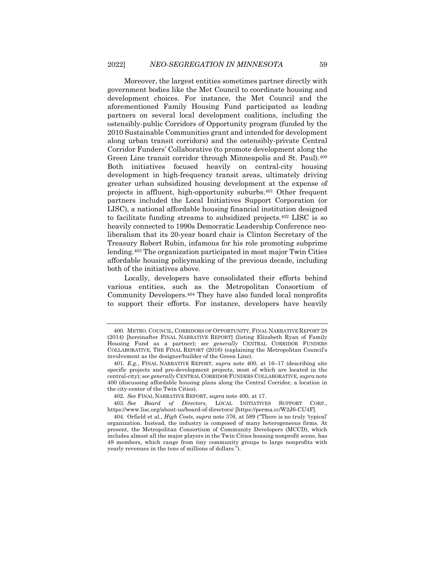Moreover, the largest entities sometimes partner directly with government bodies like the Met Council to coordinate housing and development choices. For instance, the Met Council and the aforementioned Family Housing Fund participated as leading partners on several local development coalitions, including the ostensibly-public Corridors of Opportunity program (funded by the 2010 Sustainable Communities grant and intended for development along urban transit corridors) and the ostensibly-private Central Corridor Funders' Collaborative (to promote development along the Green Line transit corridor through Minneapolis and St. Paul).<sup>400</sup> Both initiatives focused heavily on central-city housing development in high-frequency transit areas, ultimately driving greater urban subsidized housing development at the expense of projects in affluent, high-opportunity suburbs.401 Other frequent partners included the Local Initiatives Support Corporation (or LISC), a national affordable housing financial institution designed to facilitate funding streams to subsidized projects.402 LISC is so heavily connected to 1990s Democratic Leadership Conference neoliberalism that its 20-year board chair is Clinton Secretary of the Treasury Robert Rubin, infamous for his role promoting subprime lending.403 The organization participated in most major Twin Cities affordable housing policymaking of the previous decade, including both of the initiatives above.

Locally, developers have consolidated their efforts behind various entities, such as the Metropolitan Consortium of Community Developers.404 They have also funded local nonprofits to support their efforts. For instance, developers have heavily

<sup>400.</sup> METRO. COUNCIL, CORRIDORS OF OPPORTUNITY, FINAL NARRATIVE REPORT 28 (2014) [hereinafter FINAL NARRATIVE REPORT] (listing Elizabeth Ryan of Family Housing Fund as a partner); *see generally* CENTRAL CORRIDOR FUNDERS COLLABORATIVE, THE FINAL REPORT (2016) (explaining the Metropolitan Council's involvement as the designer/builder of the Green Line).

<sup>401</sup>*. E.g.*, FINAL NARRATIVE REPORT, *supra* note 400, at 16–17 (describing site specific projects and pre-development projects, most of which are located in the central-city); *see generally* CENTRAL CORRIDOR FUNDERS COLLABORATIVE, *supra* note 400 (discussing affordable housing plans along the Central Corridor, a location in the city-center of the Twin Cities).

<sup>402</sup>*. See* FINAL NARRATIVE REPORT, *supra* note 400, at 17.

<sup>403</sup>*. See Board of Directors,* LOCAL INITIATIVES SUPPORT CORP., https://www.lisc.org/about-us/board-of-directors/ [https://perma.cc/W2J6-CU4F].

<sup>404.</sup> Orfield et al., *High Costs*, *supra* note 376, at 589 ("There is no truly 'typical' organization. Instead, the industry is composed of many heterogeneous firms. At present, the Metropolitan Consortium of Community Developers (MCCD), which includes almost all the major players in the Twin Cities housing nonprofit scene, has 49 members, which range from tiny community groups to large nonprofits with yearly revenues in the tens of millions of dollars.").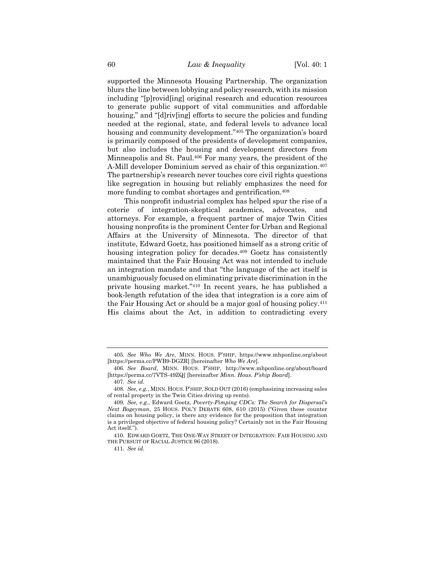supported the Minnesota Housing Partnership. The organization blurs the line between lobbying and policy research, with its mission including "[p]rovid[ing] original research and education resources to generate public support of vital communities and affordable housing," and "[d]riv[ing] efforts to secure the policies and funding needed at the regional, state, and federal levels to advance local housing and community development."405 The organization's board is primarily composed of the presidents of development companies, but also includes the housing and development directors from Minneapolis and St. Paul.406 For many years, the president of the A-Mill developer Dominium served as chair of this organization.<sup>407</sup> The partnership's research never touches core civil rights questions like segregation in housing but reliably emphasizes the need for more funding to combat shortages and gentrification.<sup>408</sup>

This nonprofit industrial complex has helped spur the rise of a coterie of integration-skeptical academics, advocates, and attorneys. For example, a frequent partner of major Twin Cities housing nonprofits is the prominent Center for Urban and Regional Affairs at the University of Minnesota. The director of that institute, Edward Goetz, has positioned himself as a strong critic of housing integration policy for decades.<sup>409</sup> Goetz has consistently maintained that the Fair Housing Act was not intended to include an integration mandate and that "the language of the act itself is unambiguously focused on eliminating private discrimination in the private housing market."410 In recent years, he has published a book-length refutation of the idea that integration is a core aim of the Fair Housing Act or should be a major goal of housing policy.411 His claims about the Act, in addition to contradicting every

<sup>405</sup>*. See Who We Are*, MINN. HOUS. P'SHIP, https://www.mhponline.org/about [https://perma.cc/PWB9-DGZR] [hereinafter *Who We Are*].

<sup>406</sup>*. See Board*, MINN. HOUS. P'SHIP, http://www.mhponline.org/about/board [https://perma.cc/7VTS-49ZQ] [hereinafter *Minn. Hous. P'ship Board*].

<sup>407</sup>*. See id.*

<sup>408</sup>*. See, e.g.*, MINN. HOUS. P'SHIP, SOLD OUT (2016) (emphasizing increasing sales of rental property in the Twin Cities driving up rents).

<sup>409</sup>*. See, e.g.*, Edward Goetz, *Poverty-Pimping CDCs: The Search for Dispersal's Next Bogeyman*, 25 HOUS. POL'Y DEBATE 608, 610 (2015) ("Given these counter claims on housing policy, is there any evidence for the proposition that integration is a privileged objective of federal housing policy? Certainly not in the Fair Housing Act itself.").

<sup>410.</sup> EDWARD GOETZ, THE ONE-WAY STREET OF INTEGRATION: FAIR HOUSING AND THE PURSUIT OF RACIAL JUSTICE 96 (2018).

<sup>411</sup>*. See id.*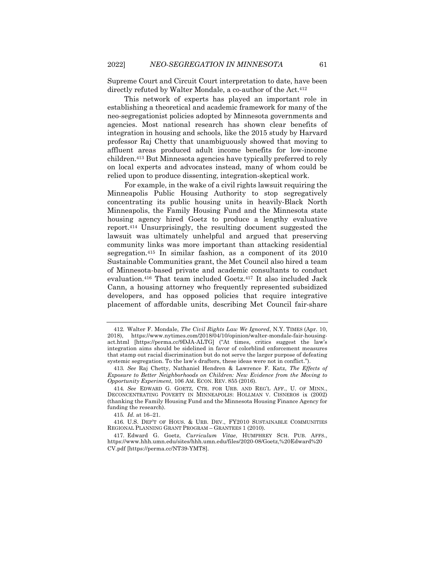Supreme Court and Circuit Court interpretation to date, have been directly refuted by Walter Mondale, a co-author of the Act.<sup>412</sup>

This network of experts has played an important role in establishing a theoretical and academic framework for many of the neo-segregationist policies adopted by Minnesota governments and agencies. Most national research has shown clear benefits of integration in housing and schools, like the 2015 study by Harvard professor Raj Chetty that unambiguously showed that moving to affluent areas produced adult income benefits for low-income children.413 But Minnesota agencies have typically preferred to rely on local experts and advocates instead, many of whom could be relied upon to produce dissenting, integration-skeptical work.

For example, in the wake of a civil rights lawsuit requiring the Minneapolis Public Housing Authority to stop segregatively concentrating its public housing units in heavily-Black North Minneapolis, the Family Housing Fund and the Minnesota state housing agency hired Goetz to produce a lengthy evaluative report.414 Unsurprisingly, the resulting document suggested the lawsuit was ultimately unhelpful and argued that preserving community links was more important than attacking residential segregation.415 In similar fashion, as a component of its 2010 Sustainable Communities grant, the Met Council also hired a team of Minnesota-based private and academic consultants to conduct evaluation.416 That team included Goetz.417 It also included Jack Cann, a housing attorney who frequently represented subsidized developers, and has opposed policies that require integrative placement of affordable units, describing Met Council fair-share

<sup>412.</sup> Walter F. Mondale, *The Civil Rights Law We Ignored*, N.Y. TIMES (Apr. 10, 2018), https://www.nytimes.com/2018/04/10/opinion/walter-mondale-fair-housing-2018), https://www.nytimes.com/2018/04/10/opinion/walter-mondale-fair-housingact.html [https://perma.cc/9DJA-ALTG] ("At times, critics suggest the law's integration aims should be sidelined in favor of colorblind enforcement measures that stamp out racial discrimination but do not serve the larger purpose of defeating systemic segregation. To the law's drafters, these ideas were not in conflict.").

<sup>413</sup>*. See* Raj Chetty, Nathaniel Hendren & Lawrence F. Katz, *The Effects of Exposure to Better Neighborhoods on Children: New Evidence from the Moving to Opportunity Experiment*, 106 AM. ECON. REV. 855 (2016).

<sup>414</sup>*. See* EDWARD G. GOETZ, CTR. FOR URB. AND REG'L AFF., U. OF MINN., DECONCENTRATING POVERTY IN MINNEAPOLIS: HOLLMAN V. CISNEROS ix (2002) (thanking the Family Housing Fund and the Minnesota Housing Finance Agency for funding the research).

<sup>415</sup>*. Id.* at 16–21.

<sup>416.</sup> U.S. DEP'T OF HOUS. & URB. DEV., FY2010 SUSTAINABLE COMMUNITIES REGIONAL PLANNING GRANT PROGRAM – GRANTEES 1 (2010).

<sup>417.</sup> Edward G. Goetz, *Curriculum Vitae*, HUMPHREY SCH. PUB. AFFS., https://www.hhh.umn.edu/sites/hhh.umn.edu/files/2020-08/Goetz,%20Edward%20 CV.pdf [https://perma.cc/NT39-YMT8].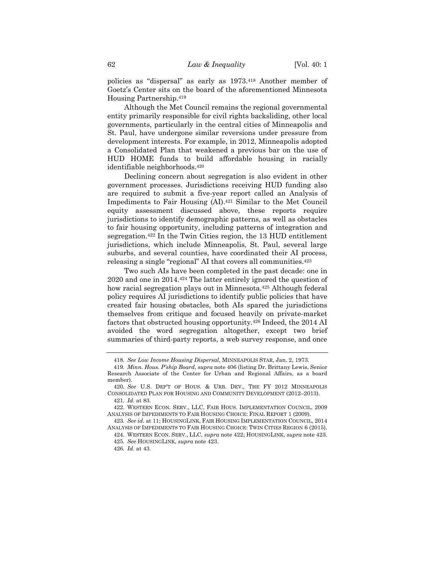policies as "dispersal" as early as 1973.418 Another member of Goetz's Center sits on the board of the aforementioned Minnesota Housing Partnership.419

Although the Met Council remains the regional governmental entity primarily responsible for civil rights backsliding, other local governments, particularly in the central cities of Minneapolis and St. Paul, have undergone similar reversions under pressure from development interests. For example, in 2012, Minneapolis adopted a Consolidated Plan that weakened a previous bar on the use of HUD HOME funds to build affordable housing in racially identifiable neighborhoods.420

Declining concern about segregation is also evident in other government processes. Jurisdictions receiving HUD funding also are required to submit a five-year report called an Analysis of Impediments to Fair Housing (AI).421 Similar to the Met Council equity assessment discussed above, these reports require jurisdictions to identify demographic patterns, as well as obstacles to fair housing opportunity, including patterns of integration and segregation.422 In the Twin Cities region, the 13 HUD entitlement jurisdictions, which include Minneapolis, St. Paul, several large suburbs, and several counties, have coordinated their AI process, releasing a single "regional" AI that covers all communities.423

Two such AIs have been completed in the past decade: one in 2020 and one in 2014.424 The latter entirely ignored the question of how racial segregation plays out in Minnesota.425 Although federal policy requires AI jurisdictions to identify public policies that have created fair housing obstacles, both AIs spared the jurisdictions themselves from critique and focused heavily on private-market factors that obstructed housing opportunity.426 Indeed, the 2014 AI avoided the word segregation altogether, except two brief summaries of third-party reports, a web survey response, and once

<sup>418</sup>*. See Low Income Housing Dispersal*, MINNEAPOLIS STAR, Jan. 2, 1973.

<sup>419</sup>*. Minn. Hous. P'ship Board*, *supra* note 406 (listing Dr. Brittany Lewis, Senior Research Associate of the Center for Urban and Regional Affairs, as a board member).

<sup>420</sup>*. See* U.S. DEP'T OF HOUS. & URB. DEV., THE FY 2012 MINNEAPOLIS CONSOLIDATED PLAN FOR HOUSING AND COMMUNITY DEVELOPMENT (2012–2013).

<sup>421</sup>*. Id.* at 83.

<sup>422.</sup> WESTERN ECON. SERV., LLC, FAIR HOUS. IMPLEMENTATION COUNCIL, 2009 ANALYSIS OF IMPEDIMENTS TO FAIR HOUSING CHOICE: FINAL REPORT 1 (2009).

<sup>423</sup>*. See id.* at 11; HOUSINGLINK, FAIR HOUSING IMPLEMENTATION COUNCIL, 2014 ANALYSIS OF IMPEDIMENTS TO FAIR HOUSING CHOICE: TWIN CITIES REGION 6 (2015).

<sup>424.</sup> WESTERN ECON. SERV., LLC, *supra* note 422; HOUSINGLINK, *supra* note 423. 425*. See* HOUSINGLINK, *supra* note 423.

<sup>426</sup>*. Id.* at 43.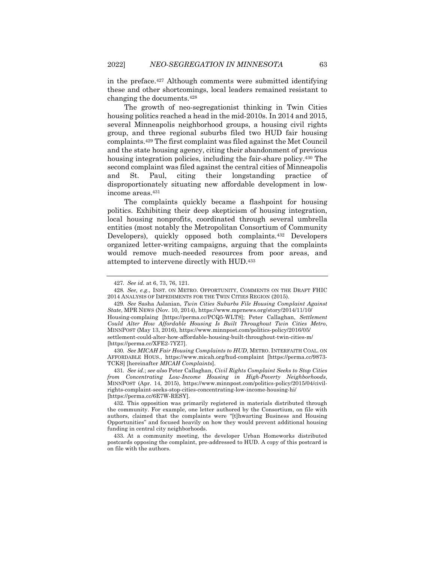in the preface.427 Although comments were submitted identifying these and other shortcomings, local leaders remained resistant to changing the documents.428

The growth of neo-segregationist thinking in Twin Cities housing politics reached a head in the mid-2010s. In 2014 and 2015, several Minneapolis neighborhood groups, a housing civil rights group, and three regional suburbs filed two HUD fair housing complaints.429 The first complaint was filed against the Met Council and the state housing agency, citing their abandonment of previous housing integration policies, including the fair-share policy.430 The second complaint was filed against the central cities of Minneapolis and St. Paul, citing their longstanding practice of disproportionately situating new affordable development in lowincome areas.431

The complaints quickly became a flashpoint for housing politics. Exhibiting their deep skepticism of housing integration, local housing nonprofits, coordinated through several umbrella entities (most notably the Metropolitan Consortium of Community Developers), quickly opposed both complaints.432 Developers organized letter-writing campaigns, arguing that the complaints would remove much-needed resources from poor areas, and attempted to intervene directly with HUD.433

430*. See MICAH Fair Housing Complaints to HUD*, METRO. INTERFAITH COAL. ON AFFORDABLE HOUS., https://www.micah.org/hud-complaint [https://perma.cc/9873- TCKS] [hereinafter *MICAH Complaints*].

431*. See id.*; *see also* Peter Callaghan, *Civil Rights Complaint Seeks to Stop Cities from Concentrating Low-Income Housing in High-Poverty Neighborhoods*, MINNPOST (Apr. 14, 2015), https://www.minnpost.com/politics-policy/2015/04/civilrights-complaint-seeks-stop-cities-concentrating-low-income-housing-hi/ [https://perma.cc/6E7W-RESY].

432. This opposition was primarily registered in materials distributed through the community. For example, one letter authored by the Consortium, on file with authors, claimed that the complaints were "[t]hwarting Business and Housing Opportunities" and focused heavily on how they would prevent additional housing funding in central city neighborhoods.

433. At a community meeting, the developer Urban Homeworks distributed postcards opposing the complaint, pre-addressed to HUD. A copy of this postcard is on file with the authors.

<sup>427</sup>*. See id.* at 6, 73, 76, 121.

<sup>428</sup>*. See, e.g.*, INST. ON METRO. OPPORTUNITY, COMMENTS ON THE DRAFT FHIC 2014 ANALYSIS OF IMPEDIMENTS FOR THE TWIN CITIES REGION (2015).

<sup>429</sup>*. See* Sasha Aslanian, *Twin Cities Suburbs File Housing Complaint Against State*, MPR NEWS (Nov. 10, 2014), https://www.mprnews.org/story/2014/11/10/ Housing-complaing [https://perma.cc/PCQ5-WLT8]; Peter Callaghan, *Settlement Could Alter How Affordable Housing Is Built Throughout Twin Cities Metro*, MINNPOST (May 13, 2016), https://www.minnpost.com/politics-policy/2016/05/ settlement-could-alter-how-affordable-housing-built-throughout-twin-cities-m/ [https://perma.cc/XFE2-7YZ7].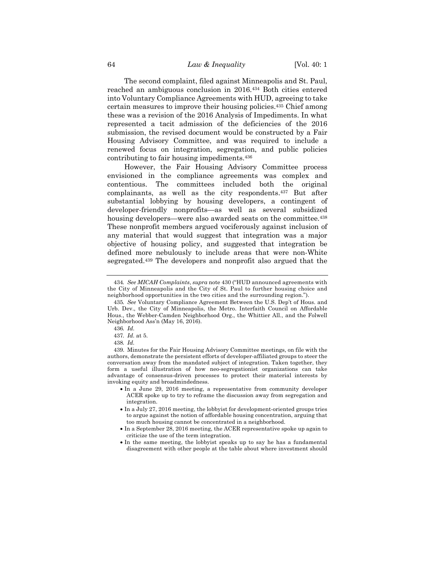The second complaint, filed against Minneapolis and St. Paul, reached an ambiguous conclusion in 2016.434 Both cities entered into Voluntary Compliance Agreements with HUD, agreeing to take certain measures to improve their housing policies.435 Chief among these was a revision of the 2016 Analysis of Impediments. In what represented a tacit admission of the deficiencies of the 2016 submission, the revised document would be constructed by a Fair Housing Advisory Committee, and was required to include a renewed focus on integration, segregation, and public policies contributing to fair housing impediments.436

However, the Fair Housing Advisory Committee process envisioned in the compliance agreements was complex and contentious. The committees included both the original complainants, as well as the city respondents.437 But after substantial lobbying by housing developers, a contingent of developer-friendly nonprofits—as well as several subsidized housing developers—were also awarded seats on the committee.<sup>438</sup> These nonprofit members argued vociferously against inclusion of any material that would suggest that integration was a major objective of housing policy, and suggested that integration be defined more nebulously to include areas that were non-White segregated.439 The developers and nonprofit also argued that the

- In a June 29, 2016 meeting, a representative from community developer ACER spoke up to try to reframe the discussion away from segregation and integration.
- In a July 27, 2016 meeting, the lobbyist for development-oriented groups tries to argue against the notion of affordable housing concentration, arguing that too much housing cannot be concentrated in a neighborhood.
- In a September 28, 2016 meeting, the ACER representative spoke up again to criticize the use of the term integration.
- In the same meeting, the lobbyist speaks up to say he has a fundamental disagreement with other people at the table about where investment should

<sup>434</sup>*. See MICAH Complaints*, *supra* note 430 ("HUD announced agreements with the City of Minneapolis and the City of St. Paul to further housing choice and neighborhood opportunities in the two cities and the surrounding region.").

<sup>435</sup>*. See* Voluntary Compliance Agreement Between the U.S. Dep't of Hous. and Urb. Dev., the City of Minneapolis, the Metro. Interfaith Council on Affordable Hous., the Webber-Camden Neighborhood Org., the Whittier All., and the Folwell Neighborhood Ass'n (May 16, 2016).

<sup>436</sup>*. Id.*

<sup>437</sup>*. Id.* at 5.

<sup>438</sup>*. Id.*

<sup>439.</sup> Minutes for the Fair Housing Advisory Committee meetings, on file with the authors, demonstrate the persistent efforts of developer-affiliated groups to steer the conversation away from the mandated subject of integration. Taken together, they form a useful illustration of how neo-segregationist organizations can take advantage of consensus-driven processes to protect their material interests by invoking equity and broadmindedness.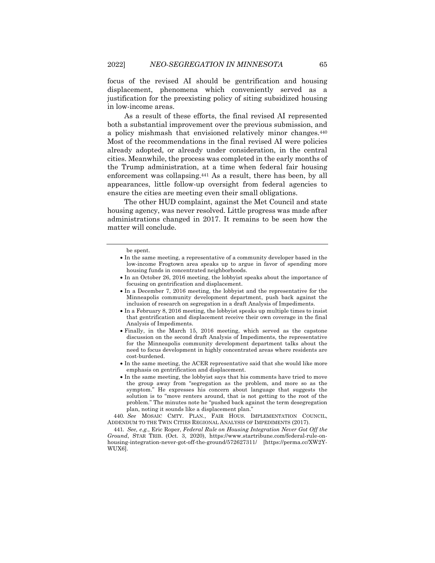focus of the revised AI should be gentrification and housing displacement, phenomena which conveniently served as a justification for the preexisting policy of siting subsidized housing in low-income areas.

As a result of these efforts, the final revised AI represented both a substantial improvement over the previous submission, and a policy mishmash that envisioned relatively minor changes.440 Most of the recommendations in the final revised AI were policies already adopted, or already under consideration, in the central cities. Meanwhile, the process was completed in the early months of the Trump administration, at a time when federal fair housing enforcement was collapsing.441 As a result, there has been, by all appearances, little follow-up oversight from federal agencies to ensure the cities are meeting even their small obligations.

The other HUD complaint, against the Met Council and state housing agency, was never resolved. Little progress was made after administrations changed in 2017. It remains to be seen how the matter will conclude.

be spent.

- In the same meeting, a representative of a community developer based in the low-income Frogtown area speaks up to argue in favor of spending more housing funds in concentrated neighborhoods.
- In an October 26, 2016 meeting, the lobbyist speaks about the importance of focusing on gentrification and displacement.
- In a December 7, 2016 meeting, the lobbyist and the representative for the Minneapolis community development department, push back against the inclusion of research on segregation in a draft Analysis of Impediments.
- In a February 8, 2016 meeting, the lobbyist speaks up multiple times to insist that gentrification and displacement receive their own coverage in the final Analysis of Impediments.
- Finally, in the March 15, 2016 meeting, which served as the capstone discussion on the second draft Analysis of Impediments, the representative for the Minneapolis community development department talks about the need to focus development in highly concentrated areas where residents are cost-burdened.
- In the same meeting, the ACER representative said that she would like more emphasis on gentrification and displacement.
- In the same meeting, the lobbyist says that his comments have tried to move the group away from "segregation as the problem, and more so as the symptom." He expresses his concern about language that suggests the solution is to "move renters around, that is not getting to the root of the problem." The minutes note he "pushed back against the term desegregation plan, noting it sounds like a displacement plan.'

440*. See* MOSAIC CMTY. PLAN., FAIR HOUS. IMPLEMENTATION COUNCIL, ADDENDUM TO THE TWIN CITIES REGIONAL ANALYSIS OF IMPEDIMENTS (2017).

441*. See, e.g.*, Eric Roper, *Federal Rule on Housing Integration Never Got Off the Ground*, STAR TRIB. (Oct. 3, 2020), https://www.startribune.com/federal-rule-onhousing-integration-never-got-off-the-ground/572627311/ [https://perma.cc/XW2Y-WUX6].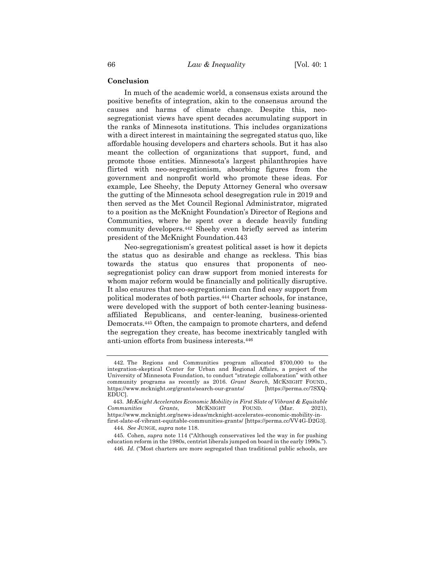## **Conclusion**

In much of the academic world, a consensus exists around the positive benefits of integration, akin to the consensus around the causes and harms of climate change. Despite this, neosegregationist views have spent decades accumulating support in the ranks of Minnesota institutions. This includes organizations with a direct interest in maintaining the segregated status quo, like affordable housing developers and charters schools. But it has also meant the collection of organizations that support, fund, and promote those entities. Minnesota's largest philanthropies have flirted with neo-segregationism, absorbing figures from the government and nonprofit world who promote these ideas. For example, Lee Sheehy, the Deputy Attorney General who oversaw the gutting of the Minnesota school desegregation rule in 2019 and then served as the Met Council Regional Administrator, migrated to a position as the McKnight Foundation's Director of Regions and Communities, where he spent over a decade heavily funding community developers.442 Sheehy even briefly served as interim president of the McKnight Foundation.443

Neo-segregationism's greatest political asset is how it depicts the status quo as desirable and change as reckless. This bias towards the status quo ensures that proponents of neosegregationist policy can draw support from monied interests for whom major reform would be financially and politically disruptive. It also ensures that neo-segregationism can find easy support from political moderates of both parties.444 Charter schools, for instance, were developed with the support of both center-leaning businessaffiliated Republicans, and center-leaning, business-oriented Democrats.445 Often, the campaign to promote charters, and defend the segregation they create, has become inextricably tangled with anti-union efforts from business interests.446

<sup>442.</sup> The Regions and Communities program allocated \$700,000 to the integration-skeptical Center for Urban and Regional Affairs, a project of the University of Minnesota Foundation, to conduct "strategic collaboration" with other community programs as recently as 2016. *Grant Search*, MCKNIGHT FOUND., https://www.mcknight.org/grants/search-our-grants/ [https://perma.cc/7SXQ-EDUC].

<sup>443.</sup> *McKnight Accelerates Economic Mobility in First Slate of Vibrant & Equitable Communities Grants.* MCKNIGHT FOUND. (Mar. https://www.mcknight.org/news-ideas/mcknight-accelerates-economic-mobility-infirst-slate-of-vibrant-equitable-communities-grants/ [https://perma.cc/VV4G-D2G3].

<sup>444</sup>*. See* JUNGE, *supra* note 118.

<sup>445.</sup> Cohen, *supra* note 114 ("Although conservatives led the way in for pushing education reform in the 1980s, centrist liberals jumped on board in the early 1990s."). 446*. Id.* ("Most charters are more segregated than traditional public schools, are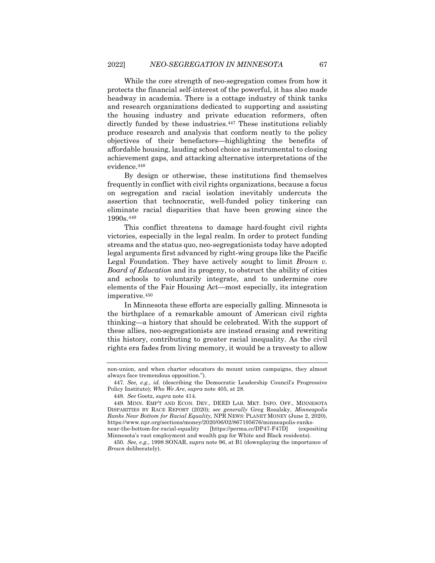While the core strength of neo-segregation comes from how it protects the financial self-interest of the powerful, it has also made headway in academia. There is a cottage industry of think tanks and research organizations dedicated to supporting and assisting the housing industry and private education reformers, often directly funded by these industries.<sup>447</sup> These institutions reliably produce research and analysis that conform neatly to the policy objectives of their benefactors—highlighting the benefits of affordable housing, lauding school choice as instrumental to closing achievement gaps, and attacking alternative interpretations of the evidence.448

By design or otherwise, these institutions find themselves frequently in conflict with civil rights organizations, because a focus on segregation and racial isolation inevitably undercuts the assertion that technocratic, well-funded policy tinkering can eliminate racial disparities that have been growing since the 1990s.449

This conflict threatens to damage hard-fought civil rights victories, especially in the legal realm. In order to protect funding streams and the status quo, neo-segregationists today have adopted legal arguments first advanced by right-wing groups like the Pacific Legal Foundation. They have actively sought to limit *Brown v. Board of Education* and its progeny, to obstruct the ability of cities and schools to voluntarily integrate, and to undermine core elements of the Fair Housing Act—most especially, its integration imperative.450

In Minnesota these efforts are especially galling. Minnesota is the birthplace of a remarkable amount of American civil rights thinking—a history that should be celebrated. With the support of these allies, neo-segregationists are instead erasing and rewriting this history, contributing to greater racial inequality. As the civil rights era fades from living memory, it would be a travesty to allow

non-union, and when charter educators do mount union campaigns, they almost always face tremendous opposition.").

<sup>447</sup>*. See, e.g.*, *id.* (describing the Democratic Leadership Council's Progressive Policy Institute); *Who We Are*, *supra* note 405, at 28.

<sup>448</sup>*. See* Goetz, *supra* note 414.

<sup>449</sup>*.* MINN. EMP'T AND ECON. DEV., DEED LAB. MKT. INFO. OFF., MINNESOTA DISPARITIES BY RACE REPORT (2020); *see generally* Greg Rosalsky, *Minneapolis Ranks Near Bottom for Racial Equality,* NPR NEWS: PLANET MONEY (June 2, 2020), https://www.npr.org/sections/money/2020/06/02/867195676/minneapolis-ranksnear-the-bottom-for-racial-equality [https://perma.cc/DP47-F47D] (expositing Minnesota's vast employment and wealth gap for White and Black residents).

<sup>450</sup>*. See, e.g.*, 1998 SONAR, *supra* note 96, at B1 (downplaying the importance of *Brown* deliberately).